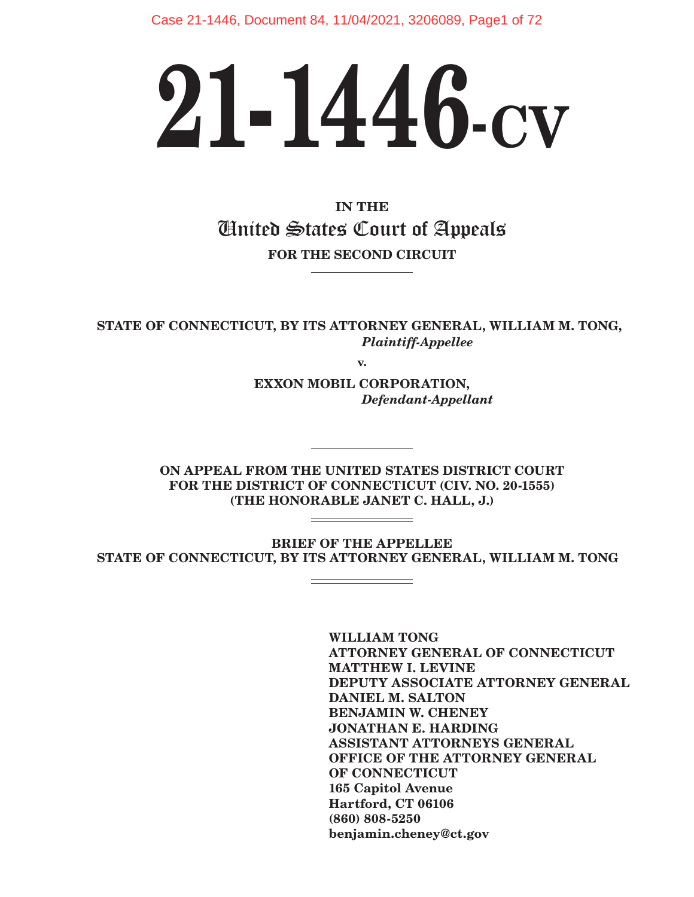Case 21-1446, Document 84, 11/04/2021, 3206089, Page1 of 72

# **21-1446-CV**

**IN THE** United States Court of Appeals **FOR THE SECOND CIRCUIT**

**STATE OF CONNECTICUT, BY ITS ATTORNEY GENERAL, WILLIAM M. TONG,**  *Plaintiff-Appellee*

**v.**

**EXXON MOBIL CORPORATION,**  *Defendant-Appellant*

**ON APPEAL FROM THE UNITED STATES DISTRICT COURT FOR THE DISTRICT OF CONNECTICUT (CIV. NO. 20-1555) (THE HONORABLE JANET C. HALL, J.)**

**BRIEF OF THE APPELLEE STATE OF CONNECTICUT, BY ITS ATTORNEY GENERAL, WILLIAM M. TONG**

> **WILLIAM TONG ATTORNEY GENERAL OF CONNECTICUT MATTHEW I. LEVINE DEPUTY ASSOCIATE ATTORNEY GENERAL DANIEL M. SALTON BENJAMIN W. CHENEY JONATHAN E. HARDING ASSISTANT ATTORNEYS GENERAL OFFICE OF THE ATTORNEY GENERAL OF CONNECTICUT 165 Capitol Avenue Hartford, CT 06106 (860) 808-5250 benjamin.cheney@ct.gov**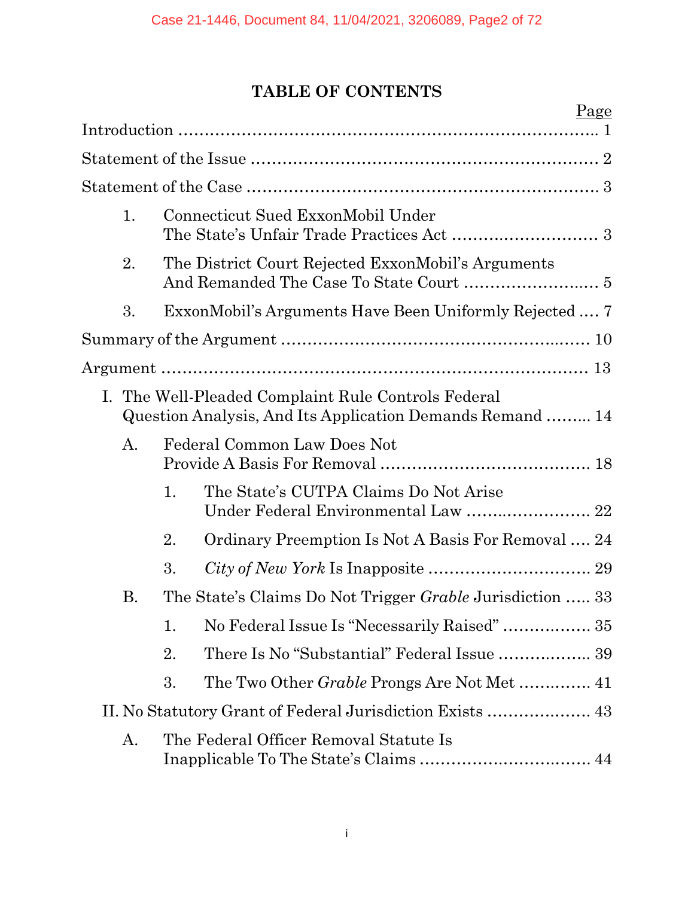# **TABLE OF CONTENTS**

|    |                                                                  |                                                                                                                 | Page |
|----|------------------------------------------------------------------|-----------------------------------------------------------------------------------------------------------------|------|
|    |                                                                  |                                                                                                                 |      |
|    |                                                                  |                                                                                                                 |      |
|    |                                                                  |                                                                                                                 |      |
| 1. |                                                                  | Connecticut Sued ExxonMobil Under                                                                               |      |
| 2. |                                                                  | The District Court Rejected ExxonMobil's Arguments                                                              |      |
| 3. |                                                                  | ExxonMobil's Arguments Have Been Uniformly Rejected  7                                                          |      |
|    |                                                                  |                                                                                                                 |      |
|    |                                                                  |                                                                                                                 |      |
|    |                                                                  | I. The Well-Pleaded Complaint Rule Controls Federal<br>Question Analysis, And Its Application Demands Remand 14 |      |
| A. |                                                                  | Federal Common Law Does Not                                                                                     |      |
|    | 1.                                                               | The State's CUTPA Claims Do Not Arise                                                                           |      |
|    | 2.                                                               | Ordinary Preemption Is Not A Basis For Removal  24                                                              |      |
|    | 3.                                                               |                                                                                                                 |      |
| Β. | The State's Claims Do Not Trigger <i>Grable</i> Jurisdiction  33 |                                                                                                                 |      |
|    | 1.                                                               | No Federal Issue Is "Necessarily Raised"  35                                                                    |      |
|    | 2.                                                               | There Is No "Substantial" Federal Issue  39                                                                     |      |
|    | 3.                                                               |                                                                                                                 |      |
|    |                                                                  |                                                                                                                 |      |
| А. |                                                                  | The Federal Officer Removal Statute Is                                                                          |      |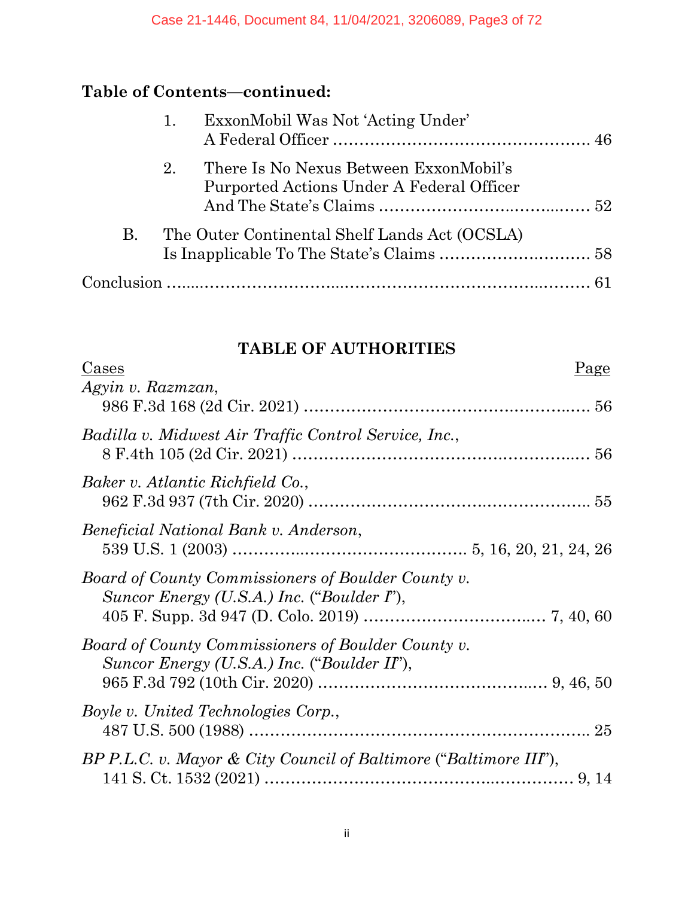# **Table of Contents—continued:**

|    | ExxonMobil Was Not 'Acting Under'<br>1.                                                   |  |  |
|----|-------------------------------------------------------------------------------------------|--|--|
|    | There Is No Nexus Between ExxonMobil's<br>2.<br>Purported Actions Under A Federal Officer |  |  |
| В. | The Outer Continental Shelf Lands Act (OCSLA)                                             |  |  |
|    |                                                                                           |  |  |

## **TABLE OF AUTHORITIES**

| <u>Cases</u>                                                                                      | Page |
|---------------------------------------------------------------------------------------------------|------|
| Agyin v. Razmzan,                                                                                 |      |
| Badilla v. Midwest Air Traffic Control Service, Inc.,                                             |      |
| Baker v. Atlantic Richfield Co.,                                                                  |      |
| Beneficial National Bank v. Anderson,                                                             |      |
| Board of County Commissioners of Boulder County v.<br>Suncor Energy (U.S.A.) Inc. ("Boulder I"),  |      |
| Board of County Commissioners of Boulder County v.<br>Suncor Energy (U.S.A.) Inc. ("Boulder II"), |      |
| Boyle v. United Technologies Corp.,                                                               |      |
| BP P.L.C. v. Mayor & City Council of Baltimore ("Baltimore III"),                                 |      |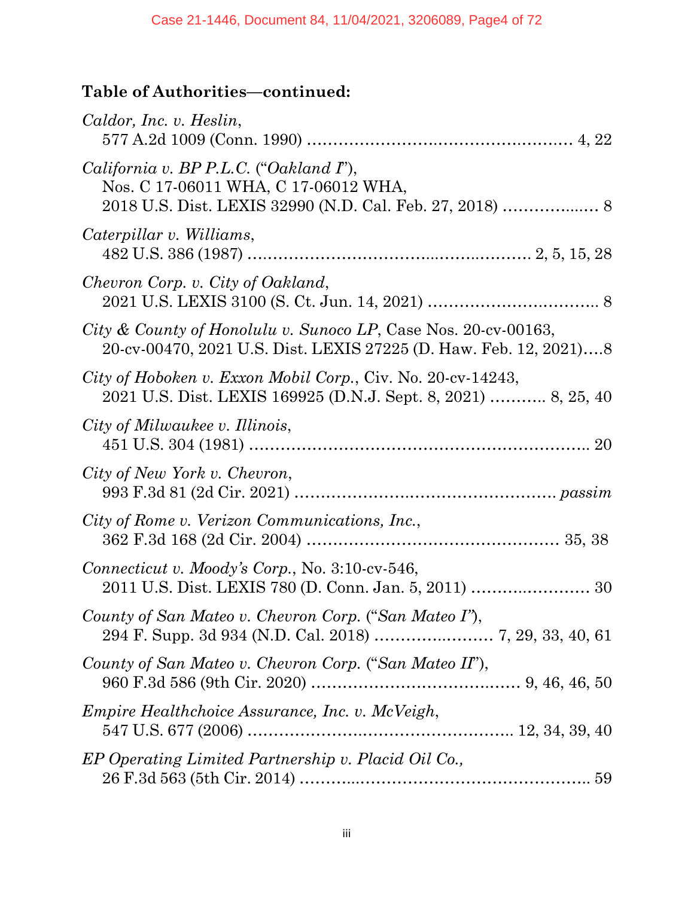| Caldor, Inc. v. Heslin,                                                                                                             |
|-------------------------------------------------------------------------------------------------------------------------------------|
| <i>California v. BP P.L.C.</i> ("Oakland $I$ "),<br>Nos. C 17-06011 WHA, C 17-06012 WHA,                                            |
| Caterpillar v. Williams,                                                                                                            |
| Chevron Corp. v. City of Oakland,                                                                                                   |
| City & County of Honolulu v. Sunoco LP, Case Nos. 20-cv-00163,<br>20-cv-00470, 2021 U.S. Dist. LEXIS 27225 (D. Haw. Feb. 12, 2021)8 |
| City of Hoboken v. Exxon Mobil Corp., Civ. No. 20-cv-14243,<br>2021 U.S. Dist. LEXIS 169925 (D.N.J. Sept. 8, 2021)  8, 25, 40       |
| City of Milwaukee v. Illinois,                                                                                                      |
| City of New York v. Chevron,                                                                                                        |
| City of Rome v. Verizon Communications, Inc.,                                                                                       |
| Connecticut v. Moody's Corp., No. $3:10$ -cv- $546$ ,                                                                               |
| County of San Mateo v. Chevron Corp. ("San Mateo I"),<br>294 F. Supp. 3d 934 (N.D. Cal. 2018)  7, 29, 33, 40, 61                    |
| County of San Mateo v. Chevron Corp. ("San Mateo II"),                                                                              |
| Empire Healthchoice Assurance, Inc. v. McVeigh,                                                                                     |
| EP Operating Limited Partnership v. Placid Oil Co.,                                                                                 |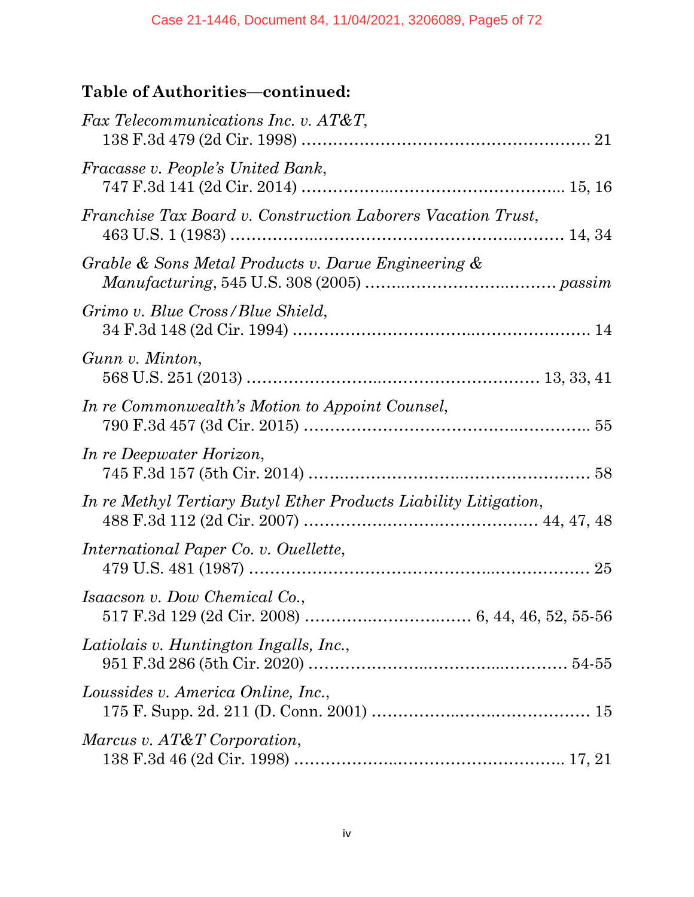| Fax Telecommunications Inc. v. AT&T,                             |  |
|------------------------------------------------------------------|--|
| Fracasse v. People's United Bank,                                |  |
| Franchise Tax Board v. Construction Laborers Vacation Trust,     |  |
| Grable & Sons Metal Products v. Darue Engineering &              |  |
| Grimo v. Blue Cross/Blue Shield,                                 |  |
| Gunn v. Minton,                                                  |  |
| In re Commonwealth's Motion to Appoint Counsel,                  |  |
| In re Deepwater Horizon,                                         |  |
| In re Methyl Tertiary Butyl Ether Products Liability Litigation, |  |
| International Paper Co. v. Ouellette,                            |  |
| Isaacson v. Dow Chemical Co.,                                    |  |
| Latiolais v. Huntington Ingalls, Inc.,                           |  |
| Loussides v. America Online, Inc.,                               |  |
| Marcus v. AT&T Corporation,                                      |  |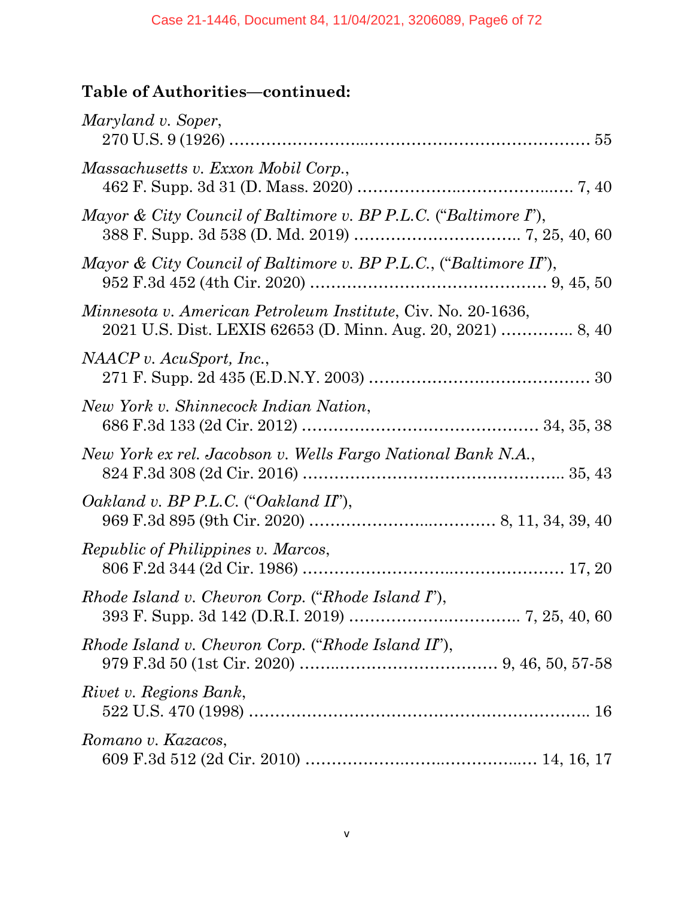| Maryland v. Soper,                                                                                                          |
|-----------------------------------------------------------------------------------------------------------------------------|
| Massachusetts v. Exxon Mobil Corp.,                                                                                         |
| Mayor & City Council of Baltimore v. BP P.L.C. ("Baltimore I"),                                                             |
| Mayor & City Council of Baltimore v. BP P.L.C., ("Baltimore II"),                                                           |
| Minnesota v. American Petroleum Institute, Civ. No. 20-1636,<br>2021 U.S. Dist. LEXIS 62653 (D. Minn. Aug. 20, 2021)  8, 40 |
| NAACP v. AcuSport, Inc.,                                                                                                    |
| New York v. Shinnecock Indian Nation,                                                                                       |
| New York ex rel. Jacobson v. Wells Fargo National Bank N.A.,                                                                |
| Oakland v. BP P.L.C. ("Oakland II"),                                                                                        |
| <i>Republic of Philippines v. Marcos,</i>                                                                                   |
| Rhode Island v. Chevron Corp. ("Rhode Island I"),                                                                           |
| Rhode Island v. Chevron Corp. ("Rhode Island II"),                                                                          |
| Rivet v. Regions Bank,                                                                                                      |
| Romano v. Kazacos,                                                                                                          |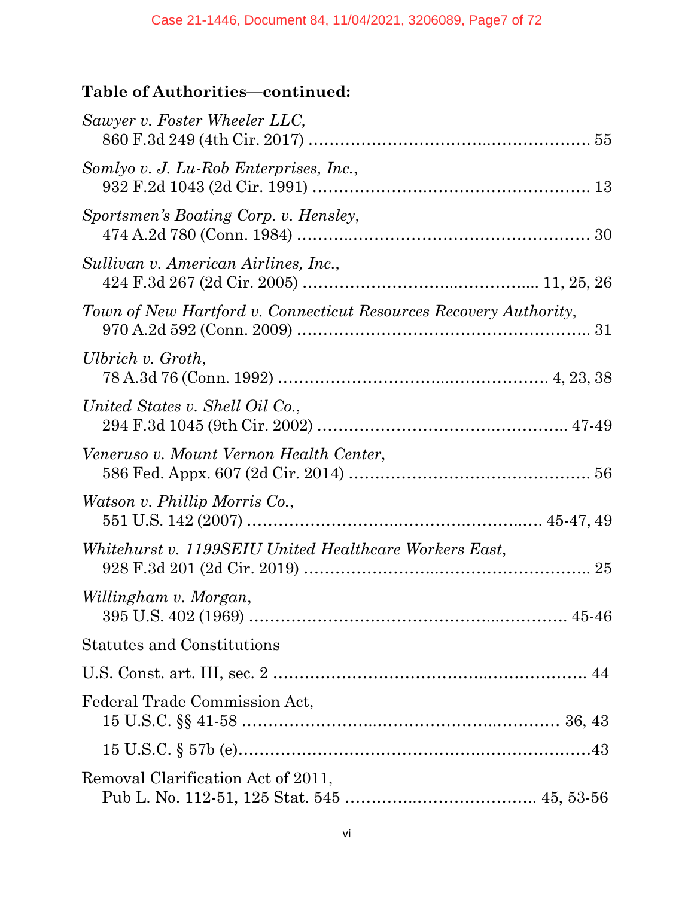| Sawyer v. Foster Wheeler LLC,                                     |       |
|-------------------------------------------------------------------|-------|
| Somlyo v. J. Lu-Rob Enterprises, Inc.,                            |       |
| Sportsmen's Boating Corp. v. Hensley,                             |       |
| Sullivan v. American Airlines, Inc.,                              |       |
| Town of New Hartford v. Connecticut Resources Recovery Authority, |       |
| Ulbrich v. Groth,                                                 |       |
| United States v. Shell Oil Co.,                                   |       |
| Veneruso v. Mount Vernon Health Center,                           |       |
| <i>Watson v. Phillip Morris Co.,</i>                              |       |
| Whitehurst v. 1199SEIU United Healthcare Workers East,            |       |
| Willingham v. Morgan,                                             | 45-46 |
| <b>Statutes and Constitutions</b>                                 |       |
|                                                                   |       |
| Federal Trade Commission Act,                                     |       |
|                                                                   |       |
| Removal Clarification Act of 2011,                                |       |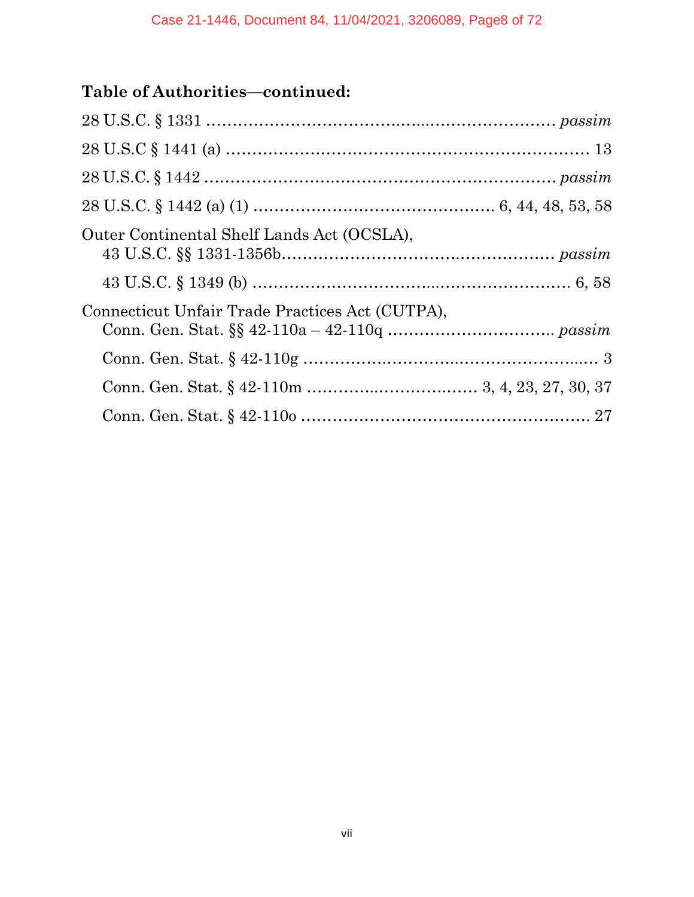| $28 \text{ U.S.C} \S 1441 \text{ (a)} \dots 13$ |  |
|-------------------------------------------------|--|
|                                                 |  |
|                                                 |  |
| Outer Continental Shelf Lands Act (OCSLA),      |  |
|                                                 |  |
| Connecticut Unfair Trade Practices Act (CUTPA), |  |
|                                                 |  |
|                                                 |  |
|                                                 |  |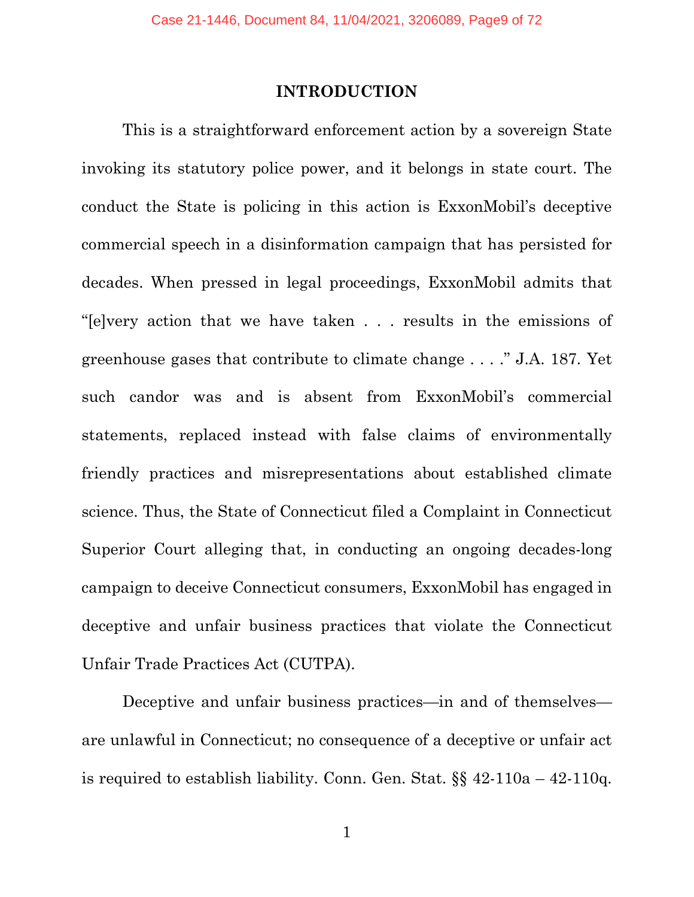#### **INTRODUCTION**

This is a straightforward enforcement action by a sovereign State invoking its statutory police power, and it belongs in state court. The conduct the State is policing in this action is ExxonMobil's deceptive commercial speech in a disinformation campaign that has persisted for decades. When pressed in legal proceedings, ExxonMobil admits that "[e]very action that we have taken . . . results in the emissions of greenhouse gases that contribute to climate change . . . ." J.A. 187. Yet such candor was and is absent from ExxonMobil's commercial statements, replaced instead with false claims of environmentally friendly practices and misrepresentations about established climate science. Thus, the State of Connecticut filed a Complaint in Connecticut Superior Court alleging that, in conducting an ongoing decades-long campaign to deceive Connecticut consumers, ExxonMobil has engaged in deceptive and unfair business practices that violate the Connecticut Unfair Trade Practices Act (CUTPA).

Deceptive and unfair business practices—in and of themselves are unlawful in Connecticut; no consequence of a deceptive or unfair act is required to establish liability. Conn. Gen. Stat.  $\S$  42-110a – 42-110q.

1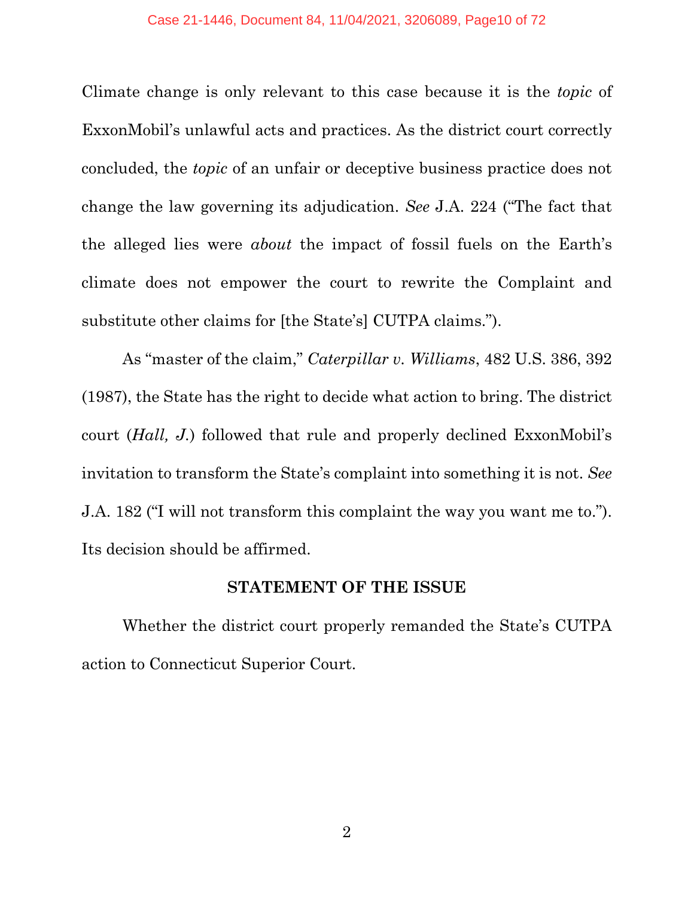Climate change is only relevant to this case because it is the *topic* of ExxonMobil's unlawful acts and practices. As the district court correctly concluded, the *topic* of an unfair or deceptive business practice does not change the law governing its adjudication. *See* J.A. 224 ("The fact that the alleged lies were *about* the impact of fossil fuels on the Earth's climate does not empower the court to rewrite the Complaint and substitute other claims for [the State's] CUTPA claims.").

As "master of the claim," *Caterpillar v. Williams*, 482 U.S. 386, 392 (1987), the State has the right to decide what action to bring. The district court (*Hall, J.*) followed that rule and properly declined ExxonMobil's invitation to transform the State's complaint into something it is not. *See*  J.A. 182 ("I will not transform this complaint the way you want me to."). Its decision should be affirmed.

#### **STATEMENT OF THE ISSUE**

Whether the district court properly remanded the State's CUTPA action to Connecticut Superior Court.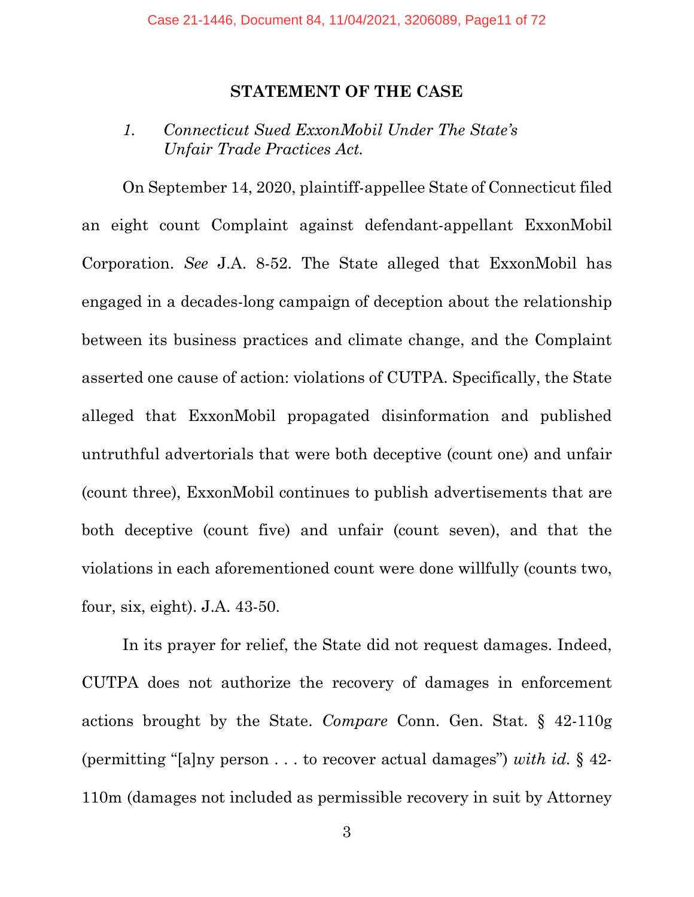#### **STATEMENT OF THE CASE**

## *1. Connecticut Sued ExxonMobil Under The State's Unfair Trade Practices Act.*

On September 14, 2020, plaintiff-appellee State of Connecticut filed an eight count Complaint against defendant-appellant ExxonMobil Corporation. *See* J.A. 8-52. The State alleged that ExxonMobil has engaged in a decades-long campaign of deception about the relationship between its business practices and climate change, and the Complaint asserted one cause of action: violations of CUTPA. Specifically, the State alleged that ExxonMobil propagated disinformation and published untruthful advertorials that were both deceptive (count one) and unfair (count three), ExxonMobil continues to publish advertisements that are both deceptive (count five) and unfair (count seven), and that the violations in each aforementioned count were done willfully (counts two, four, six, eight). J.A. 43-50.

In its prayer for relief, the State did not request damages. Indeed, CUTPA does not authorize the recovery of damages in enforcement actions brought by the State. *Compare* Conn. Gen. Stat. § 42-110g (permitting "[a]ny person . . . to recover actual damages") *with id.* § 42- 110m (damages not included as permissible recovery in suit by Attorney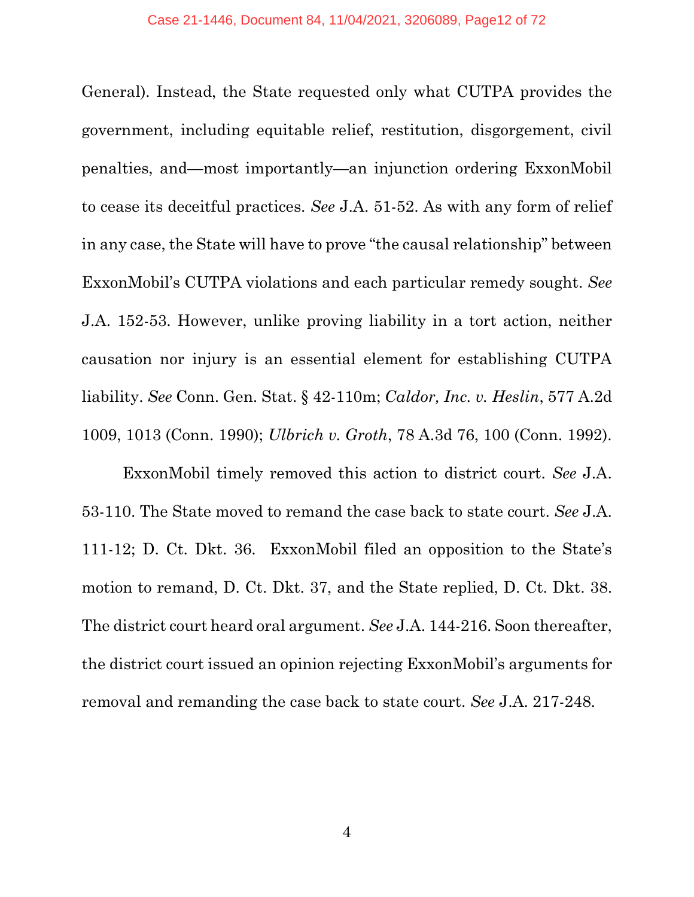General). Instead, the State requested only what CUTPA provides the government, including equitable relief, restitution, disgorgement, civil penalties, and—most importantly—an injunction ordering ExxonMobil to cease its deceitful practices. *See* J.A. 51-52. As with any form of relief in any case, the State will have to prove "the causal relationship" between ExxonMobil's CUTPA violations and each particular remedy sought. *See* J.A. 152-53. However, unlike proving liability in a tort action, neither causation nor injury is an essential element for establishing CUTPA liability. *See* Conn. Gen. Stat. § 42-110m; *Caldor, Inc. v. Heslin*, 577 A.2d 1009, 1013 (Conn. 1990); *Ulbrich v. Groth*, 78 A.3d 76, 100 (Conn. 1992).

ExxonMobil timely removed this action to district court. *See* J.A. 53-110. The State moved to remand the case back to state court. *See* J.A. 111-12; D. Ct. Dkt. 36. ExxonMobil filed an opposition to the State's motion to remand, D. Ct. Dkt. 37, and the State replied, D. Ct. Dkt. 38. The district court heard oral argument. *See* J.A. 144-216. Soon thereafter, the district court issued an opinion rejecting ExxonMobil's arguments for removal and remanding the case back to state court. *See* J.A. 217-248.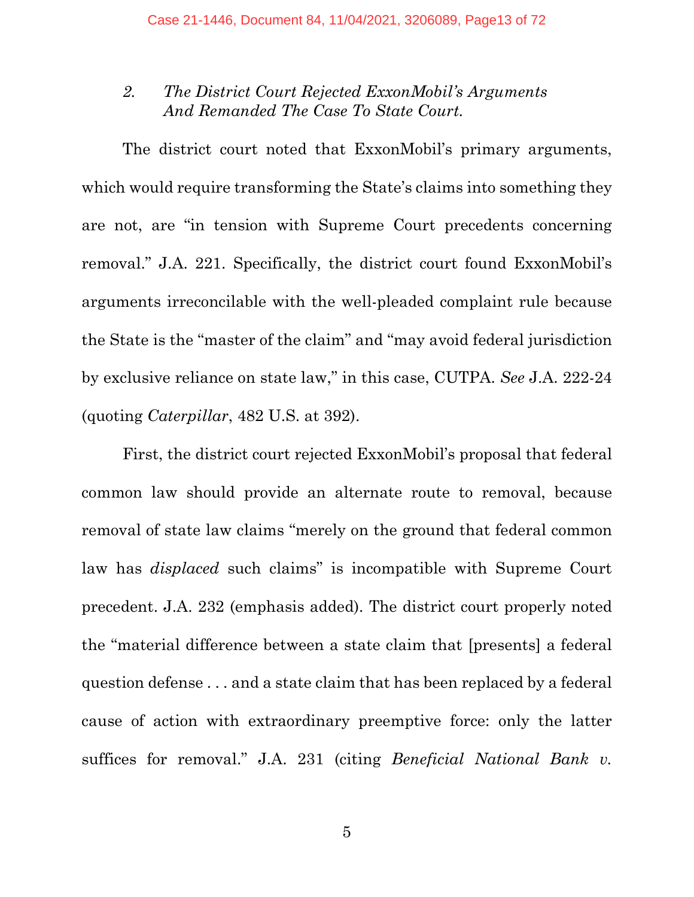## *2. The District Court Rejected ExxonMobil's Arguments And Remanded The Case To State Court.*

The district court noted that ExxonMobil's primary arguments, which would require transforming the State's claims into something they are not, are "in tension with Supreme Court precedents concerning removal." J.A. 221. Specifically, the district court found ExxonMobil's arguments irreconcilable with the well-pleaded complaint rule because the State is the "master of the claim" and "may avoid federal jurisdiction by exclusive reliance on state law," in this case, CUTPA. *See* J.A. 222-24 (quoting *Caterpillar*, 482 U.S. at 392).

First, the district court rejected ExxonMobil's proposal that federal common law should provide an alternate route to removal, because removal of state law claims "merely on the ground that federal common law has *displaced* such claims" is incompatible with Supreme Court precedent. J.A. 232 (emphasis added). The district court properly noted the "material difference between a state claim that [presents] a federal question defense . . . and a state claim that has been replaced by a federal cause of action with extraordinary preemptive force: only the latter suffices for removal." J.A. 231 (citing *Beneficial National Bank v.*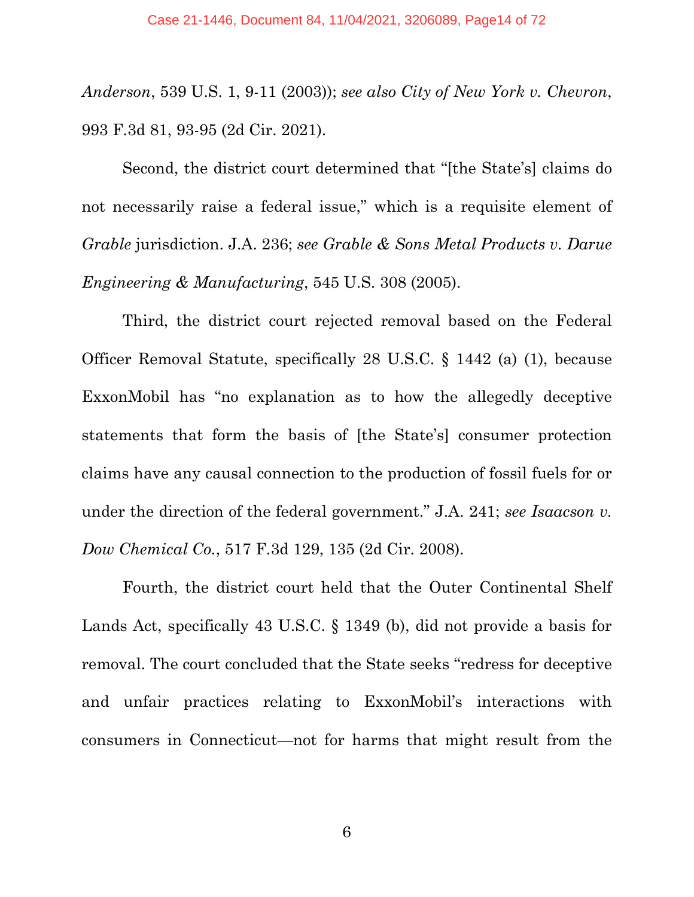*Anderson*, 539 U.S. 1, 9-11 (2003)); *see also City of New York v. Chevron*, 993 F.3d 81, 93-95 (2d Cir. 2021).

Second, the district court determined that "[the State's] claims do not necessarily raise a federal issue," which is a requisite element of *Grable* jurisdiction. J.A. 236; *see Grable & Sons Metal Products v. Darue Engineering & Manufacturing*, 545 U.S. 308 (2005).

Third, the district court rejected removal based on the Federal Officer Removal Statute, specifically 28 U.S.C. § 1442 (a) (1), because ExxonMobil has "no explanation as to how the allegedly deceptive statements that form the basis of [the State's] consumer protection claims have any causal connection to the production of fossil fuels for or under the direction of the federal government." J.A. 241; *see Isaacson v. Dow Chemical Co.*, 517 F.3d 129, 135 (2d Cir. 2008).

Fourth, the district court held that the Outer Continental Shelf Lands Act, specifically 43 U.S.C. § 1349 (b), did not provide a basis for removal. The court concluded that the State seeks "redress for deceptive and unfair practices relating to ExxonMobil's interactions with consumers in Connecticut—not for harms that might result from the

6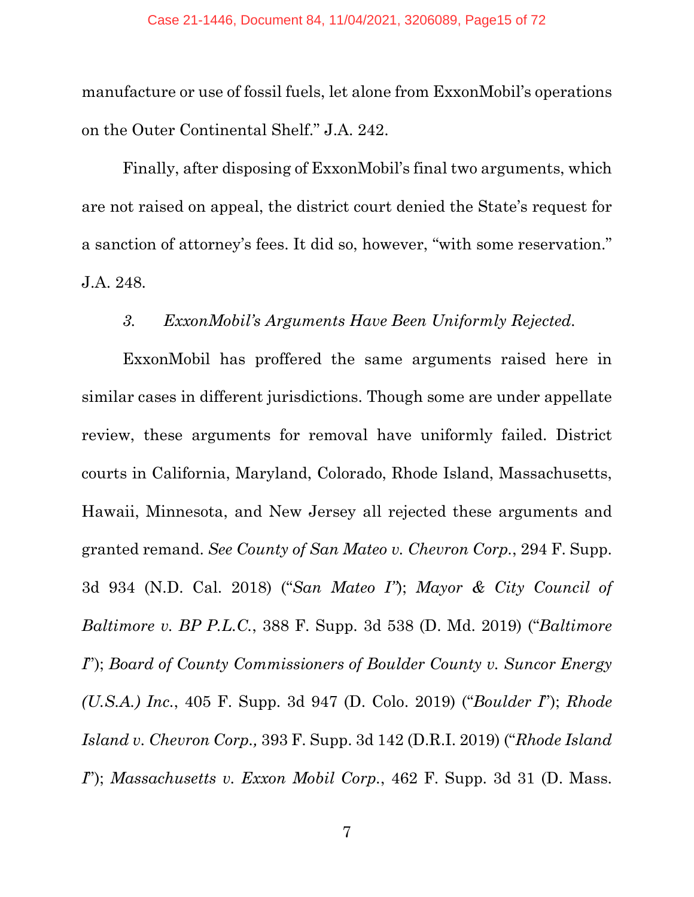manufacture or use of fossil fuels, let alone from ExxonMobil's operations on the Outer Continental Shelf." J.A. 242.

Finally, after disposing of ExxonMobil's final two arguments, which are not raised on appeal, the district court denied the State's request for a sanction of attorney's fees. It did so, however, "with some reservation." J.A. 248.

### *3. ExxonMobil's Arguments Have Been Uniformly Rejected.*

ExxonMobil has proffered the same arguments raised here in similar cases in different jurisdictions. Though some are under appellate review, these arguments for removal have uniformly failed. District courts in California, Maryland, Colorado, Rhode Island, Massachusetts, Hawaii, Minnesota, and New Jersey all rejected these arguments and granted remand. *See County of San Mateo v. Chevron Corp.*, 294 F. Supp. 3d 934 (N.D. Cal. 2018) ("*San Mateo I"*); *Mayor & City Council of Baltimore v. BP P.L.C.*, 388 F. Supp. 3d 538 (D. Md. 2019) ("*Baltimore I*"); *Board of County Commissioners of Boulder County v. Suncor Energy (U.S.A.) Inc.*, 405 F. Supp. 3d 947 (D. Colo. 2019) ("*Boulder I*"); *Rhode Island v. Chevron Corp.,* 393 F. Supp. 3d 142 (D.R.I. 2019) ("*Rhode Island I*"); *Massachusetts v. Exxon Mobil Corp.*, 462 F. Supp. 3d 31 (D. Mass.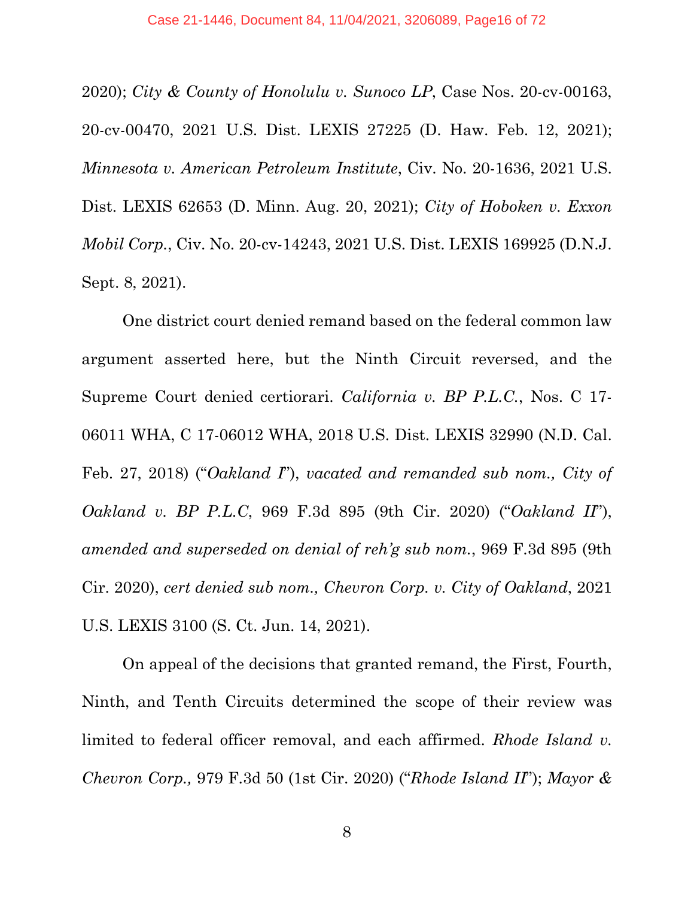2020); *City & County of Honolulu v. Sunoco LP*, Case Nos. 20-cv-00163, 20-cv-00470, 2021 U.S. Dist. LEXIS 27225 (D. Haw. Feb. 12, 2021); *Minnesota v. American Petroleum Institute*, Civ. No. 20-1636, 2021 U.S. Dist. LEXIS 62653 (D. Minn. Aug. 20, 2021); *City of Hoboken v. Exxon Mobil Corp.*, Civ. No. 20-cv-14243, 2021 U.S. Dist. LEXIS 169925 (D.N.J. Sept. 8, 2021).

One district court denied remand based on the federal common law argument asserted here, but the Ninth Circuit reversed, and the Supreme Court denied certiorari. *California v. BP P.L.C.*, Nos. C 17- 06011 WHA, C 17-06012 WHA, 2018 U.S. Dist. LEXIS 32990 (N.D. Cal. Feb. 27, 2018) ("*Oakland I*"), *vacated and remanded sub nom., City of Oakland v. BP P.L.C*, 969 F.3d 895 (9th Cir. 2020) ("*Oakland II*"), *amended and superseded on denial of reh'g sub nom.*, 969 F.3d 895 (9th Cir. 2020), *cert denied sub nom., Chevron Corp. v. City of Oakland*, 2021 U.S. LEXIS 3100 (S. Ct. Jun. 14, 2021).

On appeal of the decisions that granted remand, the First, Fourth, Ninth, and Tenth Circuits determined the scope of their review was limited to federal officer removal, and each affirmed. *Rhode Island v. Chevron Corp.,* 979 F.3d 50 (1st Cir. 2020) ("*Rhode Island II*"); *Mayor &*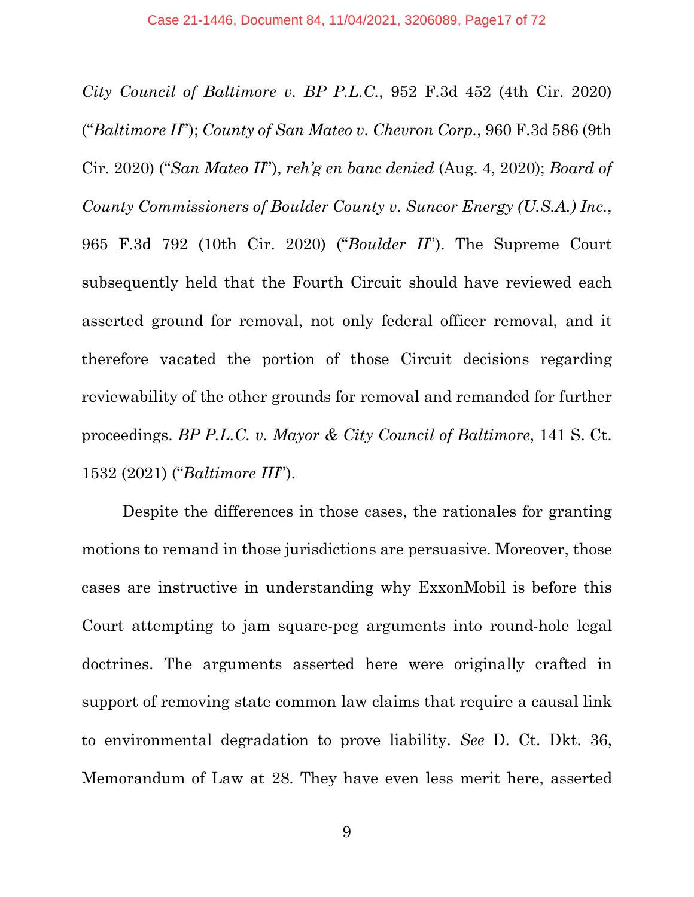*City Council of Baltimore v. BP P.L.C.*, 952 F.3d 452 (4th Cir. 2020) ("*Baltimore II*"); *County of San Mateo v. Chevron Corp.*, 960 F.3d 586 (9th Cir. 2020) ("*San Mateo II*"), *reh'g en banc denied* (Aug. 4, 2020); *Board of County Commissioners of Boulder County v. Suncor Energy (U.S.A.) Inc.*, 965 F.3d 792 (10th Cir. 2020) ("*Boulder II*"). The Supreme Court subsequently held that the Fourth Circuit should have reviewed each asserted ground for removal, not only federal officer removal, and it therefore vacated the portion of those Circuit decisions regarding reviewability of the other grounds for removal and remanded for further proceedings. *BP P.L.C. v. Mayor & City Council of Baltimore*, 141 S. Ct. 1532 (2021) ("*Baltimore III*").

Despite the differences in those cases, the rationales for granting motions to remand in those jurisdictions are persuasive. Moreover, those cases are instructive in understanding why ExxonMobil is before this Court attempting to jam square-peg arguments into round-hole legal doctrines. The arguments asserted here were originally crafted in support of removing state common law claims that require a causal link to environmental degradation to prove liability. *See* D. Ct. Dkt. 36, Memorandum of Law at 28. They have even less merit here, asserted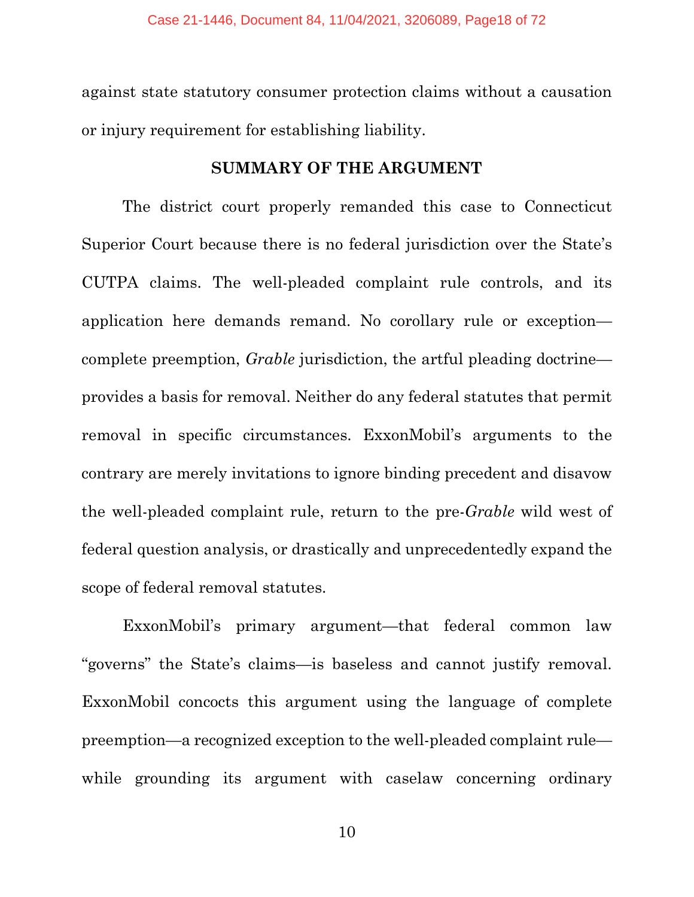against state statutory consumer protection claims without a causation or injury requirement for establishing liability.

#### **SUMMARY OF THE ARGUMENT**

The district court properly remanded this case to Connecticut Superior Court because there is no federal jurisdiction over the State's CUTPA claims. The well-pleaded complaint rule controls, and its application here demands remand. No corollary rule or exception complete preemption, *Grable* jurisdiction, the artful pleading doctrine provides a basis for removal. Neither do any federal statutes that permit removal in specific circumstances. ExxonMobil's arguments to the contrary are merely invitations to ignore binding precedent and disavow the well-pleaded complaint rule, return to the pre-*Grable* wild west of federal question analysis, or drastically and unprecedentedly expand the scope of federal removal statutes.

ExxonMobil's primary argument—that federal common law "governs" the State's claims—is baseless and cannot justify removal. ExxonMobil concocts this argument using the language of complete preemption—a recognized exception to the well-pleaded complaint rule while grounding its argument with caselaw concerning ordinary

10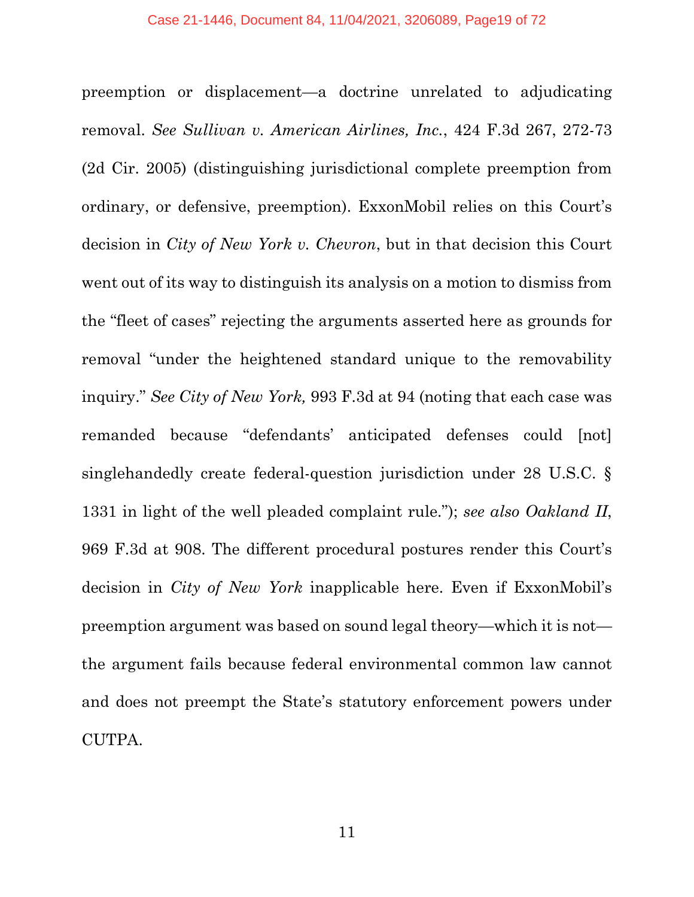preemption or displacement—a doctrine unrelated to adjudicating removal. *See Sullivan v. American Airlines, Inc.*, 424 F.3d 267, 272-73 (2d Cir. 2005) (distinguishing jurisdictional complete preemption from ordinary, or defensive, preemption). ExxonMobil relies on this Court's decision in *City of New York v. Chevron*, but in that decision this Court went out of its way to distinguish its analysis on a motion to dismiss from the "fleet of cases" rejecting the arguments asserted here as grounds for removal "under the heightened standard unique to the removability inquiry." *See City of New York,* 993 F.3d at 94 (noting that each case was remanded because "defendants' anticipated defenses could [not] singlehandedly create federal-question jurisdiction under 28 U.S.C. § 1331 in light of the well pleaded complaint rule."); *see also Oakland II*, 969 F.3d at 908. The different procedural postures render this Court's decision in *City of New York* inapplicable here. Even if ExxonMobil's preemption argument was based on sound legal theory—which it is not the argument fails because federal environmental common law cannot and does not preempt the State's statutory enforcement powers under CUTPA.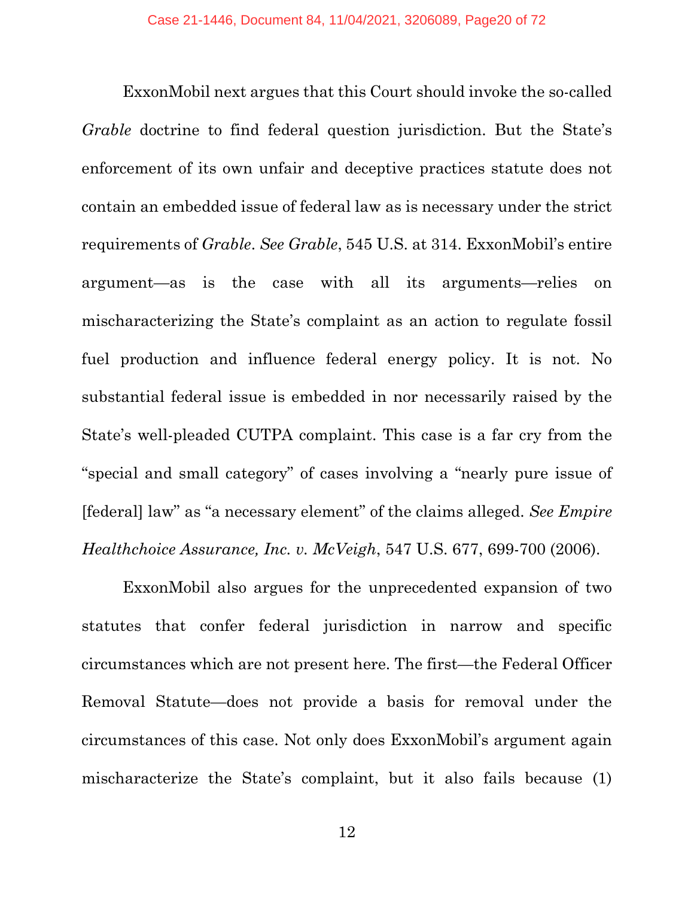ExxonMobil next argues that this Court should invoke the so-called *Grable* doctrine to find federal question jurisdiction. But the State's enforcement of its own unfair and deceptive practices statute does not contain an embedded issue of federal law as is necessary under the strict requirements of *Grable*. *See Grable*, 545 U.S. at 314. ExxonMobil's entire argument—as is the case with all its arguments—relies on mischaracterizing the State's complaint as an action to regulate fossil fuel production and influence federal energy policy. It is not. No substantial federal issue is embedded in nor necessarily raised by the State's well-pleaded CUTPA complaint. This case is a far cry from the "special and small category" of cases involving a "nearly pure issue of [federal] law" as "a necessary element" of the claims alleged. *See Empire Healthchoice Assurance, Inc. v. McVeigh*, 547 U.S. 677, 699-700 (2006).

ExxonMobil also argues for the unprecedented expansion of two statutes that confer federal jurisdiction in narrow and specific circumstances which are not present here. The first—the Federal Officer Removal Statute—does not provide a basis for removal under the circumstances of this case. Not only does ExxonMobil's argument again mischaracterize the State's complaint, but it also fails because (1)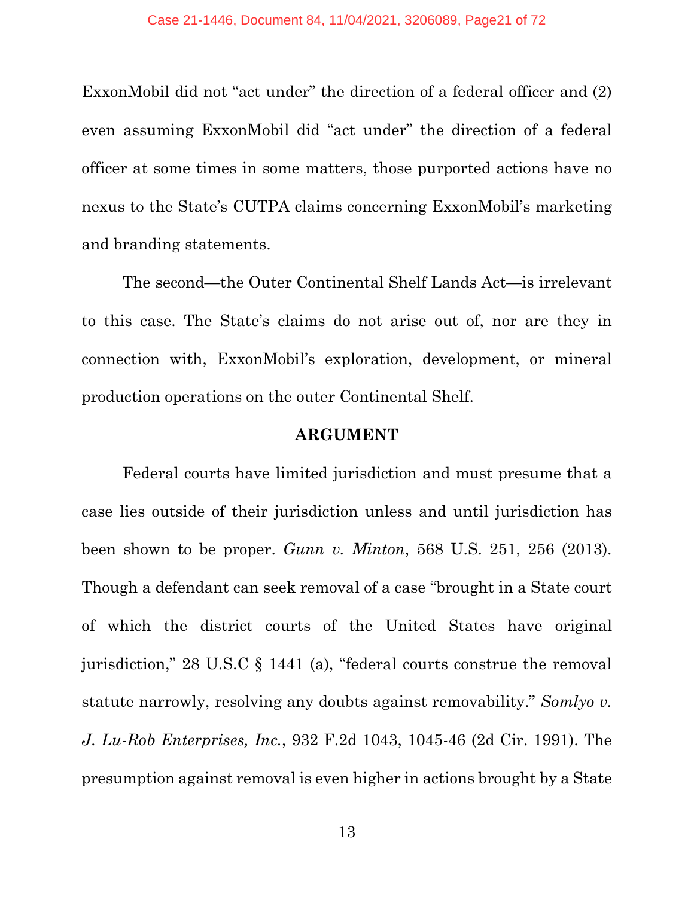ExxonMobil did not "act under" the direction of a federal officer and (2) even assuming ExxonMobil did "act under" the direction of a federal officer at some times in some matters, those purported actions have no nexus to the State's CUTPA claims concerning ExxonMobil's marketing and branding statements.

The second—the Outer Continental Shelf Lands Act—is irrelevant to this case. The State's claims do not arise out of, nor are they in connection with, ExxonMobil's exploration, development, or mineral production operations on the outer Continental Shelf.

#### **ARGUMENT**

Federal courts have limited jurisdiction and must presume that a case lies outside of their jurisdiction unless and until jurisdiction has been shown to be proper. *Gunn v. Minton*, 568 U.S. 251, 256 (2013). Though a defendant can seek removal of a case "brought in a State court of which the district courts of the United States have original jurisdiction," 28 U.S.C § 1441 (a), "federal courts construe the removal statute narrowly, resolving any doubts against removability." *Somlyo v. J. Lu-Rob Enterprises, Inc.*, 932 F.2d 1043, 1045-46 (2d Cir. 1991). The presumption against removal is even higher in actions brought by a State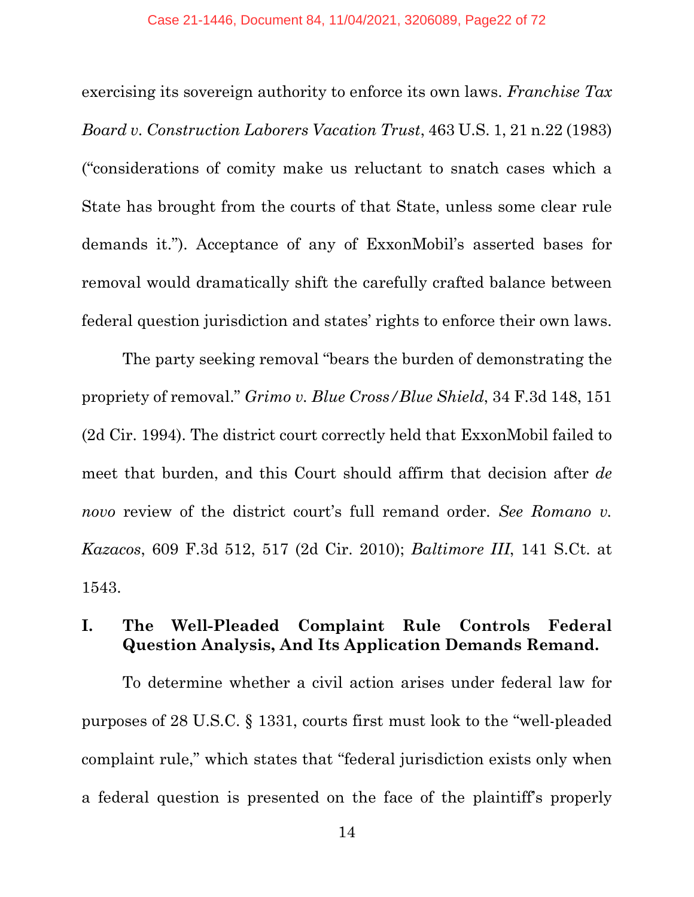exercising its sovereign authority to enforce its own laws. *Franchise Tax Board v. Construction Laborers Vacation Trust*, 463 U.S. 1, 21 n.22 (1983) ("considerations of comity make us reluctant to snatch cases which a State has brought from the courts of that State, unless some clear rule demands it."). Acceptance of any of ExxonMobil's asserted bases for removal would dramatically shift the carefully crafted balance between federal question jurisdiction and states' rights to enforce their own laws.

The party seeking removal "bears the burden of demonstrating the propriety of removal." *Grimo v. Blue Cross/Blue Shield*, 34 F.3d 148, 151 (2d Cir. 1994). The district court correctly held that ExxonMobil failed to meet that burden, and this Court should affirm that decision after *de novo* review of the district court's full remand order. *See Romano v. Kazacos*, 609 F.3d 512, 517 (2d Cir. 2010); *Baltimore III*, 141 S.Ct. at 1543.

## **I. The Well-Pleaded Complaint Rule Controls Federal Question Analysis, And Its Application Demands Remand.**

To determine whether a civil action arises under federal law for purposes of 28 U.S.C. § 1331, courts first must look to the "well-pleaded complaint rule," which states that "federal jurisdiction exists only when a federal question is presented on the face of the plaintiff's properly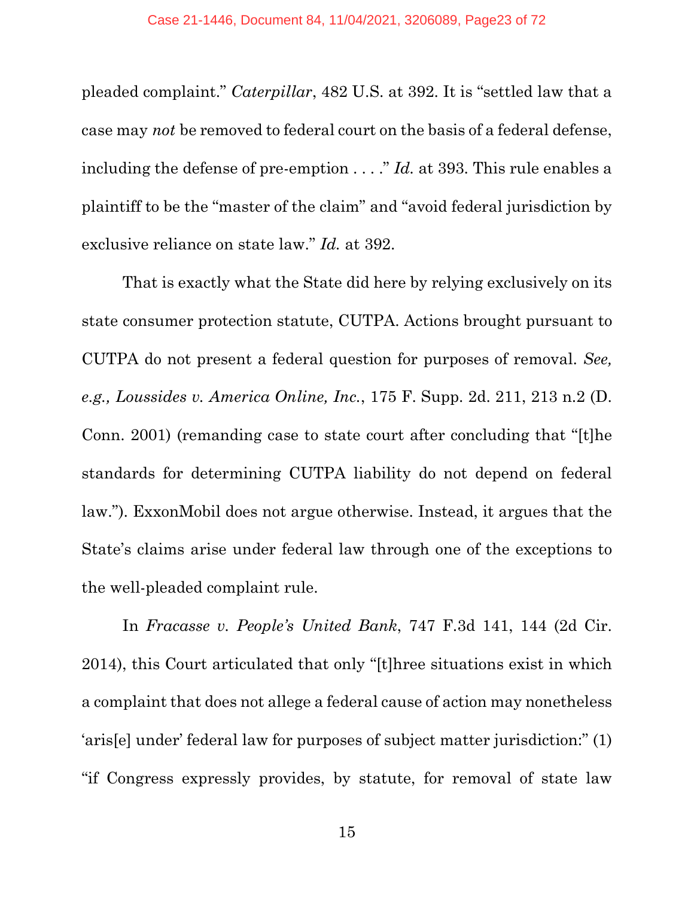pleaded complaint." *Caterpillar*, 482 U.S. at 392. It is "settled law that a case may *not* be removed to federal court on the basis of a federal defense, including the defense of pre-emption . . . ." *Id.* at 393. This rule enables a plaintiff to be the "master of the claim" and "avoid federal jurisdiction by exclusive reliance on state law." *Id.* at 392.

That is exactly what the State did here by relying exclusively on its state consumer protection statute, CUTPA. Actions brought pursuant to CUTPA do not present a federal question for purposes of removal. *See, e.g., Loussides v. America Online, Inc.*, 175 F. Supp. 2d. 211, 213 n.2 (D. Conn. 2001) (remanding case to state court after concluding that "[t]he standards for determining CUTPA liability do not depend on federal law."). ExxonMobil does not argue otherwise. Instead, it argues that the State's claims arise under federal law through one of the exceptions to the well-pleaded complaint rule.

In *Fracasse v. People's United Bank*, 747 F.3d 141, 144 (2d Cir. 2014), this Court articulated that only "[t]hree situations exist in which a complaint that does not allege a federal cause of action may nonetheless 'aris[e] under' federal law for purposes of subject matter jurisdiction:" (1) "if Congress expressly provides, by statute, for removal of state law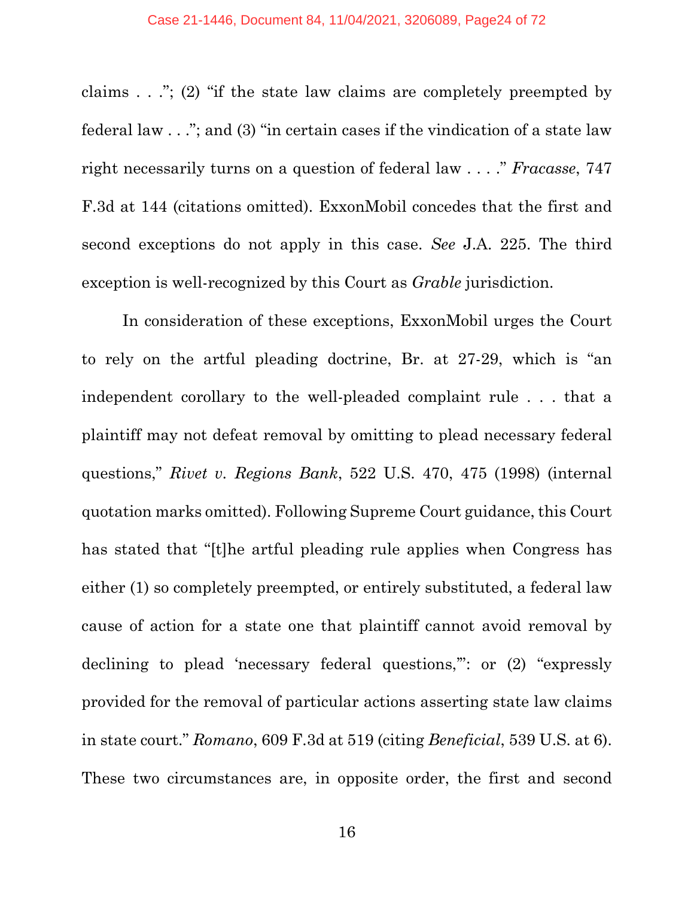claims . . ."; (2) "if the state law claims are completely preempted by federal law . . ."; and (3) "in certain cases if the vindication of a state law right necessarily turns on a question of federal law . . . ." *Fracasse*, 747 F.3d at 144 (citations omitted). ExxonMobil concedes that the first and second exceptions do not apply in this case. *See* J.A. 225. The third exception is well-recognized by this Court as *Grable* jurisdiction.

In consideration of these exceptions, ExxonMobil urges the Court to rely on the artful pleading doctrine, Br. at 27-29, which is "an independent corollary to the well-pleaded complaint rule . . . that a plaintiff may not defeat removal by omitting to plead necessary federal questions," *Rivet v. Regions Bank*, 522 U.S. 470, 475 (1998) (internal quotation marks omitted). Following Supreme Court guidance, this Court has stated that "[t]he artful pleading rule applies when Congress has either (1) so completely preempted, or entirely substituted, a federal law cause of action for a state one that plaintiff cannot avoid removal by declining to plead 'necessary federal questions,": or (2) "expressly provided for the removal of particular actions asserting state law claims in state court." *Romano*, 609 F.3d at 519 (citing *Beneficial*, 539 U.S. at 6). These two circumstances are, in opposite order, the first and second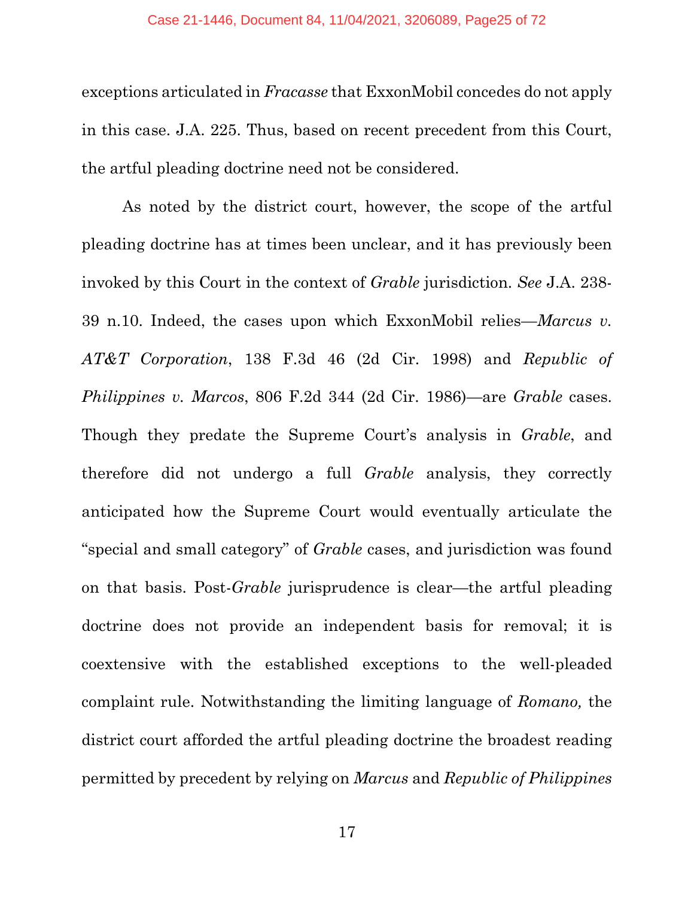exceptions articulated in *Fracasse* that ExxonMobil concedes do not apply in this case. J.A. 225. Thus, based on recent precedent from this Court, the artful pleading doctrine need not be considered.

As noted by the district court, however, the scope of the artful pleading doctrine has at times been unclear, and it has previously been invoked by this Court in the context of *Grable* jurisdiction. *See* J.A. 238- 39 n.10. Indeed, the cases upon which ExxonMobil relies—*Marcus v. AT&T Corporation*, 138 F.3d 46 (2d Cir. 1998) and *Republic of Philippines v. Marcos*, 806 F.2d 344 (2d Cir. 1986)—are *Grable* cases. Though they predate the Supreme Court's analysis in *Grable*, and therefore did not undergo a full *Grable* analysis, they correctly anticipated how the Supreme Court would eventually articulate the "special and small category" of *Grable* cases, and jurisdiction was found on that basis. Post-*Grable* jurisprudence is clear—the artful pleading doctrine does not provide an independent basis for removal; it is coextensive with the established exceptions to the well-pleaded complaint rule. Notwithstanding the limiting language of *Romano,* the district court afforded the artful pleading doctrine the broadest reading permitted by precedent by relying on *Marcus* and *Republic of Philippines*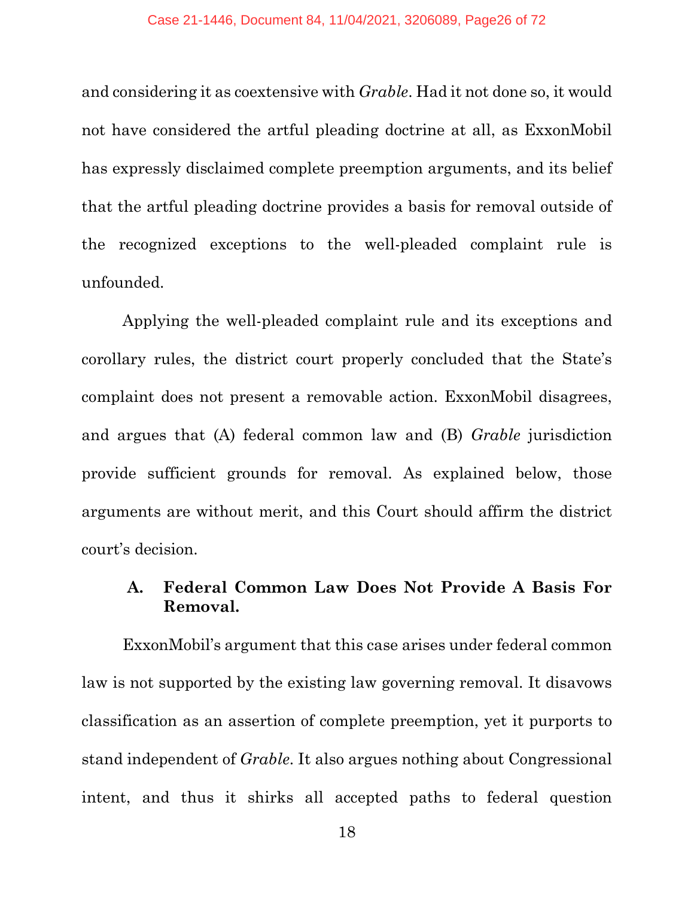and considering it as coextensive with *Grable*. Had it not done so, it would not have considered the artful pleading doctrine at all, as ExxonMobil has expressly disclaimed complete preemption arguments, and its belief that the artful pleading doctrine provides a basis for removal outside of the recognized exceptions to the well-pleaded complaint rule is unfounded.

Applying the well-pleaded complaint rule and its exceptions and corollary rules, the district court properly concluded that the State's complaint does not present a removable action. ExxonMobil disagrees, and argues that (A) federal common law and (B) *Grable* jurisdiction provide sufficient grounds for removal. As explained below, those arguments are without merit, and this Court should affirm the district court's decision.

## **A. Federal Common Law Does Not Provide A Basis For Removal.**

ExxonMobil's argument that this case arises under federal common law is not supported by the existing law governing removal. It disavows classification as an assertion of complete preemption, yet it purports to stand independent of *Grable*. It also argues nothing about Congressional intent, and thus it shirks all accepted paths to federal question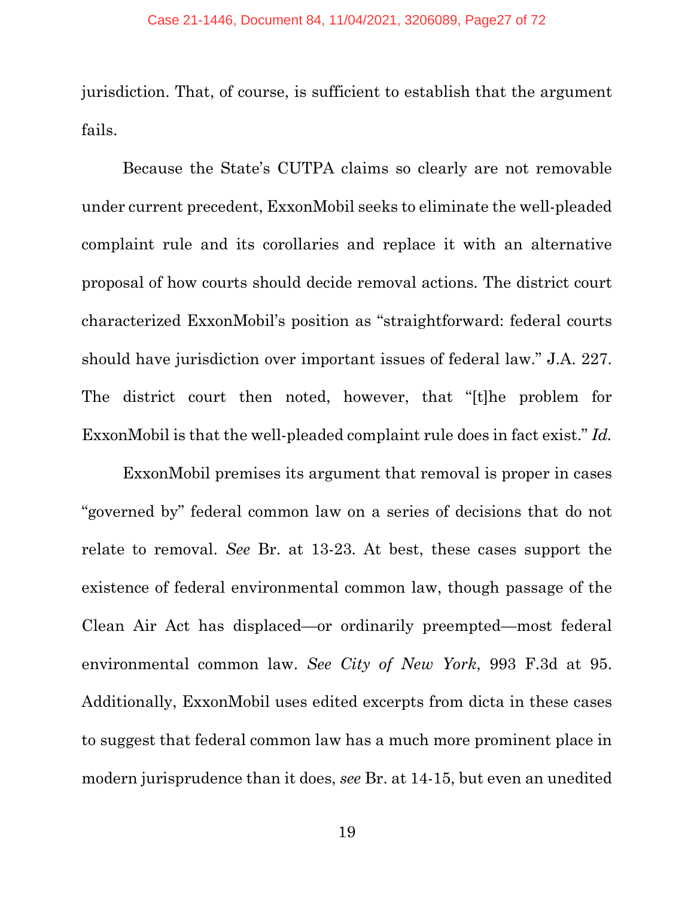jurisdiction. That, of course, is sufficient to establish that the argument fails.

Because the State's CUTPA claims so clearly are not removable under current precedent, ExxonMobil seeks to eliminate the well-pleaded complaint rule and its corollaries and replace it with an alternative proposal of how courts should decide removal actions. The district court characterized ExxonMobil's position as "straightforward: federal courts should have jurisdiction over important issues of federal law." J.A. 227. The district court then noted, however, that "[t]he problem for ExxonMobil is that the well-pleaded complaint rule does in fact exist." *Id.* 

ExxonMobil premises its argument that removal is proper in cases "governed by" federal common law on a series of decisions that do not relate to removal. *See* Br. at 13-23. At best, these cases support the existence of federal environmental common law, though passage of the Clean Air Act has displaced—or ordinarily preempted—most federal environmental common law. *See City of New York*, 993 F.3d at 95. Additionally, ExxonMobil uses edited excerpts from dicta in these cases to suggest that federal common law has a much more prominent place in modern jurisprudence than it does, *see* Br. at 14-15, but even an unedited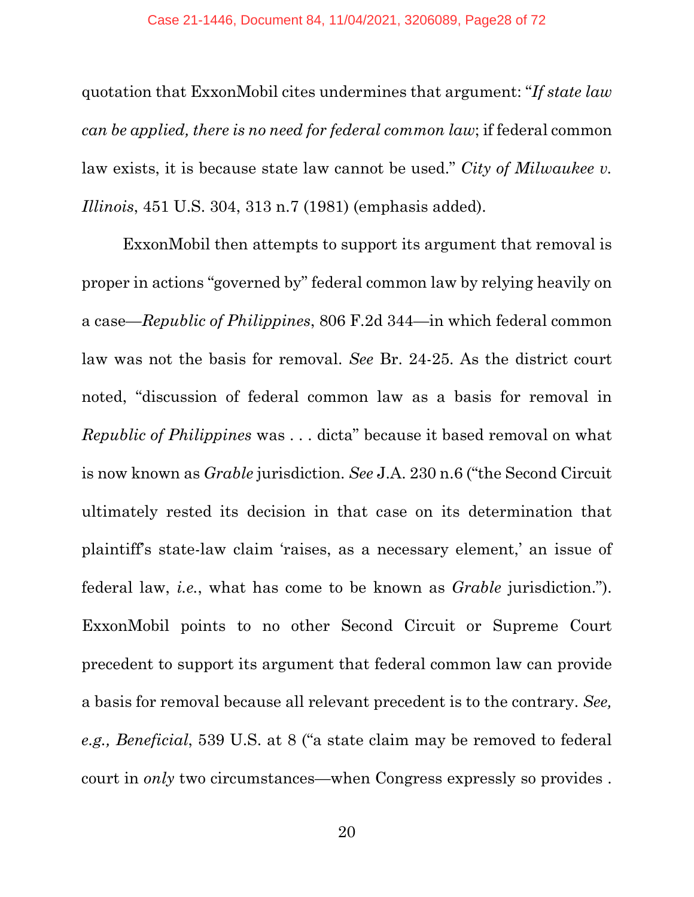quotation that ExxonMobil cites undermines that argument: "*If state law can be applied, there is no need for federal common law*; if federal common law exists, it is because state law cannot be used." *City of Milwaukee v. Illinois*, 451 U.S. 304, 313 n.7 (1981) (emphasis added).

ExxonMobil then attempts to support its argument that removal is proper in actions "governed by" federal common law by relying heavily on a case—*Republic of Philippines*, 806 F.2d 344—in which federal common law was not the basis for removal. *See* Br. 24-25. As the district court noted, "discussion of federal common law as a basis for removal in *Republic of Philippines* was . . . dicta" because it based removal on what is now known as *Grable* jurisdiction. *See* J.A. 230 n.6 ("the Second Circuit ultimately rested its decision in that case on its determination that plaintiff's state-law claim 'raises, as a necessary element,' an issue of federal law, *i.e.*, what has come to be known as *Grable* jurisdiction."). ExxonMobil points to no other Second Circuit or Supreme Court precedent to support its argument that federal common law can provide a basis for removal because all relevant precedent is to the contrary. *See, e.g., Beneficial*, 539 U.S. at 8 ("a state claim may be removed to federal court in *only* two circumstances—when Congress expressly so provides .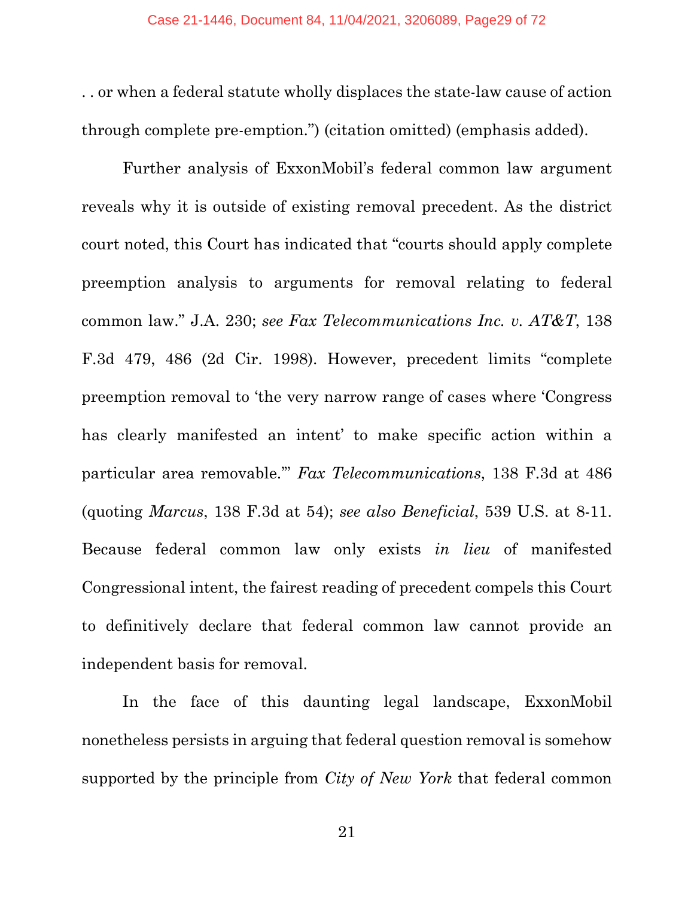. . or when a federal statute wholly displaces the state-law cause of action through complete pre-emption.") (citation omitted) (emphasis added).

Further analysis of ExxonMobil's federal common law argument reveals why it is outside of existing removal precedent. As the district court noted, this Court has indicated that "courts should apply complete preemption analysis to arguments for removal relating to federal common law." J.A. 230; *see Fax Telecommunications Inc. v. AT&T*, 138 F.3d 479, 486 (2d Cir. 1998). However, precedent limits "complete preemption removal to 'the very narrow range of cases where 'Congress has clearly manifested an intent' to make specific action within a particular area removable.'" *Fax Telecommunications*, 138 F.3d at 486 (quoting *Marcus*, 138 F.3d at 54); *see also Beneficial*, 539 U.S. at 8-11. Because federal common law only exists *in lieu* of manifested Congressional intent, the fairest reading of precedent compels this Court to definitively declare that federal common law cannot provide an independent basis for removal.

In the face of this daunting legal landscape, ExxonMobil nonetheless persists in arguing that federal question removal is somehow supported by the principle from *City of New York* that federal common

21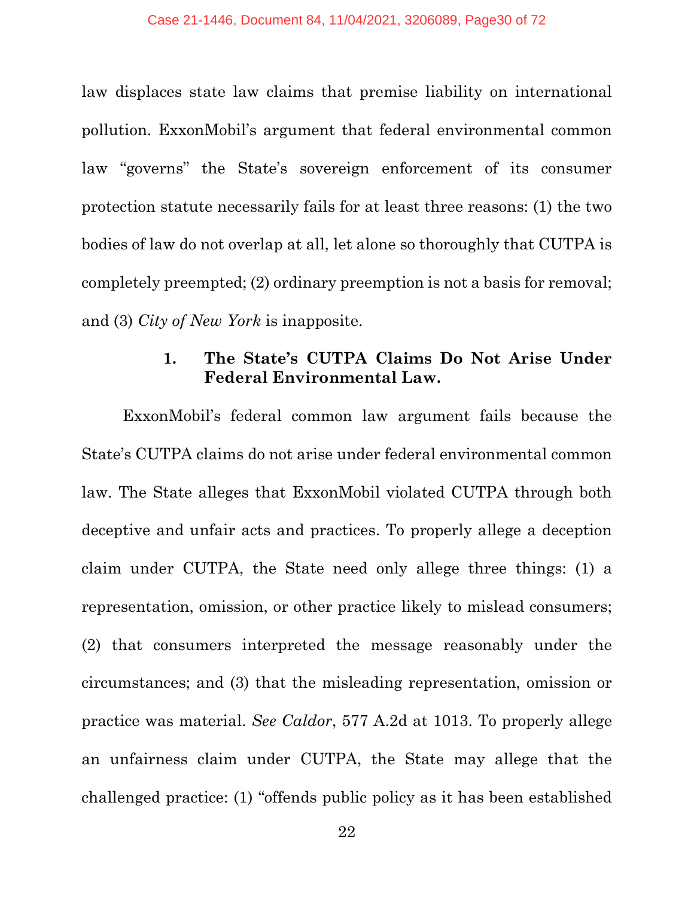law displaces state law claims that premise liability on international pollution. ExxonMobil's argument that federal environmental common law "governs" the State's sovereign enforcement of its consumer protection statute necessarily fails for at least three reasons: (1) the two bodies of law do not overlap at all, let alone so thoroughly that CUTPA is completely preempted; (2) ordinary preemption is not a basis for removal; and (3) *City of New York* is inapposite.

## **1. The State's CUTPA Claims Do Not Arise Under Federal Environmental Law.**

ExxonMobil's federal common law argument fails because the State's CUTPA claims do not arise under federal environmental common law. The State alleges that ExxonMobil violated CUTPA through both deceptive and unfair acts and practices. To properly allege a deception claim under CUTPA, the State need only allege three things: (1) a representation, omission, or other practice likely to mislead consumers; (2) that consumers interpreted the message reasonably under the circumstances; and (3) that the misleading representation, omission or practice was material. *See Caldor*, 577 A.2d at 1013. To properly allege an unfairness claim under CUTPA, the State may allege that the challenged practice: (1) "offends public policy as it has been established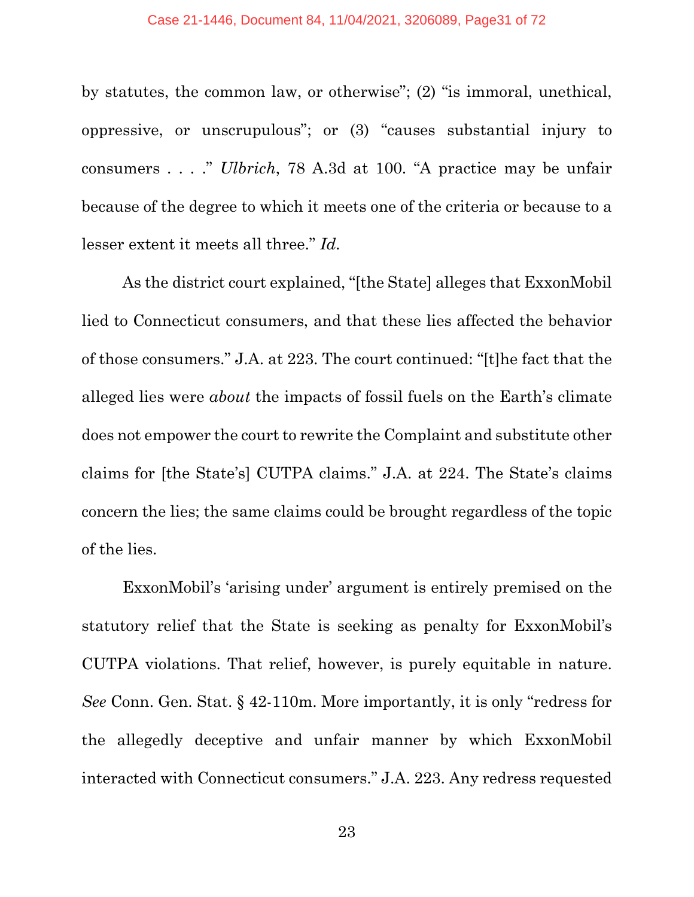by statutes, the common law, or otherwise"; (2) "is immoral, unethical, oppressive, or unscrupulous"; or (3) "causes substantial injury to consumers . . . ." *Ulbrich*, 78 A.3d at 100. "A practice may be unfair because of the degree to which it meets one of the criteria or because to a lesser extent it meets all three." *Id.*

As the district court explained, "[the State] alleges that ExxonMobil lied to Connecticut consumers, and that these lies affected the behavior of those consumers." J.A. at 223. The court continued: "[t]he fact that the alleged lies were *about* the impacts of fossil fuels on the Earth's climate does not empower the court to rewrite the Complaint and substitute other claims for [the State's] CUTPA claims." J.A. at 224. The State's claims concern the lies; the same claims could be brought regardless of the topic of the lies.

ExxonMobil's 'arising under' argument is entirely premised on the statutory relief that the State is seeking as penalty for ExxonMobil's CUTPA violations. That relief, however, is purely equitable in nature. *See* Conn. Gen. Stat. § 42-110m. More importantly, it is only "redress for the allegedly deceptive and unfair manner by which ExxonMobil interacted with Connecticut consumers." J.A. 223. Any redress requested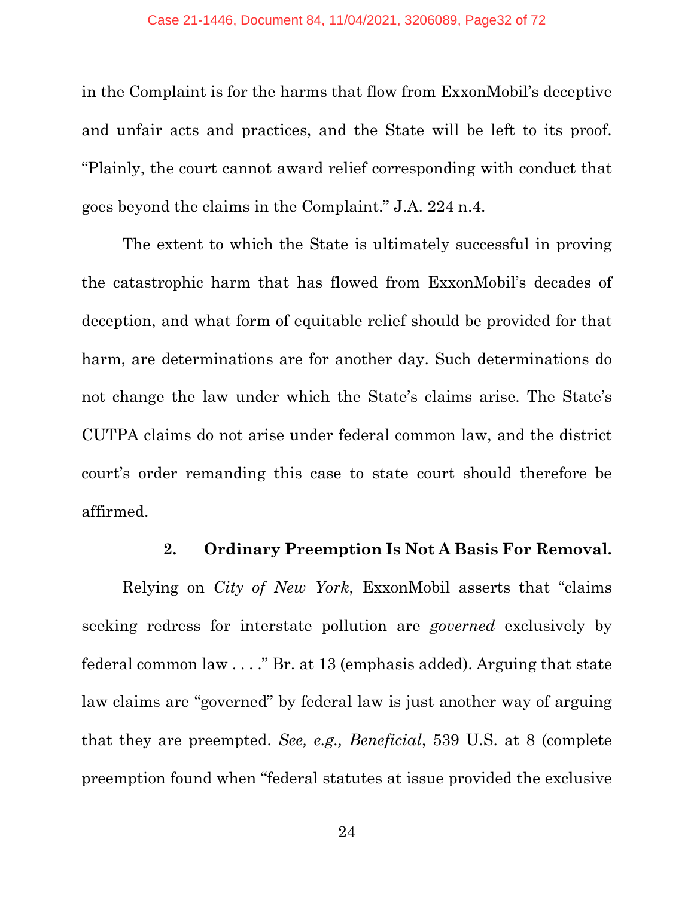in the Complaint is for the harms that flow from ExxonMobil's deceptive and unfair acts and practices, and the State will be left to its proof. "Plainly, the court cannot award relief corresponding with conduct that goes beyond the claims in the Complaint." J.A. 224 n.4.

The extent to which the State is ultimately successful in proving the catastrophic harm that has flowed from ExxonMobil's decades of deception, and what form of equitable relief should be provided for that harm, are determinations are for another day. Such determinations do not change the law under which the State's claims arise. The State's CUTPA claims do not arise under federal common law, and the district court's order remanding this case to state court should therefore be affirmed.

#### **2. Ordinary Preemption Is Not A Basis For Removal.**

Relying on *City of New York*, ExxonMobil asserts that "claims seeking redress for interstate pollution are *governed* exclusively by federal common law . . . ." Br. at 13 (emphasis added). Arguing that state law claims are "governed" by federal law is just another way of arguing that they are preempted. *See, e.g., Beneficial*, 539 U.S. at 8 (complete preemption found when "federal statutes at issue provided the exclusive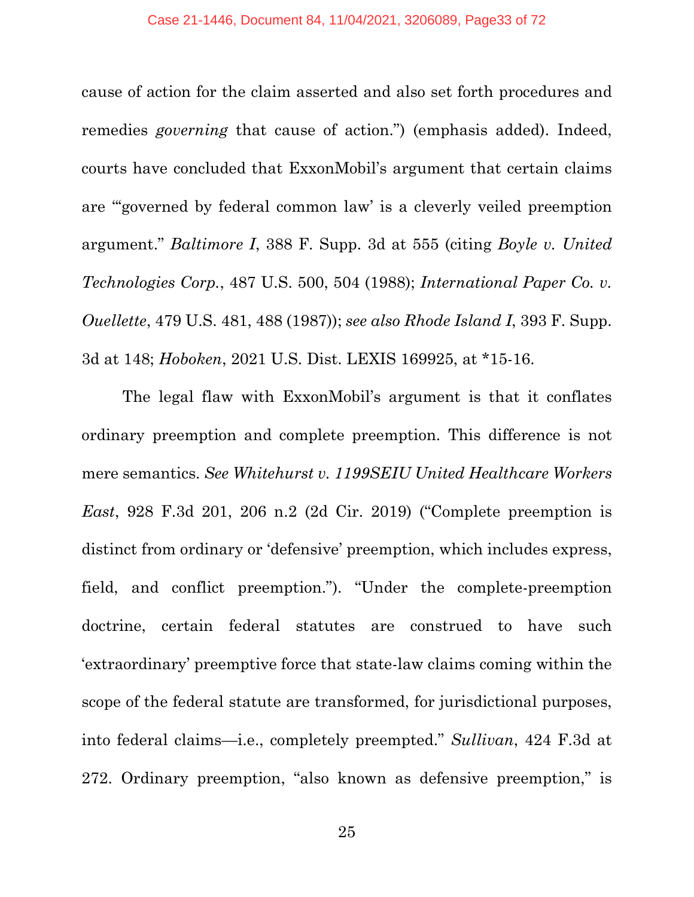cause of action for the claim asserted and also set forth procedures and remedies *governing* that cause of action.") (emphasis added). Indeed, courts have concluded that ExxonMobil's argument that certain claims are "'governed by federal common law' is a cleverly veiled preemption argument." *Baltimore I*, 388 F. Supp. 3d at 555 (citing *Boyle v. United Technologies Corp.*, 487 U.S. 500, 504 (1988); *International Paper Co. v. Ouellette*, 479 U.S. 481, 488 (1987)); *see also Rhode Island I*, 393 F. Supp. 3d at 148; *Hoboken*, 2021 U.S. Dist. LEXIS 169925, at \*15-16.

The legal flaw with ExxonMobil's argument is that it conflates ordinary preemption and complete preemption. This difference is not mere semantics. *See Whitehurst v. 1199SEIU United Healthcare Workers East*, 928 F.3d 201, 206 n.2 (2d Cir. 2019) ("Complete preemption is distinct from ordinary or 'defensive' preemption, which includes express, field, and conflict preemption."). "Under the complete-preemption doctrine, certain federal statutes are construed to have such 'extraordinary' preemptive force that state-law claims coming within the scope of the federal statute are transformed, for jurisdictional purposes, into federal claims—i.e., completely preempted." *Sullivan*, 424 F.3d at 272. Ordinary preemption, "also known as defensive preemption," is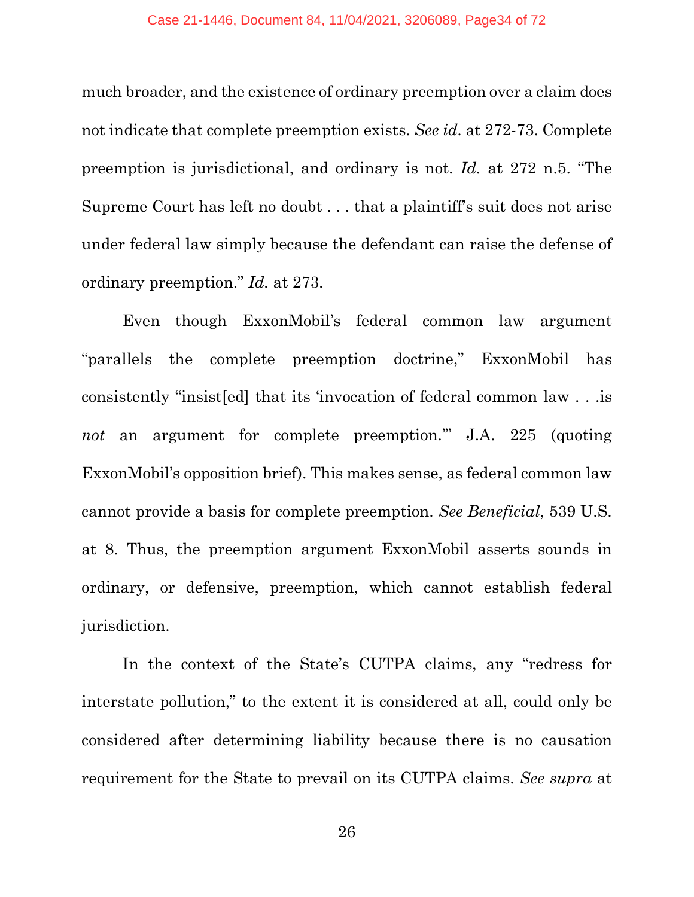much broader, and the existence of ordinary preemption over a claim does not indicate that complete preemption exists. *See id.* at 272-73. Complete preemption is jurisdictional, and ordinary is not. *Id.* at 272 n.5. "The Supreme Court has left no doubt . . . that a plaintiff's suit does not arise under federal law simply because the defendant can raise the defense of ordinary preemption." *Id.* at 273.

Even though ExxonMobil's federal common law argument "parallels the complete preemption doctrine," ExxonMobil has consistently "insist[ed] that its 'invocation of federal common law . . .is *not* an argument for complete preemption.'" J.A. 225 (quoting ExxonMobil's opposition brief). This makes sense, as federal common law cannot provide a basis for complete preemption. *See Beneficial*, 539 U.S. at 8. Thus, the preemption argument ExxonMobil asserts sounds in ordinary, or defensive, preemption, which cannot establish federal jurisdiction.

In the context of the State's CUTPA claims, any "redress for interstate pollution," to the extent it is considered at all, could only be considered after determining liability because there is no causation requirement for the State to prevail on its CUTPA claims. *See supra* at

26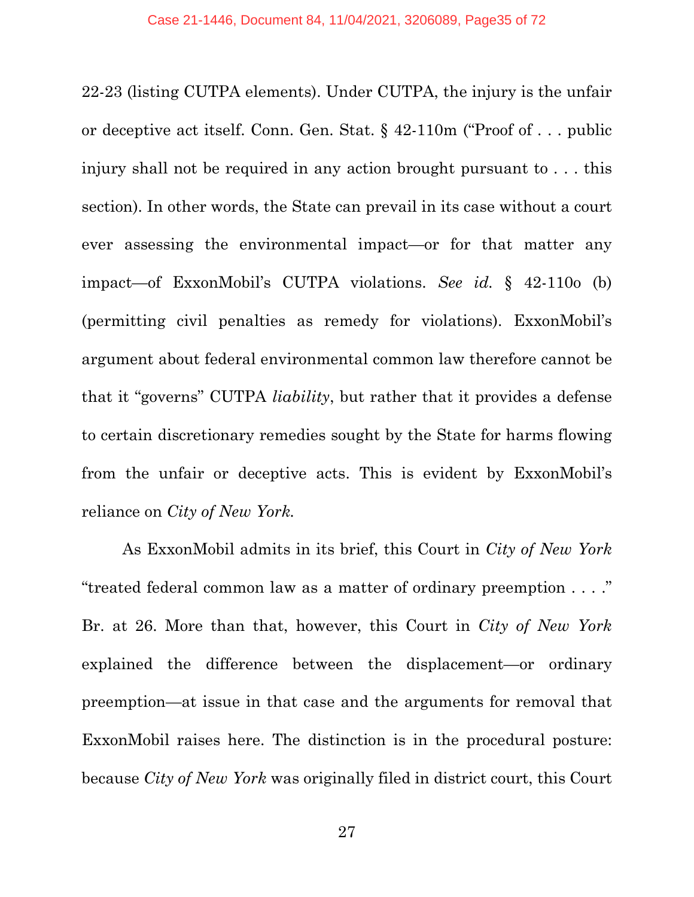22-23 (listing CUTPA elements). Under CUTPA, the injury is the unfair or deceptive act itself. Conn. Gen. Stat. § 42-110m ("Proof of . . . public injury shall not be required in any action brought pursuant to . . . this section). In other words, the State can prevail in its case without a court ever assessing the environmental impact—or for that matter any impact—of ExxonMobil's CUTPA violations. *See id.* § 42-110o (b) (permitting civil penalties as remedy for violations). ExxonMobil's argument about federal environmental common law therefore cannot be that it "governs" CUTPA *liability*, but rather that it provides a defense to certain discretionary remedies sought by the State for harms flowing from the unfair or deceptive acts. This is evident by ExxonMobil's reliance on *City of New York.*

As ExxonMobil admits in its brief, this Court in *City of New York*  "treated federal common law as a matter of ordinary preemption . . . ." Br. at 26. More than that, however, this Court in *City of New York*  explained the difference between the displacement—or ordinary preemption—at issue in that case and the arguments for removal that ExxonMobil raises here. The distinction is in the procedural posture: because *City of New York* was originally filed in district court, this Court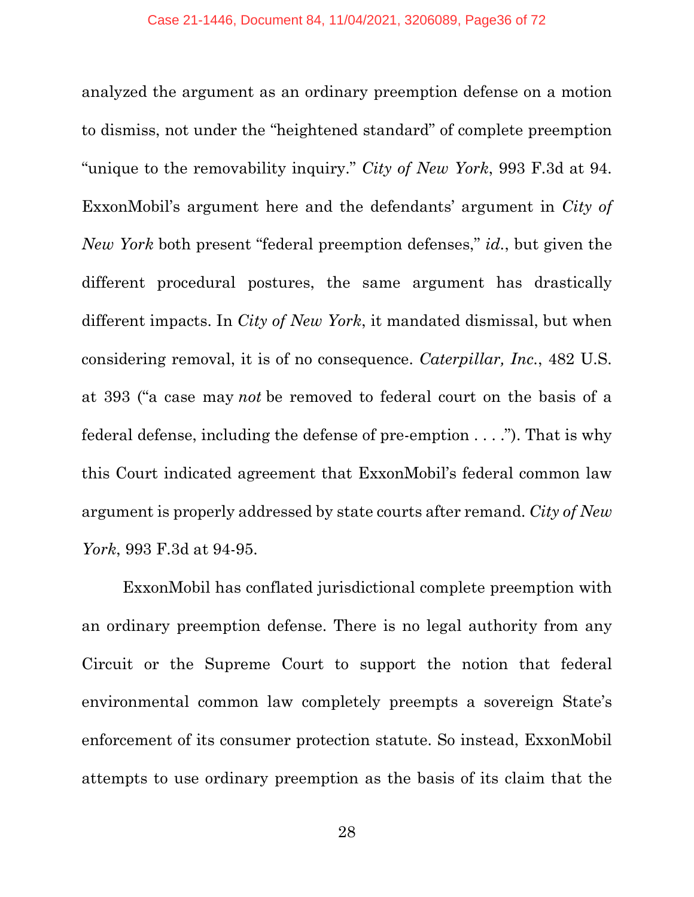analyzed the argument as an ordinary preemption defense on a motion to dismiss, not under the "heightened standard" of complete preemption "unique to the removability inquiry." *City of New York*, 993 F.3d at 94. ExxonMobil's argument here and the defendants' argument in *City of New York* both present "federal preemption defenses," *id.*, but given the different procedural postures, the same argument has drastically different impacts. In *City of New York*, it mandated dismissal, but when considering removal, it is of no consequence. *Caterpillar, Inc.*, 482 U.S. at 393 ("a case may *not* be removed to federal court on the basis of a federal defense, including the defense of pre-emption . . . ."). That is why this Court indicated agreement that ExxonMobil's federal common law argument is properly addressed by state courts after remand. *City of New York*, 993 F.3d at 94-95.

ExxonMobil has conflated jurisdictional complete preemption with an ordinary preemption defense. There is no legal authority from any Circuit or the Supreme Court to support the notion that federal environmental common law completely preempts a sovereign State's enforcement of its consumer protection statute. So instead, ExxonMobil attempts to use ordinary preemption as the basis of its claim that the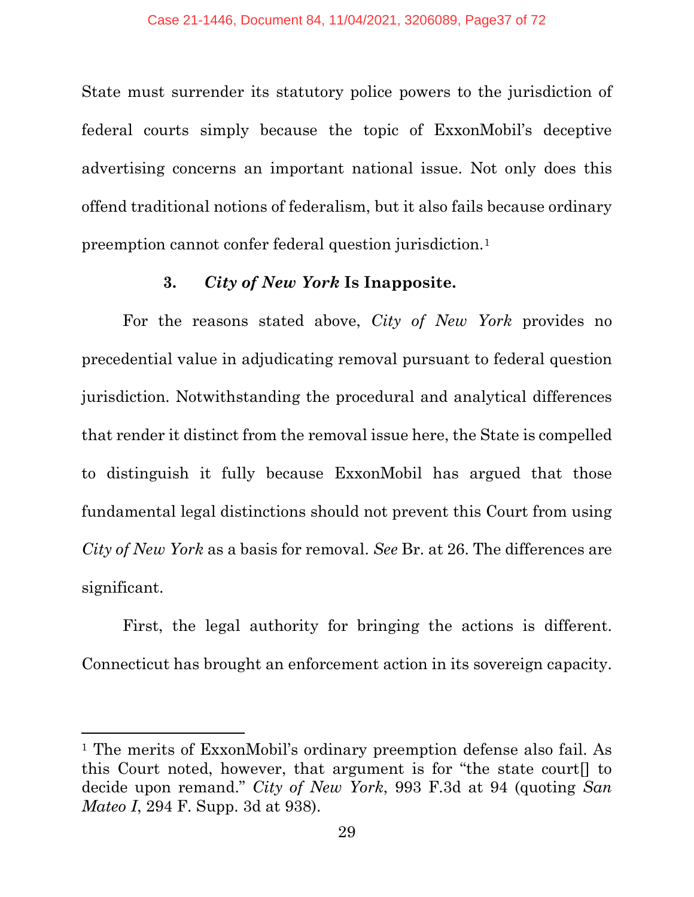State must surrender its statutory police powers to the jurisdiction of federal courts simply because the topic of ExxonMobil's deceptive advertising concerns an important national issue. Not only does this offend traditional notions of federalism, but it also fails because ordinary preemption cannot confer federal question jurisdiction.[1](#page-36-0)

### **3.** *City of New York* **Is Inapposite.**

For the reasons stated above, *City of New York* provides no precedential value in adjudicating removal pursuant to federal question jurisdiction. Notwithstanding the procedural and analytical differences that render it distinct from the removal issue here, the State is compelled to distinguish it fully because ExxonMobil has argued that those fundamental legal distinctions should not prevent this Court from using *City of New York* as a basis for removal. *See* Br. at 26. The differences are significant.

First, the legal authority for bringing the actions is different. Connecticut has brought an enforcement action in its sovereign capacity.

<span id="page-36-0"></span><sup>1</sup> The merits of ExxonMobil's ordinary preemption defense also fail. As this Court noted, however, that argument is for "the state court[] to decide upon remand." *City of New York*, 993 F.3d at 94 (quoting *San Mateo I*, 294 F. Supp. 3d at 938).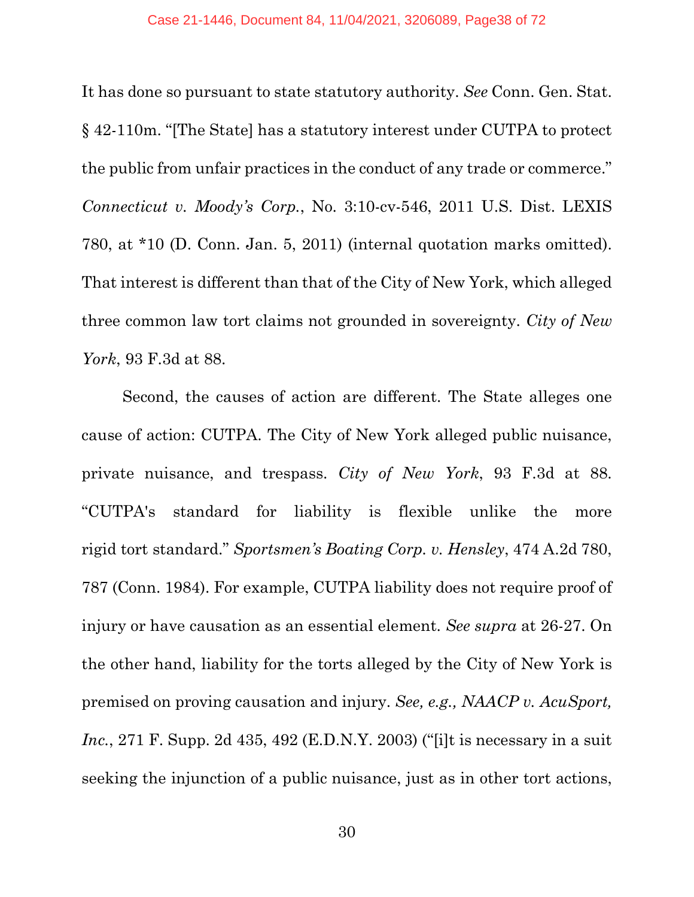It has done so pursuant to state statutory authority. *See* Conn. Gen. Stat. § 42-110m. "[The State] has a statutory interest under CUTPA to protect the public from unfair practices in the conduct of any trade or commerce." *Connecticut v. Moody's Corp.*, No. 3:10-cv-546, 2011 U.S. Dist. LEXIS 780, at \*10 (D. Conn. Jan. 5, 2011) (internal quotation marks omitted). That interest is different than that of the City of New York, which alleged three common law tort claims not grounded in sovereignty. *City of New York*, 93 F.3d at 88.

Second, the causes of action are different. The State alleges one cause of action: CUTPA. The City of New York alleged public nuisance, private nuisance, and trespass. *City of New York*, 93 F.3d at 88. "CUTPA's standard for liability is flexible unlike the more rigid tort standard." *Sportsmen's Boating Corp. v. Hensley*, 474 A.2d 780, 787 (Conn. 1984). For example, CUTPA liability does not require proof of injury or have causation as an essential element. *See supra* at 26-27. On the other hand, liability for the torts alleged by the City of New York is premised on proving causation and injury. *See, e.g., NAACP v. AcuSport, Inc.*, 271 F. Supp. 2d 435, 492 (E.D.N.Y. 2003) ("[i]t is necessary in a suit seeking the injunction of a public nuisance, just as in other tort actions,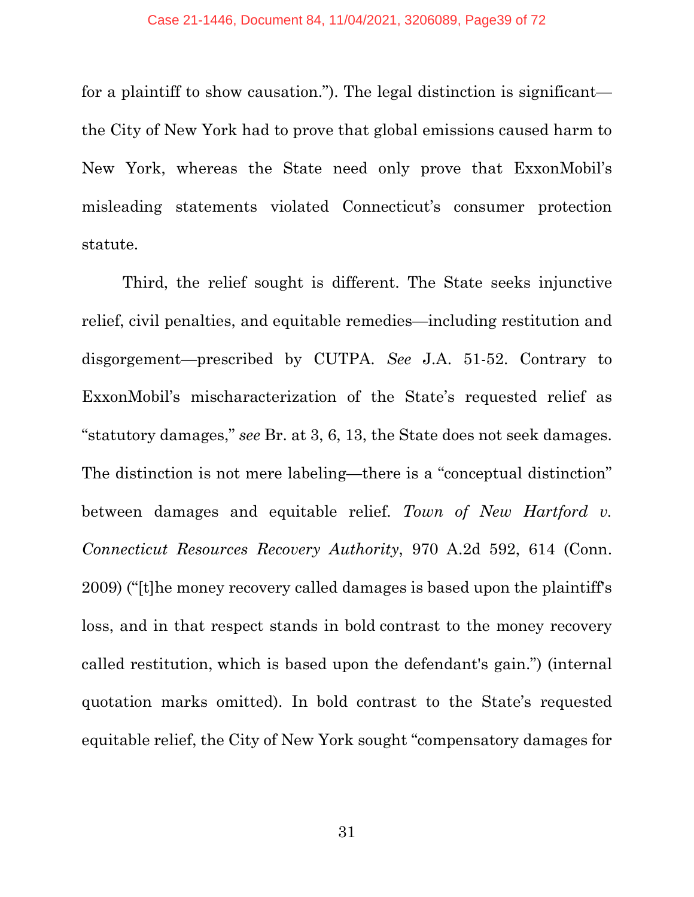for a plaintiff to show causation."). The legal distinction is significant the City of New York had to prove that global emissions caused harm to New York, whereas the State need only prove that ExxonMobil's misleading statements violated Connecticut's consumer protection statute.

Third, the relief sought is different. The State seeks injunctive relief, civil penalties, and equitable remedies—including restitution and disgorgement—prescribed by CUTPA. *See* J.A. 51-52. Contrary to ExxonMobil's mischaracterization of the State's requested relief as "statutory damages," *see* Br. at 3, 6, 13, the State does not seek damages. The distinction is not mere labeling—there is a "conceptual distinction" between damages and equitable relief. *Town of New Hartford v. Connecticut Resources Recovery Authority*, 970 A.2d 592, 614 (Conn. 2009) ("[t]he money recovery called damages is based upon the plaintiff's loss, and in that respect stands in bold contrast to the money recovery called restitution, which is based upon the defendant's gain.") (internal quotation marks omitted). In bold contrast to the State's requested equitable relief, the City of New York sought "compensatory damages for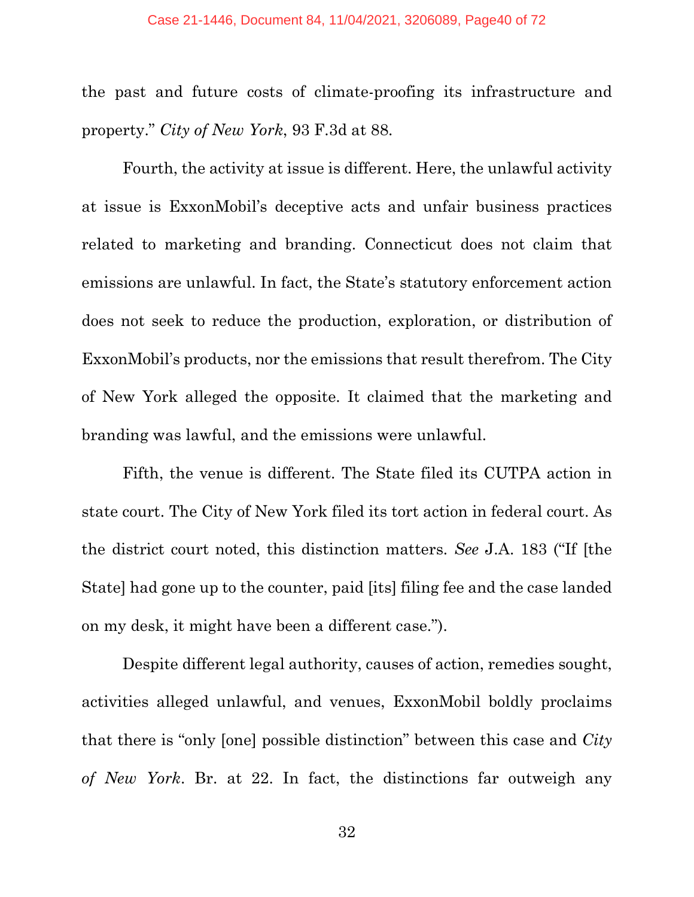the past and future costs of climate-proofing its infrastructure and property." *City of New York*, 93 F.3d at 88.

Fourth, the activity at issue is different. Here, the unlawful activity at issue is ExxonMobil's deceptive acts and unfair business practices related to marketing and branding. Connecticut does not claim that emissions are unlawful. In fact, the State's statutory enforcement action does not seek to reduce the production, exploration, or distribution of ExxonMobil's products, nor the emissions that result therefrom. The City of New York alleged the opposite. It claimed that the marketing and branding was lawful, and the emissions were unlawful.

Fifth, the venue is different. The State filed its CUTPA action in state court. The City of New York filed its tort action in federal court. As the district court noted, this distinction matters. *See* J.A. 183 ("If [the State] had gone up to the counter, paid [its] filing fee and the case landed on my desk, it might have been a different case.").

Despite different legal authority, causes of action, remedies sought, activities alleged unlawful, and venues, ExxonMobil boldly proclaims that there is "only [one] possible distinction" between this case and *City of New York*. Br. at 22. In fact, the distinctions far outweigh any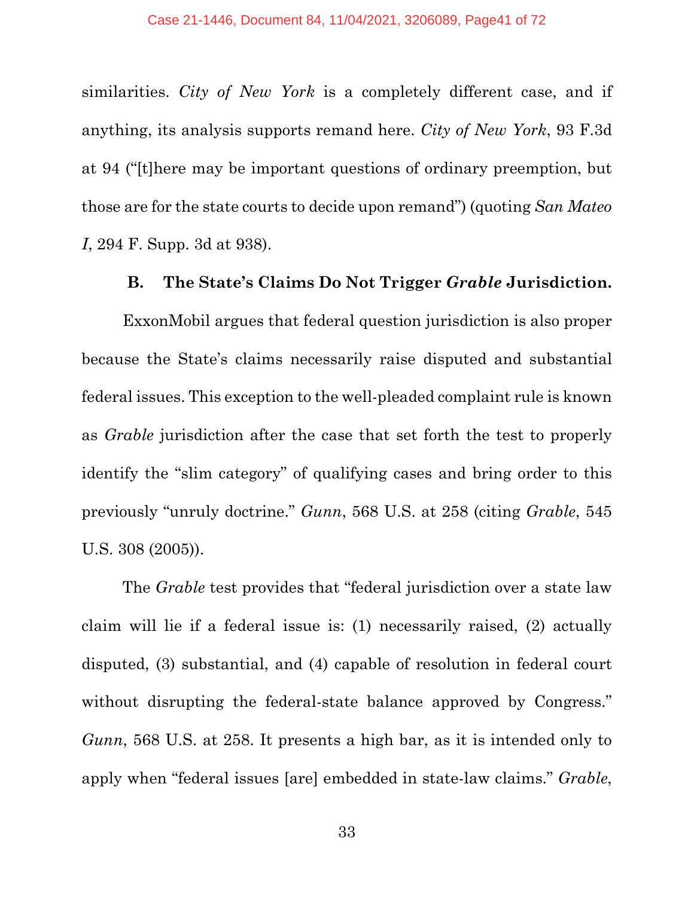similarities. *City of New York* is a completely different case, and if anything, its analysis supports remand here. *City of New York*, 93 F.3d at 94 ("[t]here may be important questions of ordinary preemption, but those are for the state courts to decide upon remand") (quoting *San Mateo I*, 294 F. Supp. 3d at 938).

#### **B. The State's Claims Do Not Trigger** *Grable* **Jurisdiction.**

ExxonMobil argues that federal question jurisdiction is also proper because the State's claims necessarily raise disputed and substantial federal issues. This exception to the well-pleaded complaint rule is known as *Grable* jurisdiction after the case that set forth the test to properly identify the "slim category" of qualifying cases and bring order to this previously "unruly doctrine." *Gunn*, 568 U.S. at 258 (citing *Grable*, 545 U.S. 308 (2005)).

The *Grable* test provides that "federal jurisdiction over a state law claim will lie if a federal issue is: (1) necessarily raised, (2) actually disputed, (3) substantial, and (4) capable of resolution in federal court without disrupting the federal-state balance approved by Congress." *Gunn*, 568 U.S. at 258. It presents a high bar, as it is intended only to apply when "federal issues [are] embedded in state-law claims." *Grable*,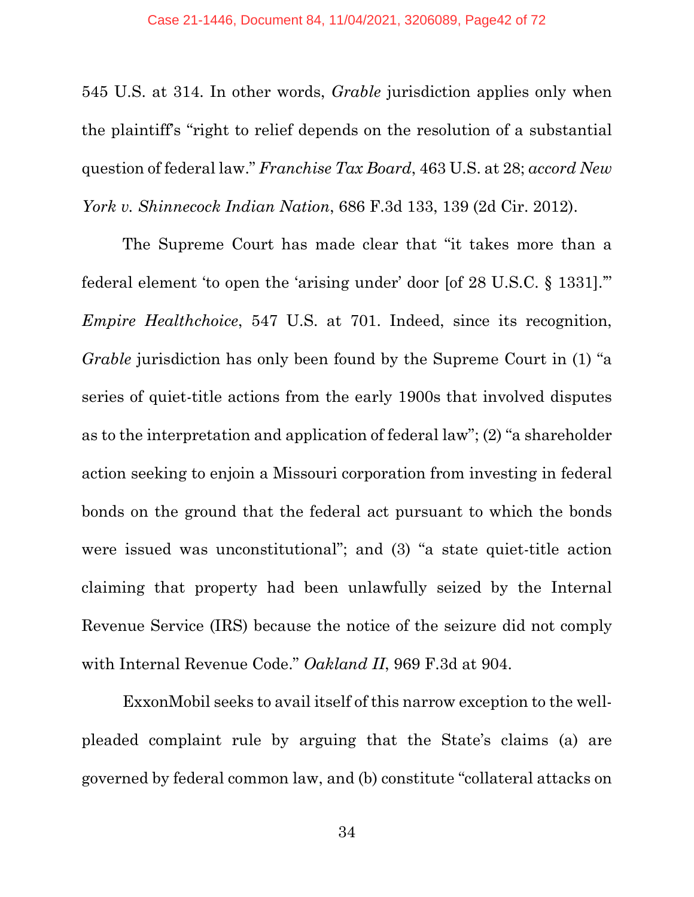545 U.S. at 314. In other words, *Grable* jurisdiction applies only when the plaintiff's "right to relief depends on the resolution of a substantial question of federal law." *Franchise Tax Board*, 463 U.S. at 28; *accord New York v. Shinnecock Indian Nation*, 686 F.3d 133, 139 (2d Cir. 2012).

The Supreme Court has made clear that "it takes more than a federal element 'to open the 'arising under' door [of 28 U.S.C. § 1331].'" *Empire Healthchoice*, 547 U.S. at 701. Indeed, since its recognition, *Grable* jurisdiction has only been found by the Supreme Court in (1) "a series of quiet-title actions from the early 1900s that involved disputes as to the interpretation and application of federal law"; (2) "a shareholder action seeking to enjoin a Missouri corporation from investing in federal bonds on the ground that the federal act pursuant to which the bonds were issued was unconstitutional"; and (3) "a state quiet-title action claiming that property had been unlawfully seized by the Internal Revenue Service (IRS) because the notice of the seizure did not comply with Internal Revenue Code." *Oakland II*, 969 F.3d at 904.

ExxonMobil seeks to avail itself of this narrow exception to the wellpleaded complaint rule by arguing that the State's claims (a) are governed by federal common law, and (b) constitute "collateral attacks on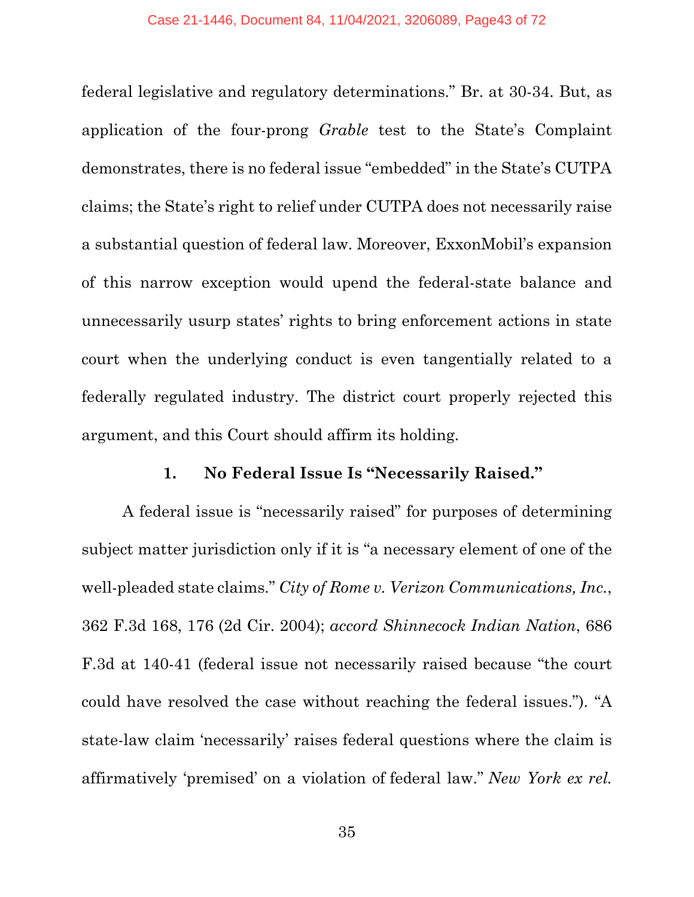federal legislative and regulatory determinations." Br. at 30-34. But, as application of the four-prong *Grable* test to the State's Complaint demonstrates, there is no federal issue "embedded" in the State's CUTPA claims; the State's right to relief under CUTPA does not necessarily raise a substantial question of federal law. Moreover, ExxonMobil's expansion of this narrow exception would upend the federal-state balance and unnecessarily usurp states' rights to bring enforcement actions in state court when the underlying conduct is even tangentially related to a federally regulated industry. The district court properly rejected this argument, and this Court should affirm its holding.

#### **1. No Federal Issue Is "Necessarily Raised."**

A federal issue is "necessarily raised" for purposes of determining subject matter jurisdiction only if it is "a necessary element of one of the well-pleaded state claims." *City of Rome v. Verizon Communications, Inc.*, 362 F.3d 168, 176 (2d Cir. 2004); *accord Shinnecock Indian Nation*, 686 F.3d at 140-41 (federal issue not necessarily raised because "the court could have resolved the case without reaching the federal issues."). "A state-law claim 'necessarily' raises federal questions where the claim is affirmatively 'premised' on a violation of federal law." *New York ex rel.*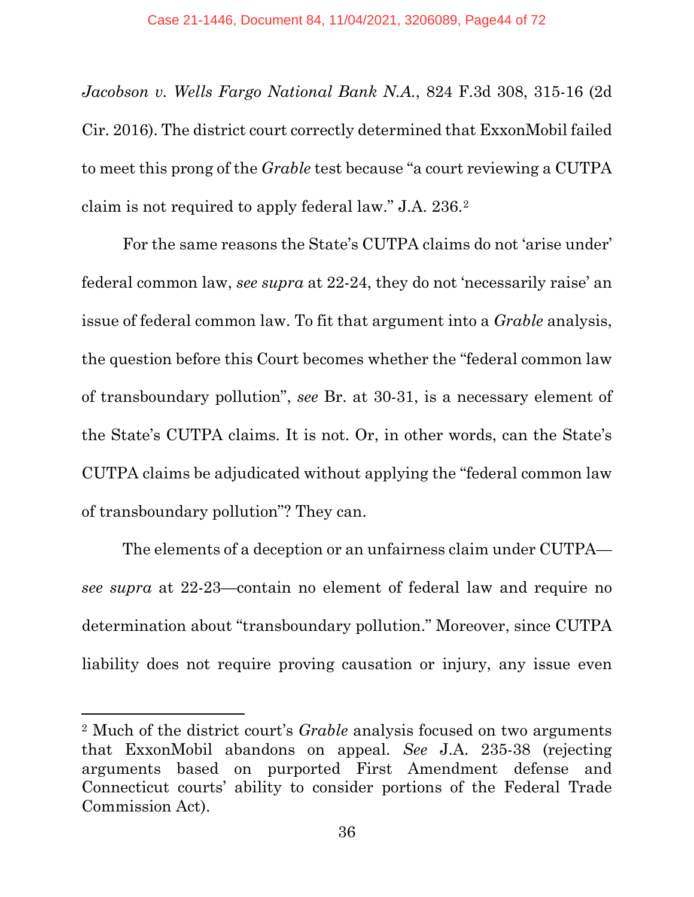*Jacobson v. Wells Fargo National Bank N.A.*, 824 F.3d 308, 315-16 (2d Cir. 2016). The district court correctly determined that ExxonMobil failed to meet this prong of the *Grable* test because "a court reviewing a CUTPA claim is not required to apply federal law." J.A. 236.[2](#page-43-0)

For the same reasons the State's CUTPA claims do not 'arise under' federal common law, *see supra* at 22-24, they do not 'necessarily raise' an issue of federal common law. To fit that argument into a *Grable* analysis, the question before this Court becomes whether the "federal common law of transboundary pollution", *see* Br. at 30-31, is a necessary element of the State's CUTPA claims. It is not. Or, in other words, can the State's CUTPA claims be adjudicated without applying the "federal common law of transboundary pollution"? They can.

The elements of a deception or an unfairness claim under CUTPA *see supra* at 22-23—contain no element of federal law and require no determination about "transboundary pollution." Moreover, since CUTPA liability does not require proving causation or injury, any issue even

<span id="page-43-0"></span><sup>2</sup> Much of the district court's *Grable* analysis focused on two arguments that ExxonMobil abandons on appeal. *See* J.A. 235-38 (rejecting arguments based on purported First Amendment defense and Connecticut courts' ability to consider portions of the Federal Trade Commission Act).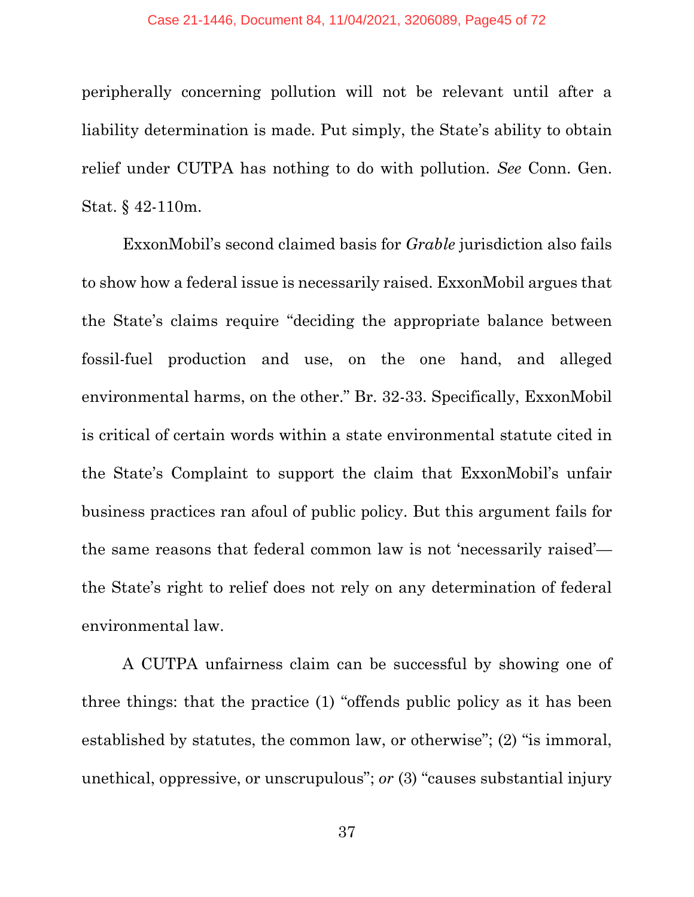#### Case 21-1446, Document 84, 11/04/2021, 3206089, Page45 of 72

peripherally concerning pollution will not be relevant until after a liability determination is made. Put simply, the State's ability to obtain relief under CUTPA has nothing to do with pollution. *See* Conn. Gen. Stat. § 42-110m.

ExxonMobil's second claimed basis for *Grable* jurisdiction also fails to show how a federal issue is necessarily raised. ExxonMobil argues that the State's claims require "deciding the appropriate balance between fossil-fuel production and use, on the one hand, and alleged environmental harms, on the other." Br. 32-33. Specifically, ExxonMobil is critical of certain words within a state environmental statute cited in the State's Complaint to support the claim that ExxonMobil's unfair business practices ran afoul of public policy. But this argument fails for the same reasons that federal common law is not 'necessarily raised' the State's right to relief does not rely on any determination of federal environmental law.

A CUTPA unfairness claim can be successful by showing one of three things: that the practice (1) "offends public policy as it has been established by statutes, the common law, or otherwise"; (2) "is immoral, unethical, oppressive, or unscrupulous"; *or* (3) "causes substantial injury

37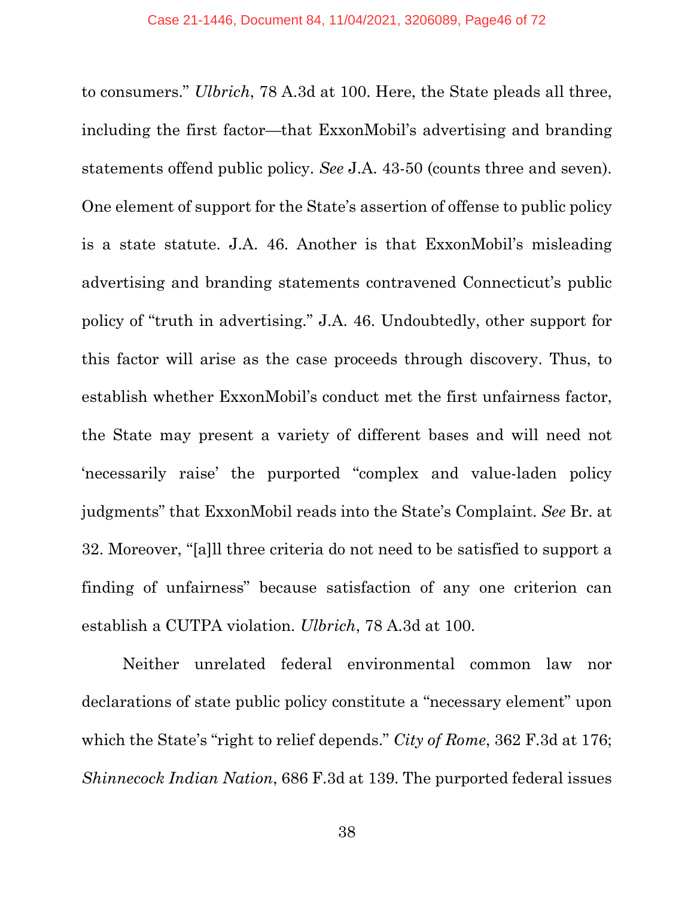to consumers." *Ulbrich*, 78 A.3d at 100. Here, the State pleads all three, including the first factor—that ExxonMobil's advertising and branding statements offend public policy. *See* J.A. 43-50 (counts three and seven). One element of support for the State's assertion of offense to public policy is a state statute. J.A. 46. Another is that ExxonMobil's misleading advertising and branding statements contravened Connecticut's public policy of "truth in advertising." J.A. 46. Undoubtedly, other support for this factor will arise as the case proceeds through discovery. Thus, to establish whether ExxonMobil's conduct met the first unfairness factor, the State may present a variety of different bases and will need not 'necessarily raise' the purported "complex and value-laden policy judgments" that ExxonMobil reads into the State's Complaint. *See* Br. at 32. Moreover, "[a]ll three criteria do not need to be satisfied to support a finding of unfairness" because satisfaction of any one criterion can establish a CUTPA violation. *Ulbrich*, 78 A.3d at 100.

Neither unrelated federal environmental common law nor declarations of state public policy constitute a "necessary element" upon which the State's "right to relief depends." *City of Rome*, 362 F.3d at 176; *Shinnecock Indian Nation*, 686 F.3d at 139. The purported federal issues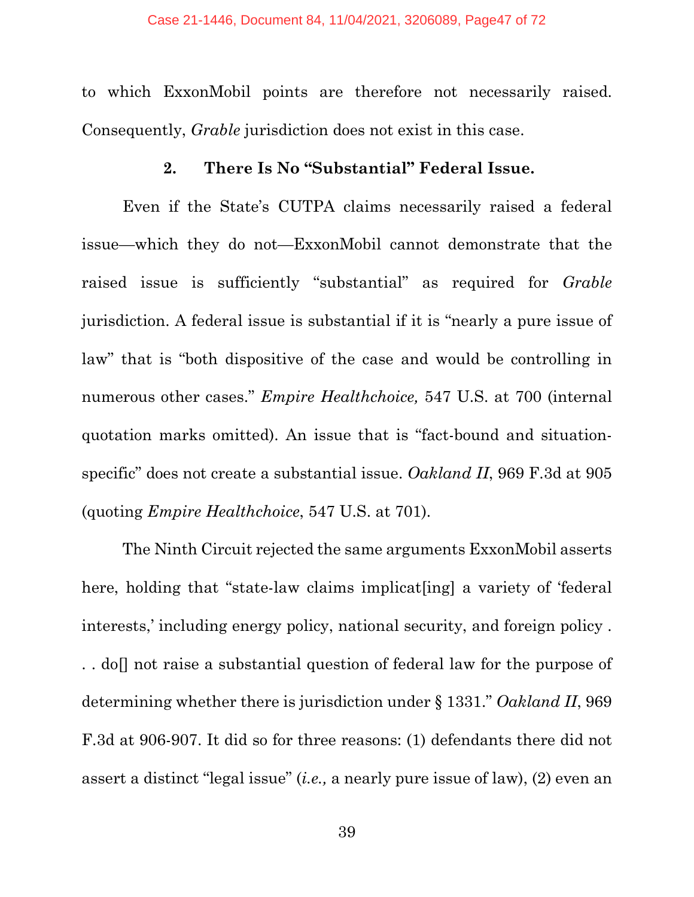to which ExxonMobil points are therefore not necessarily raised. Consequently, *Grable* jurisdiction does not exist in this case.

### **2. There Is No "Substantial" Federal Issue.**

Even if the State's CUTPA claims necessarily raised a federal issue—which they do not—ExxonMobil cannot demonstrate that the raised issue is sufficiently "substantial" as required for *Grable* jurisdiction. A federal issue is substantial if it is "nearly a pure issue of law" that is "both dispositive of the case and would be controlling in numerous other cases." *Empire Healthchoice,* 547 U.S. at 700 (internal quotation marks omitted). An issue that is "fact-bound and situationspecific" does not create a substantial issue. *Oakland II*, 969 F.3d at 905 (quoting *Empire Healthchoice*, 547 U.S. at 701).

The Ninth Circuit rejected the same arguments ExxonMobil asserts here, holding that "state-law claims implicat[ing] a variety of 'federal interests,' including energy policy, national security, and foreign policy . .. do not raise a substantial question of federal law for the purpose of determining whether there is jurisdiction under § 1331." *Oakland II*, 969 F.3d at 906-907. It did so for three reasons: (1) defendants there did not assert a distinct "legal issue" (*i.e.,* a nearly pure issue of law), (2) even an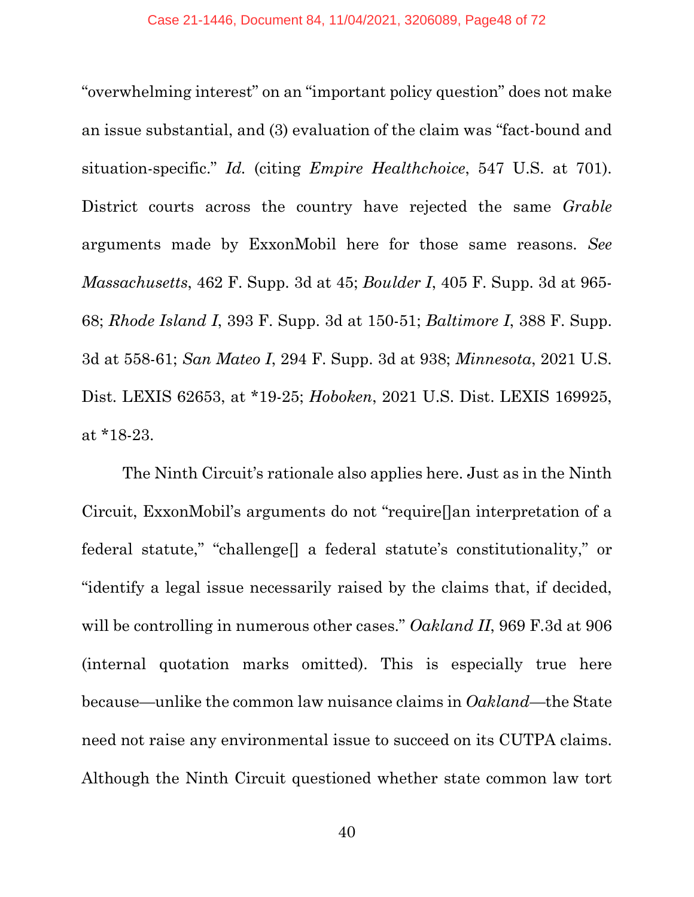"overwhelming interest" on an "important policy question" does not make an issue substantial, and (3) evaluation of the claim was "fact-bound and situation-specific." *Id.* (citing *Empire Healthchoice*, 547 U.S. at 701). District courts across the country have rejected the same *Grable*  arguments made by ExxonMobil here for those same reasons. *See Massachusetts*, 462 F. Supp. 3d at 45; *Boulder I*, 405 F. Supp. 3d at 965- 68; *Rhode Island I*, 393 F. Supp. 3d at 150-51; *Baltimore I*, 388 F. Supp. 3d at 558-61; *San Mateo I*, 294 F. Supp. 3d at 938; *Minnesota*, 2021 U.S. Dist. LEXIS 62653, at \*19-25; *Hoboken*, 2021 U.S. Dist. LEXIS 169925, at \*18-23.

The Ninth Circuit's rationale also applies here. Just as in the Ninth Circuit, ExxonMobil's arguments do not "require[]an interpretation of a federal statute," "challenge[] a federal statute's constitutionality," or "identify a legal issue necessarily raised by the claims that, if decided, will be controlling in numerous other cases." *Oakland II*, 969 F.3d at 906 (internal quotation marks omitted). This is especially true here because—unlike the common law nuisance claims in *Oakland*—the State need not raise any environmental issue to succeed on its CUTPA claims. Although the Ninth Circuit questioned whether state common law tort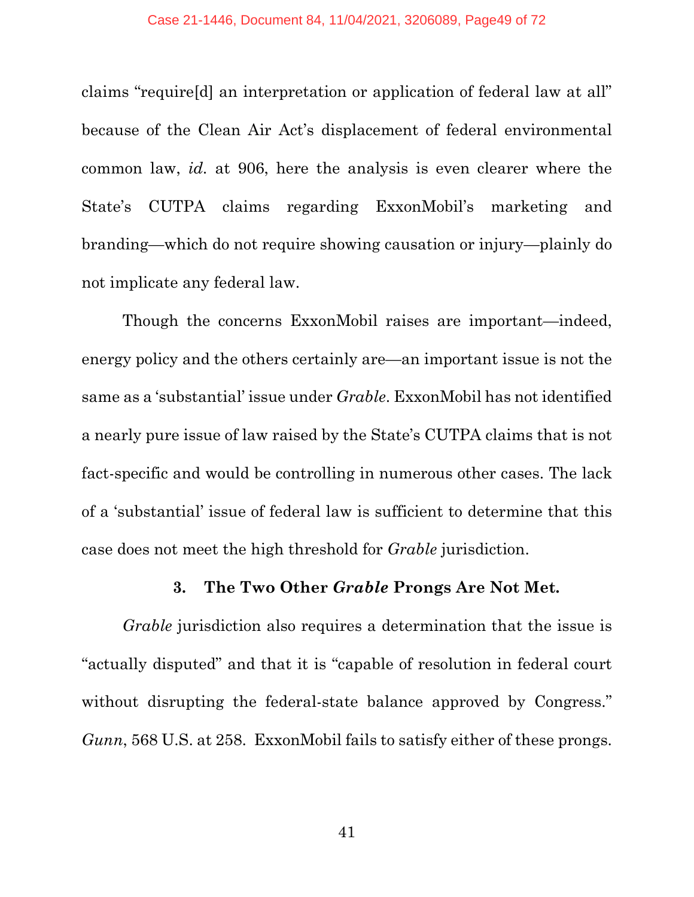claims "require[d] an interpretation or application of federal law at all" because of the Clean Air Act's displacement of federal environmental common law, *id.* at 906, here the analysis is even clearer where the State's CUTPA claims regarding ExxonMobil's marketing and branding—which do not require showing causation or injury—plainly do not implicate any federal law.

Though the concerns ExxonMobil raises are important—indeed, energy policy and the others certainly are—an important issue is not the same as a 'substantial' issue under *Grable*. ExxonMobil has not identified a nearly pure issue of law raised by the State's CUTPA claims that is not fact-specific and would be controlling in numerous other cases. The lack of a 'substantial' issue of federal law is sufficient to determine that this case does not meet the high threshold for *Grable* jurisdiction.

## **3. The Two Other** *Grable* **Prongs Are Not Met.**

*Grable* jurisdiction also requires a determination that the issue is "actually disputed" and that it is "capable of resolution in federal court without disrupting the federal-state balance approved by Congress." *Gunn*, 568 U.S. at 258. ExxonMobil fails to satisfy either of these prongs.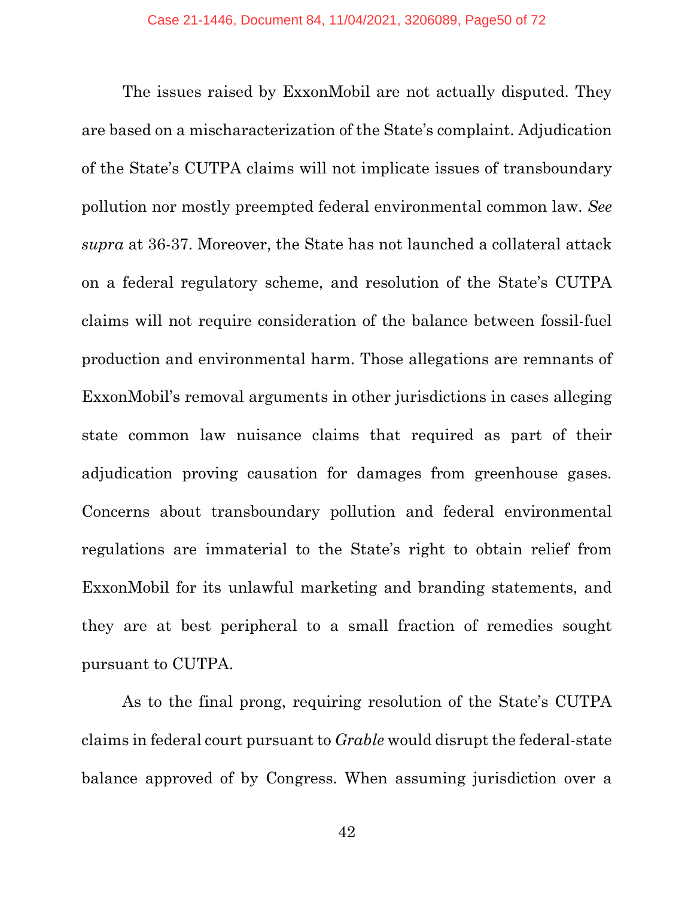The issues raised by ExxonMobil are not actually disputed. They are based on a mischaracterization of the State's complaint. Adjudication of the State's CUTPA claims will not implicate issues of transboundary pollution nor mostly preempted federal environmental common law. *See supra* at 36-37. Moreover, the State has not launched a collateral attack on a federal regulatory scheme, and resolution of the State's CUTPA claims will not require consideration of the balance between fossil-fuel production and environmental harm. Those allegations are remnants of ExxonMobil's removal arguments in other jurisdictions in cases alleging state common law nuisance claims that required as part of their adjudication proving causation for damages from greenhouse gases. Concerns about transboundary pollution and federal environmental regulations are immaterial to the State's right to obtain relief from ExxonMobil for its unlawful marketing and branding statements, and they are at best peripheral to a small fraction of remedies sought pursuant to CUTPA.

As to the final prong, requiring resolution of the State's CUTPA claims in federal court pursuant to *Grable* would disrupt the federal-state balance approved of by Congress. When assuming jurisdiction over a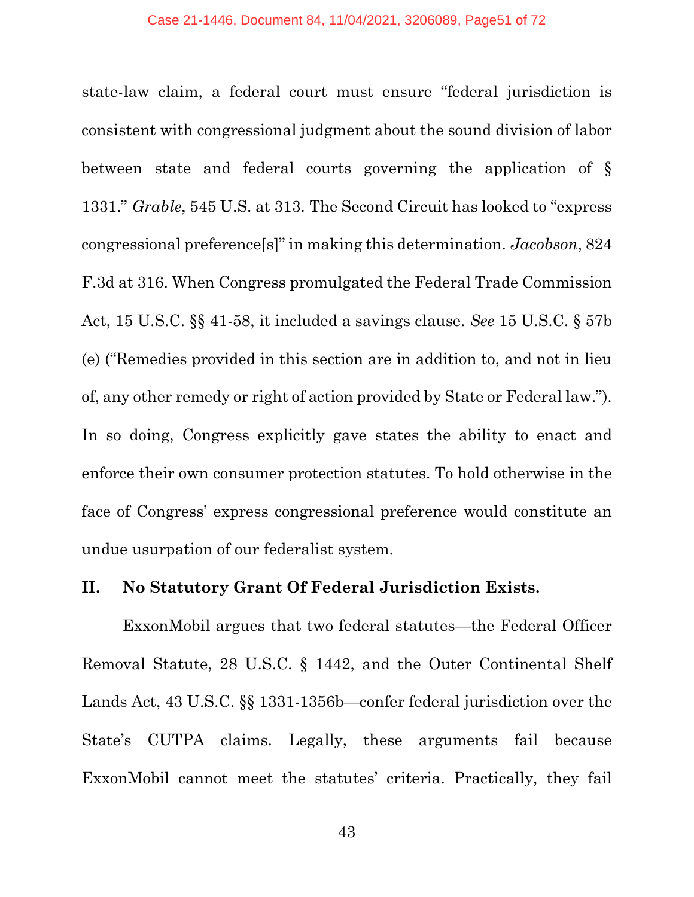state-law claim, a federal court must ensure "federal jurisdiction is consistent with congressional judgment about the sound division of labor between state and federal courts governing the application of § 1331." *Grable*, 545 U.S. at 313. The Second Circuit has looked to "express congressional preference[s]" in making this determination. *Jacobson*, 824 F.3d at 316. When Congress promulgated the Federal Trade Commission Act, 15 U.S.C. §§ 41-58, it included a savings clause. *See* 15 U.S.C. § 57b (e) ("Remedies provided in this section are in addition to, and not in lieu of, any other remedy or right of action provided by State or Federal law."). In so doing, Congress explicitly gave states the ability to enact and enforce their own consumer protection statutes. To hold otherwise in the face of Congress' express congressional preference would constitute an undue usurpation of our federalist system.

### **II. No Statutory Grant Of Federal Jurisdiction Exists.**

ExxonMobil argues that two federal statutes—the Federal Officer Removal Statute, 28 U.S.C. § 1442, and the Outer Continental Shelf Lands Act, 43 U.S.C. §§ 1331-1356b—confer federal jurisdiction over the State's CUTPA claims. Legally, these arguments fail because ExxonMobil cannot meet the statutes' criteria. Practically, they fail

43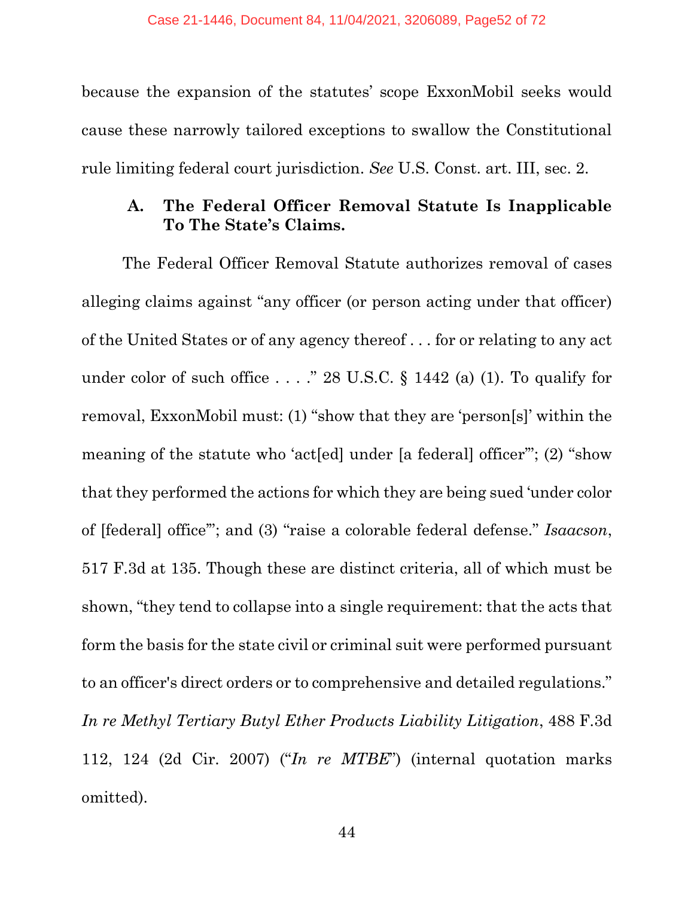because the expansion of the statutes' scope ExxonMobil seeks would cause these narrowly tailored exceptions to swallow the Constitutional rule limiting federal court jurisdiction. *See* U.S. Const. art. III, sec. 2.

# **A. The Federal Officer Removal Statute Is Inapplicable To The State's Claims.**

The Federal Officer Removal Statute authorizes removal of cases alleging claims against "any officer (or person acting under that officer) of the United States or of any agency thereof . . . for or relating to any act under color of such office  $\ldots$  ." 28 U.S.C. § 1442 (a) (1). To qualify for removal, ExxonMobil must: (1) "show that they are 'person[s]' within the meaning of the statute who 'act[ed] under [a federal] officer'"; (2) "show that they performed the actions for which they are being sued 'under color of [federal] office'"; and (3) "raise a colorable federal defense." *Isaacson*, 517 F.3d at 135. Though these are distinct criteria, all of which must be shown, "they tend to collapse into a single requirement: that the acts that form the basis for the state civil or criminal suit were performed pursuant to an officer's direct orders or to comprehensive and detailed regulations." *In re Methyl Tertiary Butyl Ether Products Liability Litigation*, 488 F.3d 112, 124 (2d Cir. 2007) ("*In re MTBE*") (internal quotation marks omitted).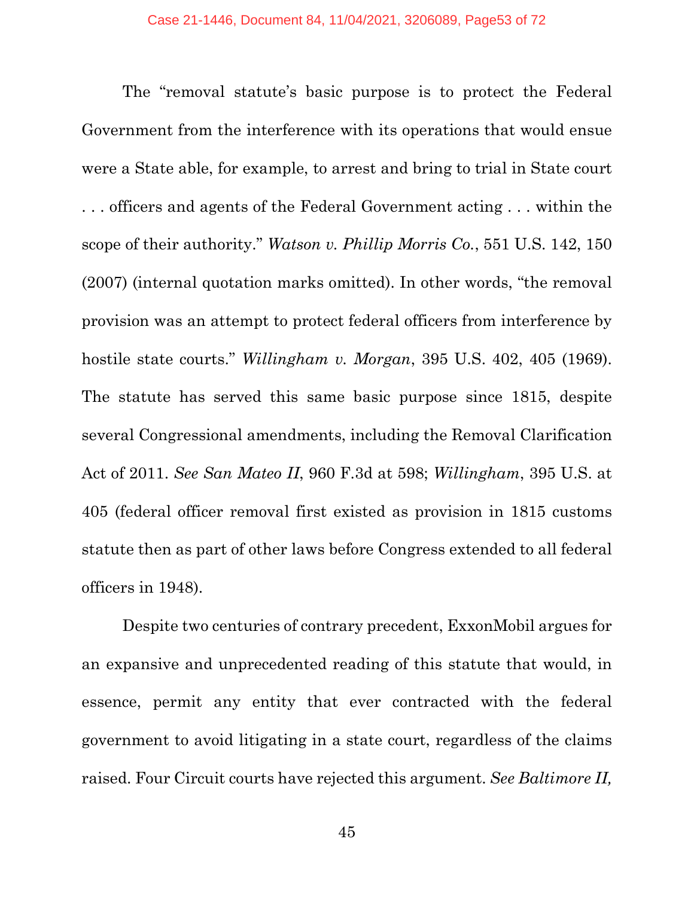The "removal statute's basic purpose is to protect the Federal Government from the interference with its operations that would ensue were a State able, for example, to arrest and bring to trial in State court . . . officers and agents of the Federal Government acting . . . within the scope of their authority." *Watson v. Phillip Morris Co.*, 551 U.S. 142, 150 (2007) (internal quotation marks omitted). In other words, "the removal provision was an attempt to protect federal officers from interference by hostile state courts." *Willingham v. Morgan*, 395 U.S. 402, 405 (1969). The statute has served this same basic purpose since 1815, despite several Congressional amendments, including the Removal Clarification Act of 2011. *See San Mateo II*, 960 F.3d at 598; *Willingham*, 395 U.S. at 405 (federal officer removal first existed as provision in 1815 customs statute then as part of other laws before Congress extended to all federal officers in 1948).

Despite two centuries of contrary precedent, ExxonMobil argues for an expansive and unprecedented reading of this statute that would, in essence, permit any entity that ever contracted with the federal government to avoid litigating in a state court, regardless of the claims raised. Four Circuit courts have rejected this argument. *See Baltimore II,*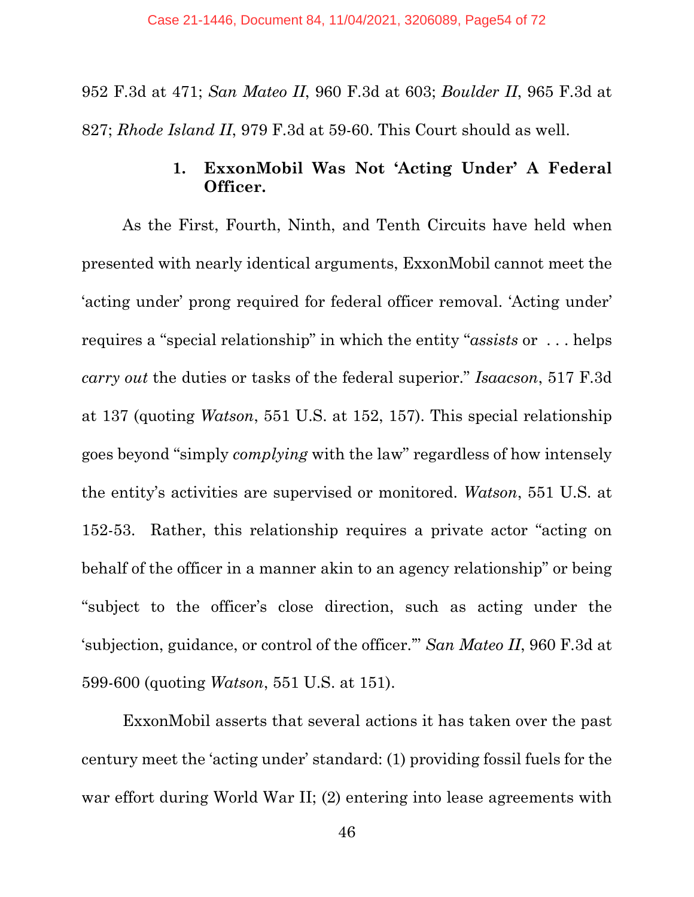952 F.3d at 471; *San Mateo II*, 960 F.3d at 603; *Boulder II*, 965 F.3d at 827; *Rhode Island II*, 979 F.3d at 59-60. This Court should as well.

# **1. ExxonMobil Was Not 'Acting Under' A Federal Officer.**

As the First, Fourth, Ninth, and Tenth Circuits have held when presented with nearly identical arguments, ExxonMobil cannot meet the 'acting under' prong required for federal officer removal. 'Acting under' requires a "special relationship" in which the entity "*assists* or . . . helps *carry out* the duties or tasks of the federal superior." *Isaacson*, 517 F.3d at 137 (quoting *Watson*, 551 U.S. at 152, 157). This special relationship goes beyond "simply *complying* with the law" regardless of how intensely the entity's activities are supervised or monitored. *Watson*, 551 U.S. at 152-53. Rather, this relationship requires a private actor "acting on behalf of the officer in a manner akin to an agency relationship" or being "subject to the officer's close direction, such as acting under the 'subjection, guidance, or control of the officer.'" *San Mateo II*, 960 F.3d at 599-600 (quoting *Watson*, 551 U.S. at 151).

ExxonMobil asserts that several actions it has taken over the past century meet the 'acting under' standard: (1) providing fossil fuels for the war effort during World War II; (2) entering into lease agreements with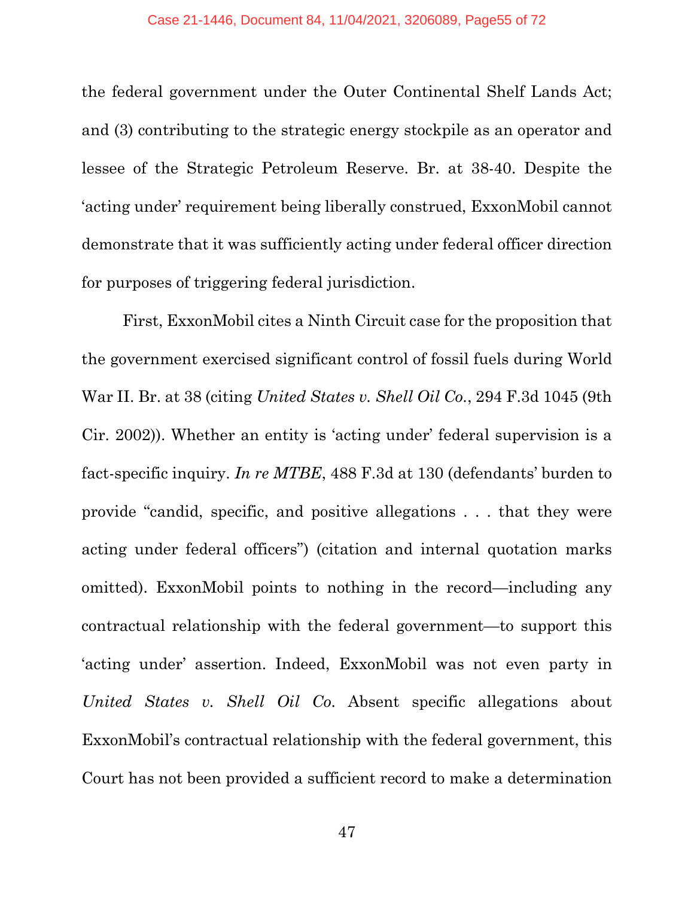the federal government under the Outer Continental Shelf Lands Act; and (3) contributing to the strategic energy stockpile as an operator and lessee of the Strategic Petroleum Reserve. Br. at 38-40. Despite the 'acting under' requirement being liberally construed, ExxonMobil cannot demonstrate that it was sufficiently acting under federal officer direction for purposes of triggering federal jurisdiction.

First, ExxonMobil cites a Ninth Circuit case for the proposition that the government exercised significant control of fossil fuels during World War II. Br. at 38 (citing *United States v. Shell Oil Co.*, 294 F.3d 1045 (9th Cir. 2002)). Whether an entity is 'acting under' federal supervision is a fact-specific inquiry. *In re MTBE*, 488 F.3d at 130 (defendants' burden to provide "candid, specific, and positive allegations . . . that they were acting under federal officers") (citation and internal quotation marks omitted). ExxonMobil points to nothing in the record—including any contractual relationship with the federal government—to support this 'acting under' assertion. Indeed, ExxonMobil was not even party in *United States v. Shell Oil Co*. Absent specific allegations about ExxonMobil's contractual relationship with the federal government, this Court has not been provided a sufficient record to make a determination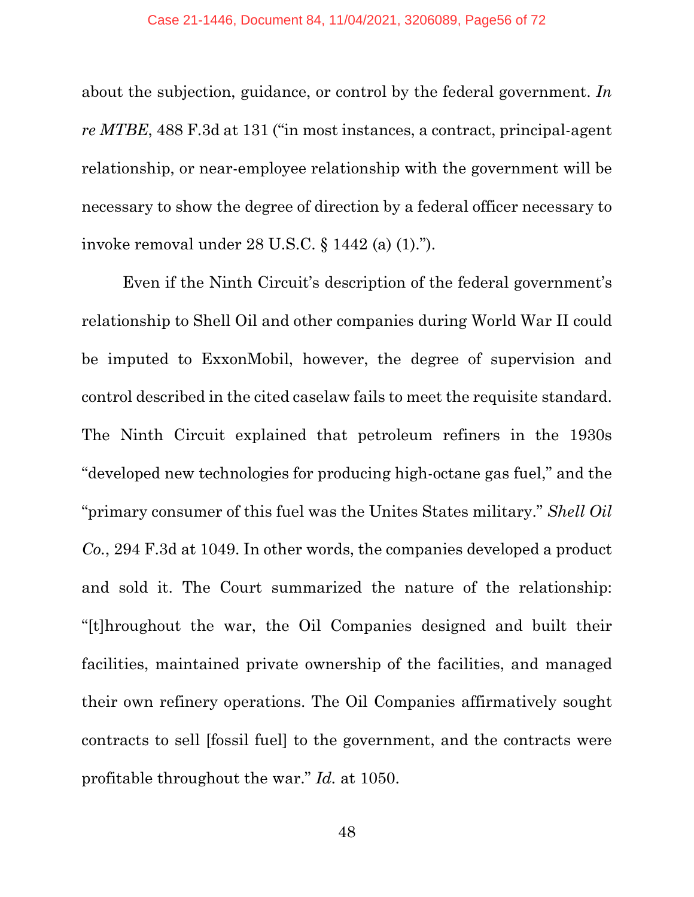about the subjection, guidance, or control by the federal government. *In re MTBE*, 488 F.3d at 131 ("in most instances, a contract, principal-agent relationship, or near-employee relationship with the government will be necessary to show the degree of direction by a federal officer necessary to invoke removal under 28 U.S.C. § 1442 (a) (1).").

Even if the Ninth Circuit's description of the federal government's relationship to Shell Oil and other companies during World War II could be imputed to ExxonMobil, however, the degree of supervision and control described in the cited caselaw fails to meet the requisite standard. The Ninth Circuit explained that petroleum refiners in the 1930s "developed new technologies for producing high-octane gas fuel," and the "primary consumer of this fuel was the Unites States military." *Shell Oil Co.*, 294 F.3d at 1049. In other words, the companies developed a product and sold it. The Court summarized the nature of the relationship: "[t]hroughout the war, the Oil Companies designed and built their facilities, maintained private ownership of the facilities, and managed their own refinery operations. The Oil Companies affirmatively sought contracts to sell [fossil fuel] to the government, and the contracts were profitable throughout the war." *Id.* at 1050.

48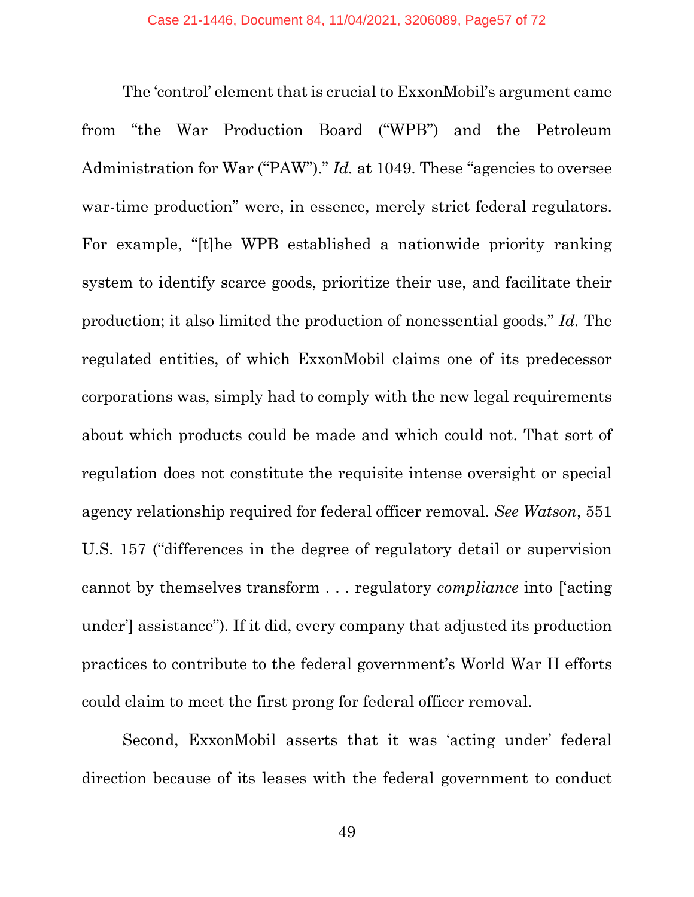The 'control' element that is crucial to ExxonMobil's argument came from "the War Production Board ("WPB") and the Petroleum Administration for War ("PAW")." *Id.* at 1049. These "agencies to oversee war-time production" were, in essence, merely strict federal regulators. For example, "[t]he WPB established a nationwide priority ranking system to identify scarce goods, prioritize their use, and facilitate their production; it also limited the production of nonessential goods." *Id.* The regulated entities, of which ExxonMobil claims one of its predecessor corporations was, simply had to comply with the new legal requirements about which products could be made and which could not. That sort of regulation does not constitute the requisite intense oversight or special agency relationship required for federal officer removal. *See Watson*, 551 U.S. 157 ("differences in the degree of regulatory detail or supervision cannot by themselves transform . . . regulatory *compliance* into ['acting under'] assistance")*.* If it did, every company that adjusted its production practices to contribute to the federal government's World War II efforts could claim to meet the first prong for federal officer removal.

Second, ExxonMobil asserts that it was 'acting under' federal direction because of its leases with the federal government to conduct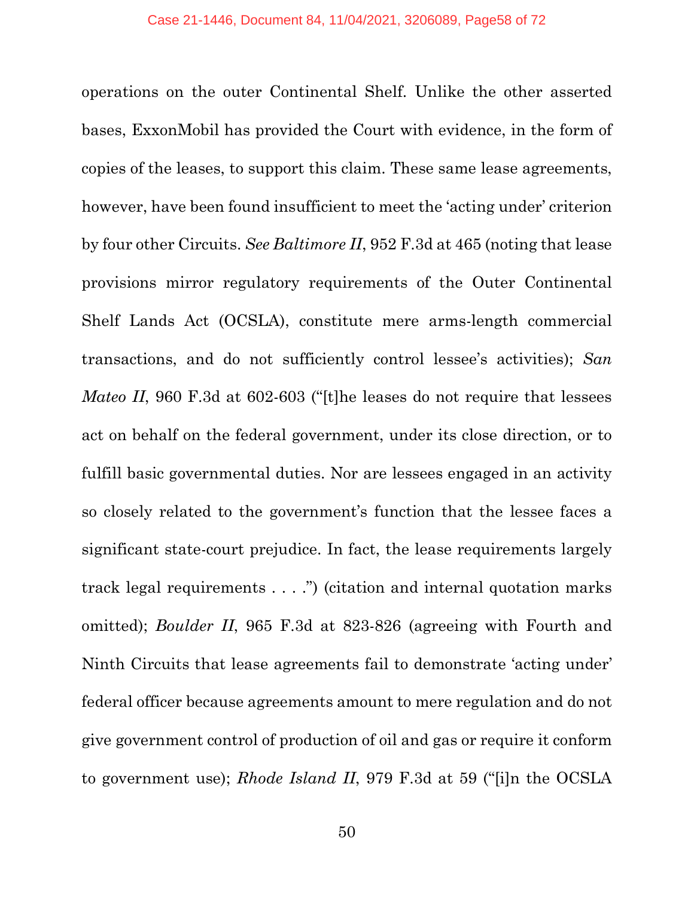operations on the outer Continental Shelf. Unlike the other asserted bases, ExxonMobil has provided the Court with evidence, in the form of copies of the leases, to support this claim. These same lease agreements, however, have been found insufficient to meet the 'acting under' criterion by four other Circuits. *See Baltimore II*, 952 F.3d at 465 (noting that lease provisions mirror regulatory requirements of the Outer Continental Shelf Lands Act (OCSLA), constitute mere arms-length commercial transactions, and do not sufficiently control lessee's activities); *San Mateo II*, 960 F.3d at 602-603 ("[t]he leases do not require that lessees act on behalf on the federal government, under its close direction, or to fulfill basic governmental duties. Nor are lessees engaged in an activity so closely related to the government's function that the lessee faces a significant state-court prejudice. In fact, the lease requirements largely track legal requirements . . . .") (citation and internal quotation marks omitted); *Boulder II*, 965 F.3d at 823-826 (agreeing with Fourth and Ninth Circuits that lease agreements fail to demonstrate 'acting under' federal officer because agreements amount to mere regulation and do not give government control of production of oil and gas or require it conform to government use); *Rhode Island II*, 979 F.3d at 59 ("[i]n the OCSLA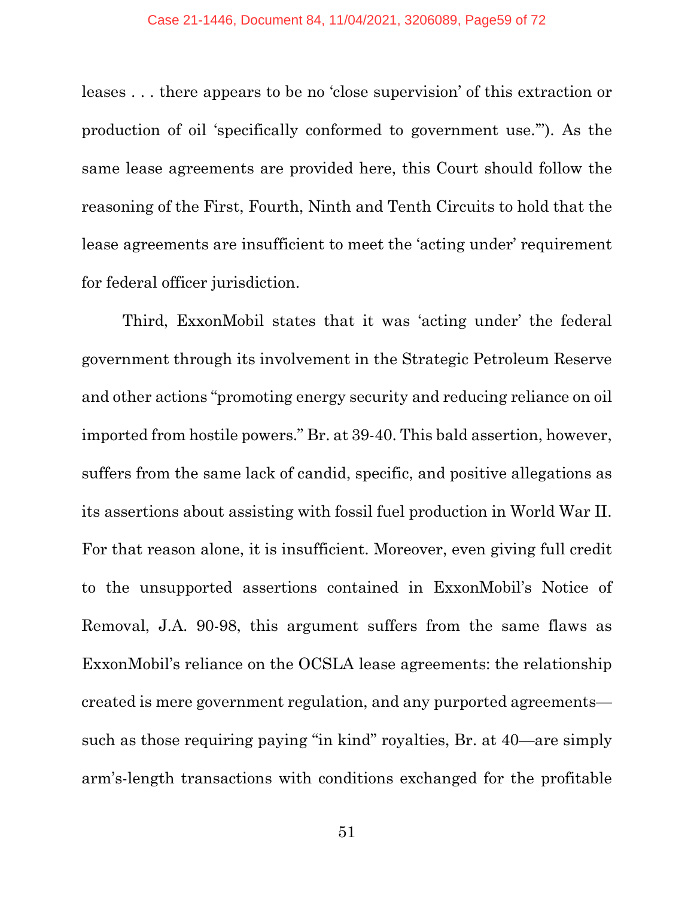leases . . . there appears to be no 'close supervision' of this extraction or production of oil 'specifically conformed to government use.'"). As the same lease agreements are provided here, this Court should follow the reasoning of the First, Fourth, Ninth and Tenth Circuits to hold that the lease agreements are insufficient to meet the 'acting under' requirement for federal officer jurisdiction.

Third, ExxonMobil states that it was 'acting under' the federal government through its involvement in the Strategic Petroleum Reserve and other actions "promoting energy security and reducing reliance on oil imported from hostile powers." Br. at 39-40. This bald assertion, however, suffers from the same lack of candid, specific, and positive allegations as its assertions about assisting with fossil fuel production in World War II. For that reason alone, it is insufficient. Moreover, even giving full credit to the unsupported assertions contained in ExxonMobil's Notice of Removal, J.A. 90-98, this argument suffers from the same flaws as ExxonMobil's reliance on the OCSLA lease agreements: the relationship created is mere government regulation, and any purported agreements such as those requiring paying "in kind" royalties, Br. at 40—are simply arm's-length transactions with conditions exchanged for the profitable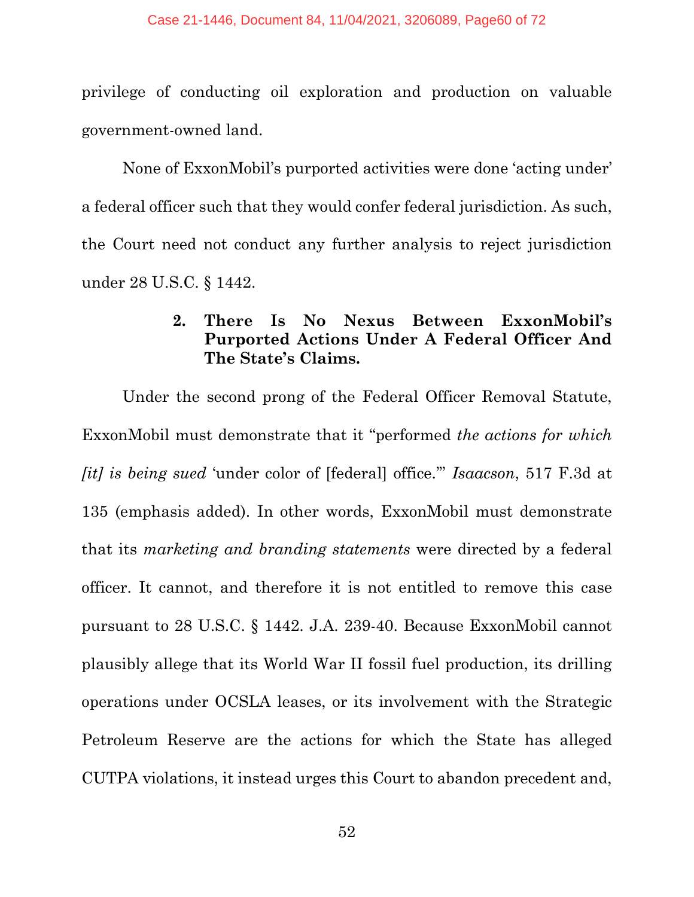privilege of conducting oil exploration and production on valuable government-owned land.

None of ExxonMobil's purported activities were done 'acting under' a federal officer such that they would confer federal jurisdiction. As such, the Court need not conduct any further analysis to reject jurisdiction under 28 U.S.C. § 1442.

# **2. There Is No Nexus Between ExxonMobil's Purported Actions Under A Federal Officer And The State's Claims.**

Under the second prong of the Federal Officer Removal Statute, ExxonMobil must demonstrate that it "performed *the actions for which [it] is being sued* 'under color of [federal] office.'" *Isaacson*, 517 F.3d at 135 (emphasis added). In other words, ExxonMobil must demonstrate that its *marketing and branding statements* were directed by a federal officer. It cannot, and therefore it is not entitled to remove this case pursuant to 28 U.S.C. § 1442. J.A. 239-40. Because ExxonMobil cannot plausibly allege that its World War II fossil fuel production, its drilling operations under OCSLA leases, or its involvement with the Strategic Petroleum Reserve are the actions for which the State has alleged CUTPA violations, it instead urges this Court to abandon precedent and,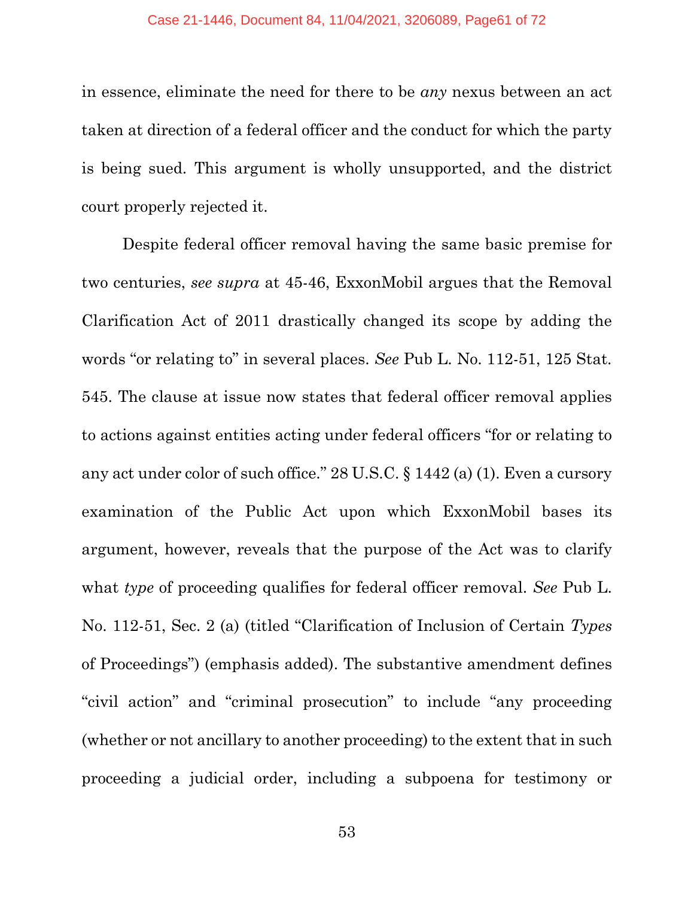in essence, eliminate the need for there to be *any* nexus between an act taken at direction of a federal officer and the conduct for which the party is being sued. This argument is wholly unsupported, and the district court properly rejected it.

Despite federal officer removal having the same basic premise for two centuries, *see supra* at 45-46, ExxonMobil argues that the Removal Clarification Act of 2011 drastically changed its scope by adding the words "or relating to" in several places. *See* Pub L. No. 112-51, 125 Stat. 545. The clause at issue now states that federal officer removal applies to actions against entities acting under federal officers "for or relating to any act under color of such office." 28 U.S.C. § 1442 (a) (1). Even a cursory examination of the Public Act upon which ExxonMobil bases its argument, however, reveals that the purpose of the Act was to clarify what *type* of proceeding qualifies for federal officer removal. *See* Pub L. No. 112-51, Sec. 2 (a) (titled "Clarification of Inclusion of Certain *Types* of Proceedings") (emphasis added). The substantive amendment defines "civil action" and "criminal prosecution" to include "any proceeding (whether or not ancillary to another proceeding) to the extent that in such proceeding a judicial order, including a subpoena for testimony or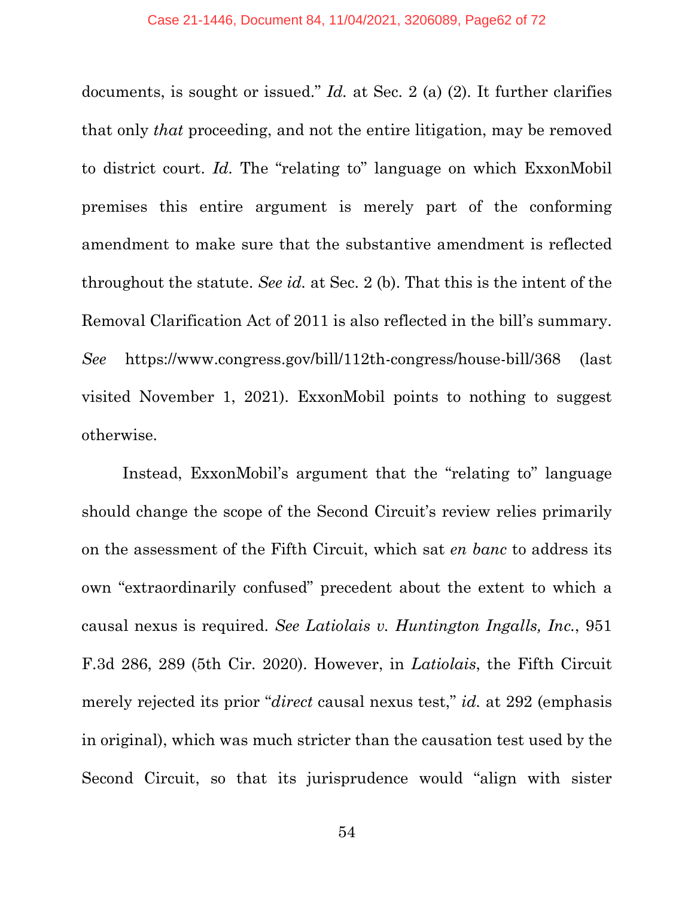documents, is sought or issued." *Id.* at Sec. 2 (a) (2). It further clarifies that only *that* proceeding, and not the entire litigation, may be removed to district court. *Id.* The "relating to" language on which ExxonMobil premises this entire argument is merely part of the conforming amendment to make sure that the substantive amendment is reflected throughout the statute. *See id.* at Sec. 2 (b). That this is the intent of the Removal Clarification Act of 2011 is also reflected in the bill's summary. *See* https://www.congress.gov/bill/112th-congress/house-bill/368 (last visited November 1, 2021). ExxonMobil points to nothing to suggest otherwise.

Instead, ExxonMobil's argument that the "relating to" language should change the scope of the Second Circuit's review relies primarily on the assessment of the Fifth Circuit, which sat *en banc* to address its own "extraordinarily confused" precedent about the extent to which a causal nexus is required. *See Latiolais v. Huntington Ingalls, Inc.*, 951 F.3d 286, 289 (5th Cir. 2020). However, in *Latiolais*, the Fifth Circuit merely rejected its prior "*direct* causal nexus test," *id.* at 292 (emphasis in original), which was much stricter than the causation test used by the Second Circuit, so that its jurisprudence would "align with sister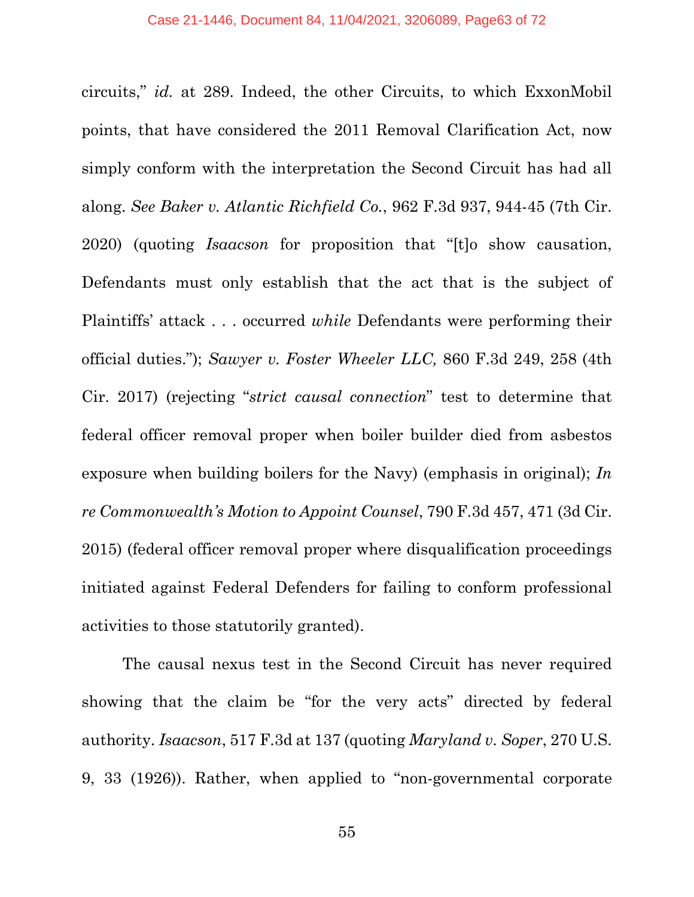circuits," *id.* at 289. Indeed, the other Circuits, to which ExxonMobil points, that have considered the 2011 Removal Clarification Act, now simply conform with the interpretation the Second Circuit has had all along. *See Baker v. Atlantic Richfield Co.*, 962 F.3d 937, 944-45 (7th Cir. 2020) (quoting *Isaacson* for proposition that "[t]o show causation, Defendants must only establish that the act that is the subject of Plaintiffs' attack . . . occurred *while* Defendants were performing their official duties."); *Sawyer v. Foster Wheeler LLC,* 860 F.3d 249, 258 (4th Cir. 2017) (rejecting "*strict causal connection*" test to determine that federal officer removal proper when boiler builder died from asbestos exposure when building boilers for the Navy) (emphasis in original); *In re Commonwealth's Motion to Appoint Counsel*, 790 F.3d 457, 471 (3d Cir. 2015) (federal officer removal proper where disqualification proceedings initiated against Federal Defenders for failing to conform professional activities to those statutorily granted).

The causal nexus test in the Second Circuit has never required showing that the claim be "for the very acts" directed by federal authority. *Isaacson*, 517 F.3d at 137 (quoting *Maryland v. Soper*, 270 U.S. 9, 33 (1926)). Rather, when applied to "non-governmental corporate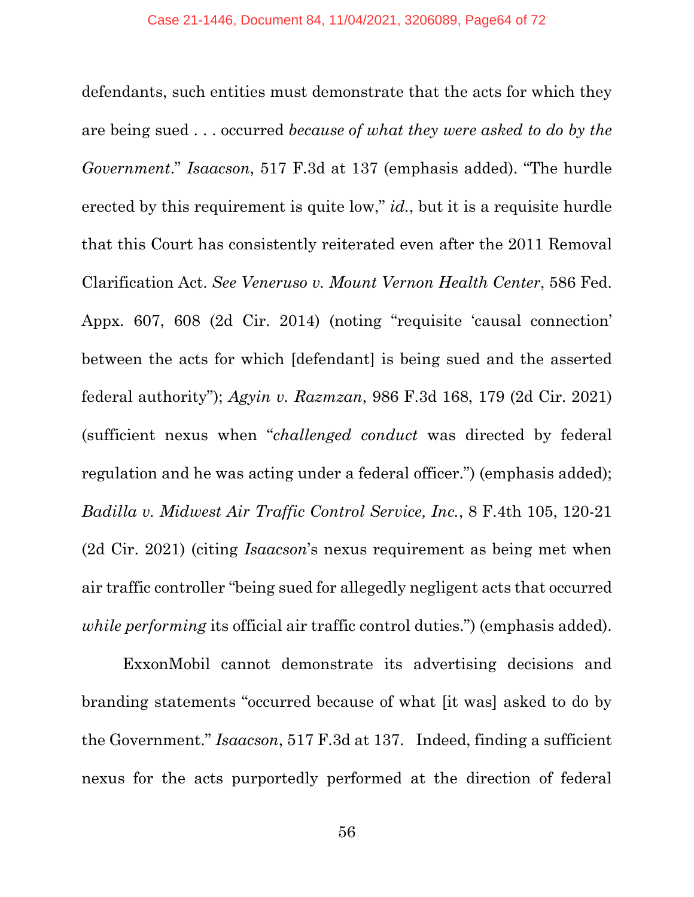defendants, such entities must demonstrate that the acts for which they are being sued . . . occurred *because of what they were asked to do by the Government*." *Isaacson*, 517 F.3d at 137 (emphasis added). "The hurdle erected by this requirement is quite low," *id.*, but it is a requisite hurdle that this Court has consistently reiterated even after the 2011 Removal Clarification Act. *See Veneruso v. Mount Vernon Health Center*, 586 Fed. Appx. 607, 608 (2d Cir. 2014) (noting "requisite 'causal connection' between the acts for which [defendant] is being sued and the asserted federal authority"); *Agyin v. Razmzan*, 986 F.3d 168, 179 (2d Cir. 2021) (sufficient nexus when "*challenged conduct* was directed by federal regulation and he was acting under a federal officer.") (emphasis added); *Badilla v. Midwest Air Traffic Control Service, Inc.*, 8 F.4th 105, 120-21 (2d Cir. 2021) (citing *Isaacson*'s nexus requirement as being met when air traffic controller "being sued for allegedly negligent acts that occurred *while performing* its official air traffic control duties.") (emphasis added).

ExxonMobil cannot demonstrate its advertising decisions and branding statements "occurred because of what [it was] asked to do by the Government." *Isaacson*, 517 F.3d at 137. Indeed, finding a sufficient nexus for the acts purportedly performed at the direction of federal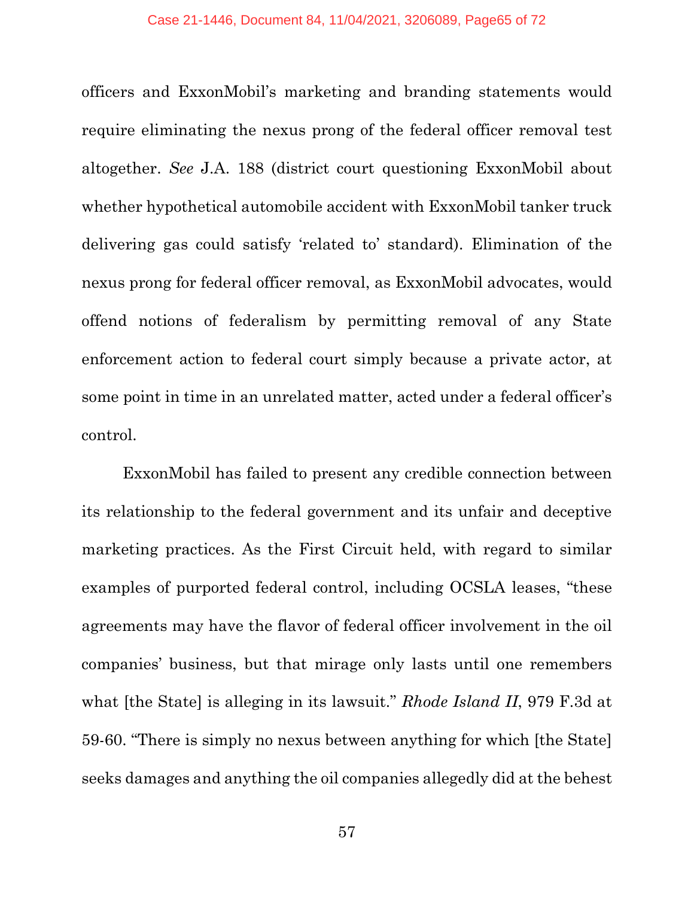officers and ExxonMobil's marketing and branding statements would require eliminating the nexus prong of the federal officer removal test altogether. *See* J.A. 188 (district court questioning ExxonMobil about whether hypothetical automobile accident with ExxonMobil tanker truck delivering gas could satisfy 'related to' standard). Elimination of the nexus prong for federal officer removal, as ExxonMobil advocates, would offend notions of federalism by permitting removal of any State enforcement action to federal court simply because a private actor, at some point in time in an unrelated matter, acted under a federal officer's control.

ExxonMobil has failed to present any credible connection between its relationship to the federal government and its unfair and deceptive marketing practices. As the First Circuit held, with regard to similar examples of purported federal control, including OCSLA leases, "these agreements may have the flavor of federal officer involvement in the oil companies' business, but that mirage only lasts until one remembers what [the State] is alleging in its lawsuit." *Rhode Island II*, 979 F.3d at 59-60. "There is simply no nexus between anything for which [the State] seeks damages and anything the oil companies allegedly did at the behest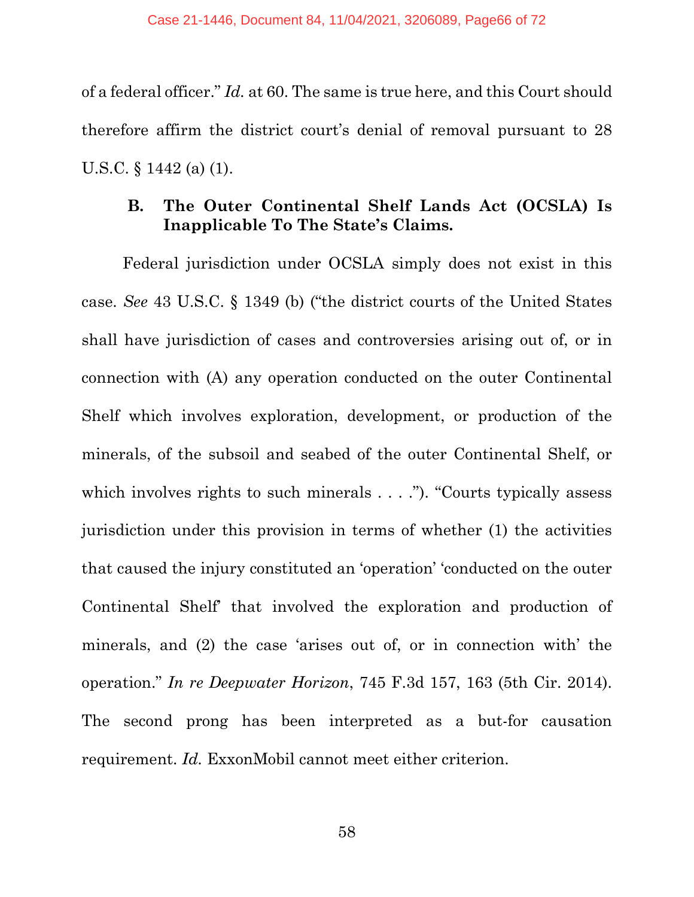of a federal officer." *Id.* at 60. The same is true here, and this Court should therefore affirm the district court's denial of removal pursuant to 28 U.S.C. § 1442 (a) (1).

# **B. The Outer Continental Shelf Lands Act (OCSLA) Is Inapplicable To The State's Claims.**

Federal jurisdiction under OCSLA simply does not exist in this case. *See* 43 U.S.C. § 1349 (b) ("the district courts of the United States shall have jurisdiction of cases and controversies arising out of, or in connection with (A) any operation conducted on the outer Continental Shelf which involves exploration, development, or production of the minerals, of the subsoil and seabed of the outer Continental Shelf, or which involves rights to such minerals . . . ."). "Courts typically assess jurisdiction under this provision in terms of whether (1) the activities that caused the injury constituted an 'operation' 'conducted on the outer Continental Shelf' that involved the exploration and production of minerals, and (2) the case 'arises out of, or in connection with' the operation." *In re Deepwater Horizon*, 745 F.3d 157, 163 (5th Cir. 2014). The second prong has been interpreted as a but-for causation requirement. *Id.* ExxonMobil cannot meet either criterion.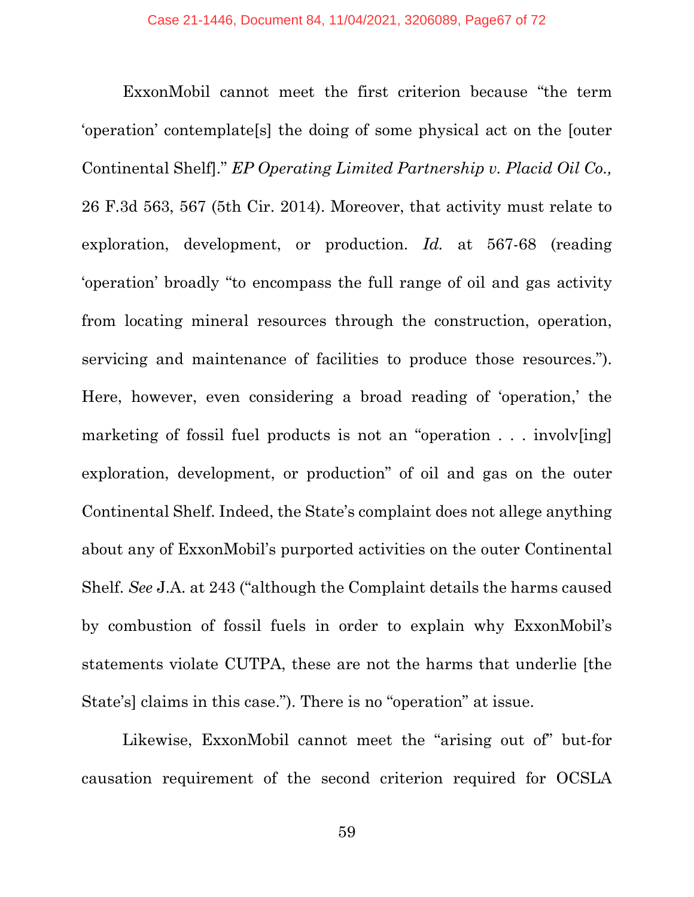ExxonMobil cannot meet the first criterion because "the term 'operation' contemplate[s] the doing of some physical act on the [outer Continental Shelf]." *EP Operating Limited Partnership v. Placid Oil Co.,*  26 F.3d 563, 567 (5th Cir. 2014). Moreover, that activity must relate to exploration, development, or production. *Id.* at 567-68 (reading 'operation' broadly "to encompass the full range of oil and gas activity from locating mineral resources through the construction, operation, servicing and maintenance of facilities to produce those resources."). Here, however, even considering a broad reading of 'operation,' the marketing of fossil fuel products is not an "operation . . . involves in exploration, development, or production" of oil and gas on the outer Continental Shelf. Indeed, the State's complaint does not allege anything about any of ExxonMobil's purported activities on the outer Continental Shelf. *See* J.A. at 243 ("although the Complaint details the harms caused by combustion of fossil fuels in order to explain why ExxonMobil's statements violate CUTPA, these are not the harms that underlie [the State's] claims in this case."). There is no "operation" at issue.

Likewise, ExxonMobil cannot meet the "arising out of" but-for causation requirement of the second criterion required for OCSLA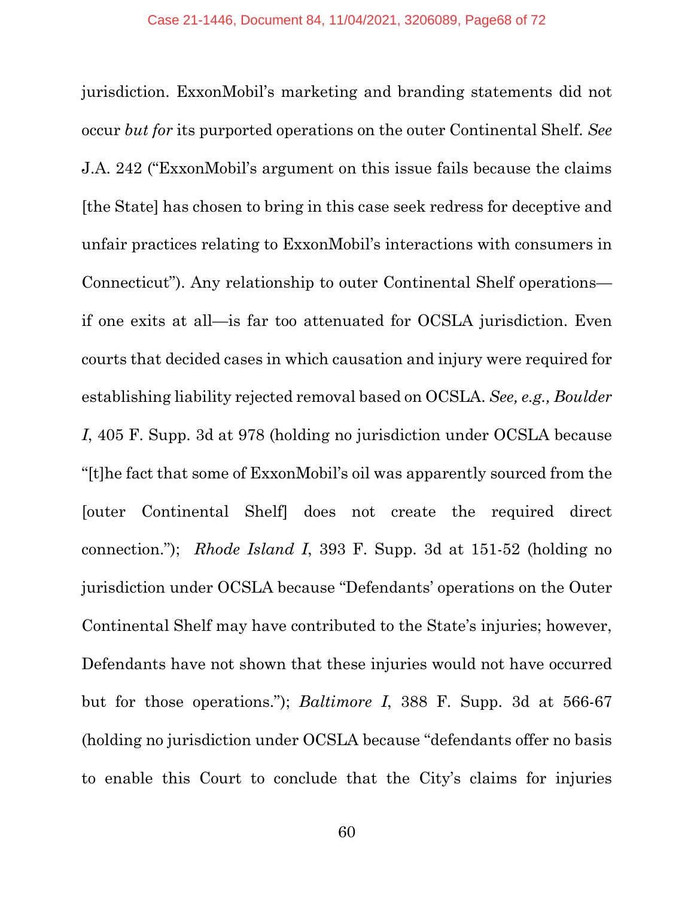jurisdiction. ExxonMobil's marketing and branding statements did not occur *but for* its purported operations on the outer Continental Shelf. *See*  J.A. 242 ("ExxonMobil's argument on this issue fails because the claims [the State] has chosen to bring in this case seek redress for deceptive and unfair practices relating to ExxonMobil's interactions with consumers in Connecticut"). Any relationship to outer Continental Shelf operations if one exits at all—is far too attenuated for OCSLA jurisdiction. Even courts that decided cases in which causation and injury were required for establishing liability rejected removal based on OCSLA. *See, e.g., Boulder I*, 405 F. Supp. 3d at 978 (holding no jurisdiction under OCSLA because "[t]he fact that some of ExxonMobil's oil was apparently sourced from the [outer Continental Shelf] does not create the required direct connection."); *Rhode Island I*, 393 F. Supp. 3d at 151-52 (holding no jurisdiction under OCSLA because "Defendants' operations on the Outer Continental Shelf may have contributed to the State's injuries; however, Defendants have not shown that these injuries would not have occurred but for those operations."); *Baltimore I*, 388 F. Supp. 3d at 566-67 (holding no jurisdiction under OCSLA because "defendants offer no basis to enable this Court to conclude that the City's claims for injuries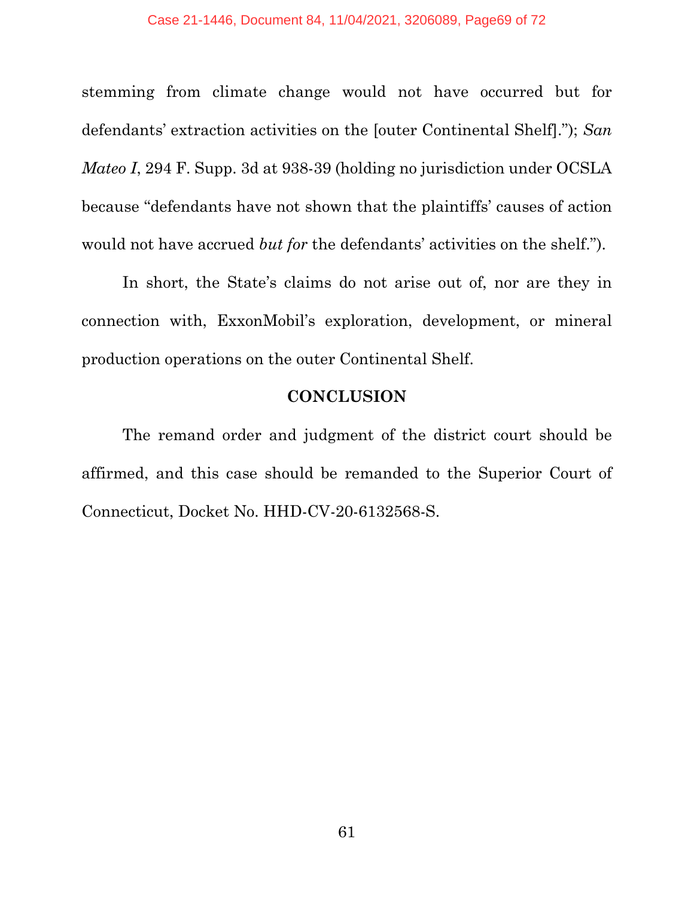stemming from climate change would not have occurred but for defendants' extraction activities on the [outer Continental Shelf]."); *San Mateo I*, 294 F. Supp. 3d at 938-39 (holding no jurisdiction under OCSLA because "defendants have not shown that the plaintiffs' causes of action would not have accrued *but for* the defendants' activities on the shelf.").

In short, the State's claims do not arise out of, nor are they in connection with, ExxonMobil's exploration, development, or mineral production operations on the outer Continental Shelf.

## **CONCLUSION**

The remand order and judgment of the district court should be affirmed, and this case should be remanded to the Superior Court of Connecticut, Docket No. HHD-CV-20-6132568-S.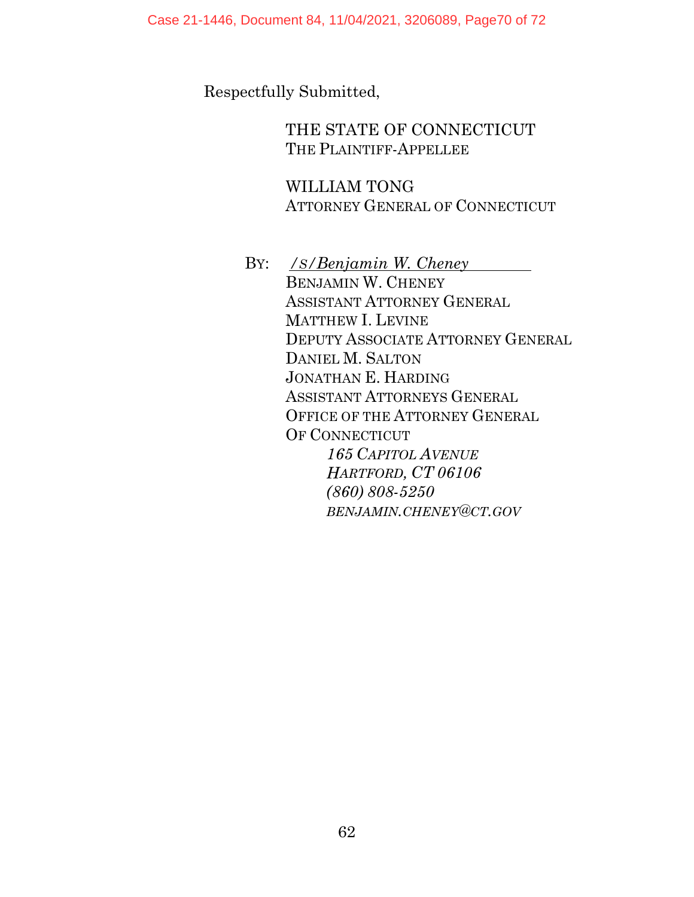Case 21-1446, Document 84, 11/04/2021, 3206089, Page70 of 72

Respectfully Submitted,

THE STATE OF CONNECTICUT THE PLAINTIFF-APPELLEE

WILLIAM TONG ATTORNEY GENERAL OF CONNECTICUT

BY: */S/Benjamin W. Cheney*  BENJAMIN W. CHENEY ASSISTANT ATTORNEY GENERAL MATTHEW I. LEVINE DEPUTY ASSOCIATE ATTORNEY GENERAL DANIEL M. SALTON JONATHAN E. HARDING ASSISTANT ATTORNEYS GENERAL OFFICE OF THE ATTORNEY GENERAL OF CONNECTICUT *165 CAPITOL AVENUE HARTFORD, CT 06106 (860) 808-5250 BENJAMIN.CHENEY@CT.GOV*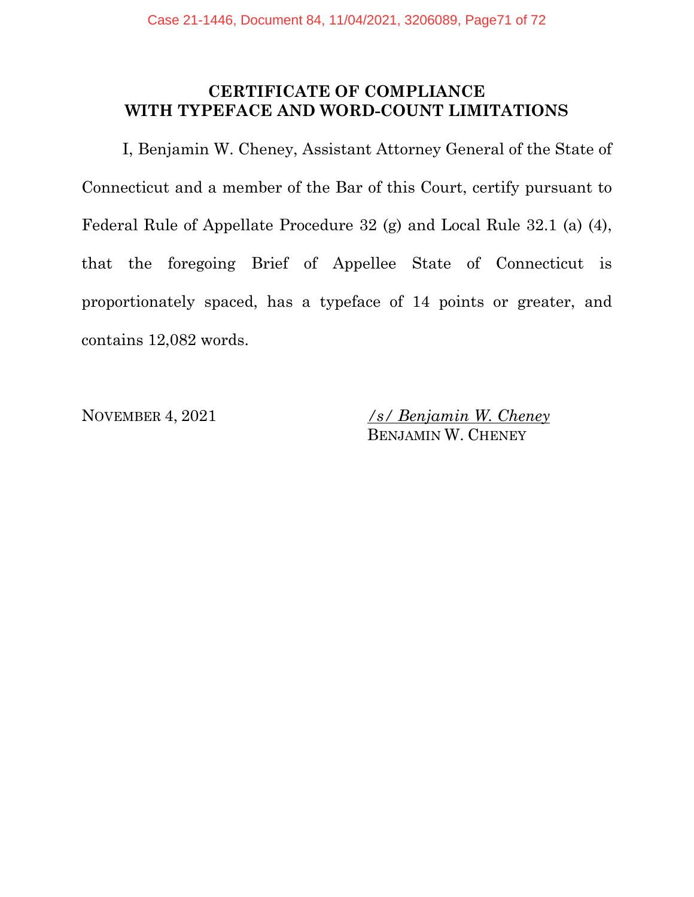# **CERTIFICATE OF COMPLIANCE WITH TYPEFACE AND WORD-COUNT LIMITATIONS**

I, Benjamin W. Cheney, Assistant Attorney General of the State of Connecticut and a member of the Bar of this Court, certify pursuant to Federal Rule of Appellate Procedure 32 (g) and Local Rule 32.1 (a) (4), that the foregoing Brief of Appellee State of Connecticut is proportionately spaced, has a typeface of 14 points or greater, and contains 12,082 words.

NOVEMBER 4, 2021 */s/ Benjamin W. Cheney* BENJAMIN W. CHENEY